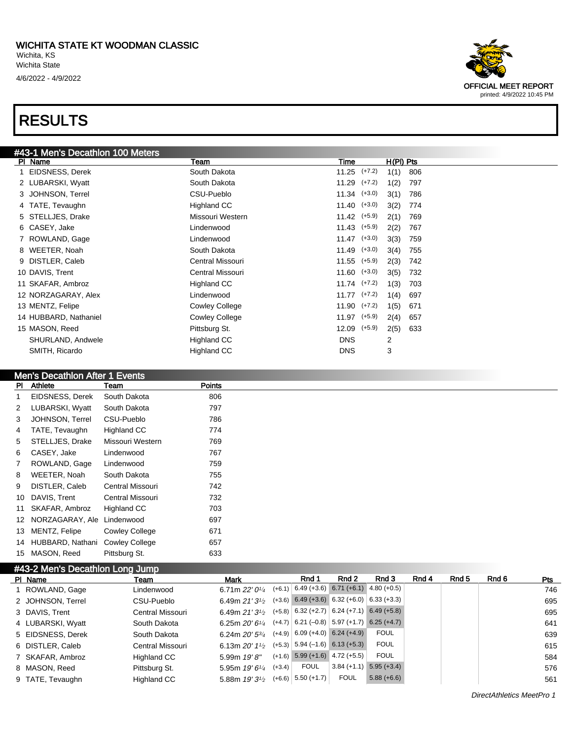

#### **Men's Decathlon After 1 Events**

| PI           | Athlete          | Team                  | <b>Points</b> |
|--------------|------------------|-----------------------|---------------|
|              | EIDSNESS, Derek  | South Dakota          | 806           |
| $\mathbf{2}$ | LUBARSKI, Wyatt  | South Dakota          | 797           |
| 3            | JOHNSON, Terrel  | CSU-Pueblo            | 786           |
| 4            | TATE, Tevaughn   | Highland CC           | 774           |
| 5            | STELLJES, Drake  | Missouri Western      | 769           |
| 6            | CASEY, Jake      | Lindenwood            | 767           |
| $7^{\circ}$  | ROWLAND, Gage    | Lindenwood            | 759           |
| 8            | WEETER, Noah     | South Dakota          | 755           |
| 9            | DISTLER, Caleb   | Central Missouri      | 742           |
| 10           | DAVIS, Trent     | Central Missouri      | 732           |
| 11           | SKAFAR, Ambroz   | Highland CC           | 703           |
| 12           | NORZAGARAY, Ale  | Lindenwood            | 697           |
| 13           | MENTZ, Felipe    | <b>Cowley College</b> | 671           |
| 14           | HUBBARD, Nathani | <b>Cowley College</b> | 657           |
| 15           | MASON, Reed      | Pittsburg St.         | 633           |

| #43-2 Men's Decathlon Long Jump |                  |                                           |          |                                                                        |               |               |       |       |       |     |
|---------------------------------|------------------|-------------------------------------------|----------|------------------------------------------------------------------------|---------------|---------------|-------|-------|-------|-----|
| PI Name                         | Team             | Mark                                      |          | Rnd 1                                                                  | Rnd 2         | Rnd 3         | Rnd 4 | Rnd 5 | Rnd 6 | Pts |
| ROWLAND, Gage                   | Lindenwood       | 6.71m $22'0\frac{1}{4}$                   | $(+6.1)$ | $\vert 6.49 \, (+3.6) \vert 6.71 \, (+6.1) \vert 4.80 \, (+0.5) \vert$ |               |               |       |       |       | 746 |
| 2 JOHNSON, Terrel               | CSU-Pueblo       | 6.49m $21'31/2$                           |          | $(+3.6)$ 6.49 $(+3.6)$ 6.32 $(+6.0)$ 6.33 $(+3.3)$                     |               |               |       |       |       | 695 |
| 3 DAVIS, Trent                  | Central Missouri | 6.49m $21'3\frac{1}{2}$                   |          | $(+5.8)$ 6.32 (+2.7) 6.24 (+7.1) 6.49 (+5.8)                           |               |               |       |       |       | 695 |
| 4 LUBARSKI, Wyatt               | South Dakota     | 6.25m $20'6\frac{1}{4}$                   |          | $(+4.7)$ 6.21 (-0.8) 5.97 (+1.7)                                       |               | $6.25 (+4.7)$ |       |       |       | 641 |
| 5 EIDSNESS, Derek               | South Dakota     | 6.24m $20'$ 5 $\frac{3}{4}$               |          | $(+4.9)$ 6.09 $(+4.0)$ 6.24 $(+4.9)$                                   |               | <b>FOUL</b>   |       |       |       | 639 |
| 6 DISTLER, Caleb                | Central Missouri | 6.13m $20'$ 1 <sup>1</sup> / <sub>2</sub> |          | $(+5.3)$ 5.94 (-1.6) 6.13 (+5.3)                                       |               | <b>FOUL</b>   |       |       |       | 615 |
| 7 SKAFAR, Ambroz                | Highland CC      | 5.99m 19'8"                               |          | $(+1.6)$ 5.99 $(+1.6)$ 4.72 $(+5.5)$                                   |               | <b>FOUL</b>   |       |       |       | 584 |
| 8 MASON, Reed                   | Pittsburg St.    | 5.95m $19'6''$                            | $(+3.4)$ | <b>FOUL</b>                                                            | $3.84 (+1.1)$ | $5.95 (+3.4)$ |       |       |       | 576 |
| 9 TATE, Tevaughn                | Highland CC      | 5.88m $19'3^{1/2}$                        |          | $(+6.6)$ 5.50 $(+1.7)$                                                 | <b>FOUL</b>   | $5.88(+6.6)$  |       |       |       | 561 |



DirectAthletics MeetPro 1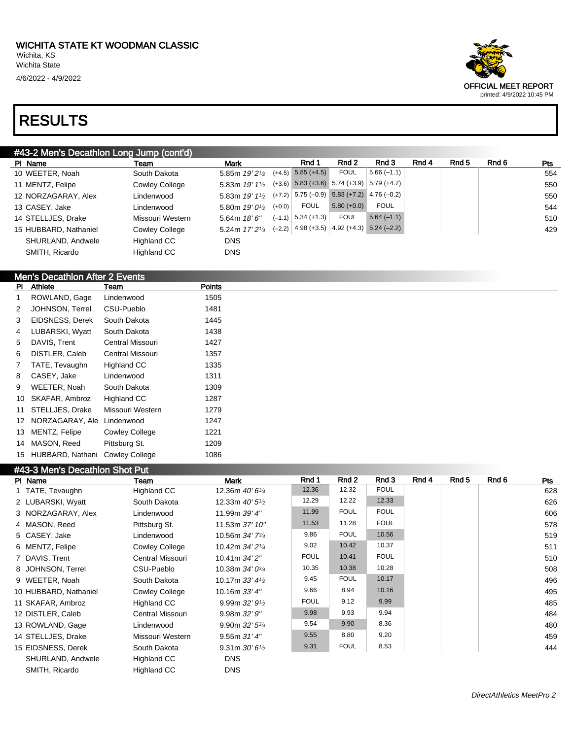#### #43-2 Men's Decathlon Long Jump (cont'd)

| PI Name               | Team                  | <b>Mark</b>                |          | Rnd 1                                              | Rnd 2        | Rnd 3        | Rnd 4 | Rnd 5 | Rnd 6 | <b>Pts</b> |
|-----------------------|-----------------------|----------------------------|----------|----------------------------------------------------|--------------|--------------|-------|-------|-------|------------|
| 10 WEETER, Noah       | South Dakota          | 5.85m $19'2\frac{1}{2}$    |          | $(+4.5)$ 5.85 $(+4.5)$                             | <b>FOUL</b>  | $5.66(-1.1)$ |       |       |       | 554        |
| 11 MENTZ, Felipe      | <b>Cowley College</b> | 5.83m 19' 11/2             |          | $(+3.6)$ 5.83 $(+3.6)$ 5.74 $(+3.9)$ 5.79 $(+4.7)$ |              |              |       |       |       | 550        |
| 12 NORZAGARAY, Alex   | Lindenwood            | 5.83m <i>19' 11</i> ⁄2     |          | $(+7.2)$ 5.75 (-0.9) 5.83 (+7.2) 4.76 (-0.2)       |              |              |       |       |       | 550        |
| 13 CASEY, Jake        | Lindenwood            | 5.80m $19'0\%$             | $(+0.0)$ | <b>FOUL</b>                                        | $5.80(+0.0)$ | <b>FOUL</b>  |       |       |       | 544        |
| 14 STELLJES, Drake    | Missouri Western      | 5.64m $18'6''$             |          | $(-1.1)$ 5.34 (+1.3)                               | <b>FOUL</b>  | $5.64(-1.1)$ |       |       |       | 510        |
| 15 HUBBARD, Nathaniel | Cowley College        | 5.24m 17' 2 <sup>1/4</sup> |          | $(-2.2)$ 4.98 (+3.5) 4.92 (+4.3) 5.24 (-2.2)       |              |              |       |       |       | 429        |
| SHURLAND, Andwele     | Highland CC           | <b>DNS</b>                 |          |                                                    |              |              |       |       |       |            |
| SMITH, Ricardo        | <b>Highland CC</b>    | <b>DNS</b>                 |          |                                                    |              |              |       |       |       |            |

#### Men's Decathlon After 2 Events

| PI | Athlete          | Team                  | Points |
|----|------------------|-----------------------|--------|
| 1  | ROWLAND, Gage    | Lindenwood            | 1505   |
| 2  | JOHNSON, Terrel  | CSU-Pueblo            | 1481   |
| 3  | EIDSNESS, Derek  | South Dakota          | 1445   |
| 4  | LUBARSKI, Wyatt  | South Dakota          | 1438   |
| 5  | DAVIS. Trent     | Central Missouri      | 1427   |
| 6  | DISTLER, Caleb   | Central Missouri      | 1357   |
| 7  | TATE, Tevaughn   | <b>Highland CC</b>    | 1335   |
| 8  | CASEY, Jake      | Lindenwood            | 1311   |
| 9  | WEETER, Noah     | South Dakota          | 1309   |
| 10 | SKAFAR, Ambroz   | <b>Highland CC</b>    | 1287   |
| 11 | STELLJES, Drake  | Missouri Western      | 1279   |
| 12 | NORZAGARAY, Ale  | Lindenwood            | 1247   |
| 13 | MENTZ, Felipe    | <b>Cowley College</b> | 1221   |
| 14 | MASON, Reed      | Pittsburg St.         | 1209   |
| 15 | HUBBARD, Nathani | <b>Cowley College</b> | 1086   |

#### #43-3 Men's Decathlon Shot Put

| $n \to 0$ , when $\sigma \to 0$ determined the contract that |                       |                                          |             |             |             |       |       |       |     |
|--------------------------------------------------------------|-----------------------|------------------------------------------|-------------|-------------|-------------|-------|-------|-------|-----|
| PI Name                                                      | Team                  | <b>Mark</b>                              | Rnd 1       | Rnd 2       | Rnd 3       | Rnd 4 | Rnd 5 | Rnd 6 | Pts |
| 1 TATE, Tevaughn                                             | Highland CC           | 12.36m 40' 6 <sup>3/4</sup>              | 12.36       | 12.32       | <b>FOUL</b> |       |       |       | 628 |
| 2 LUBARSKI, Wyatt                                            | South Dakota          | 12.33m $40'5\frac{1}{2}$                 | 12.29       | 12.22       | 12.33       |       |       |       | 626 |
| 3 NORZAGARAY, Alex                                           | Lindenwood            | 11.99m 39' 4"                            | 11.99       | <b>FOUL</b> | <b>FOUL</b> |       |       |       | 606 |
| 4 MASON, Reed                                                | Pittsburg St.         | 11.53m 37' 10"                           | 11.53       | 11.28       | <b>FOUL</b> |       |       |       | 578 |
| 5 CASEY, Jake                                                | Lindenwood            | 10.56m 34' 7 <sup>3</sup> / <sub>4</sub> | 9.86        | <b>FOUL</b> | 10.56       |       |       |       | 519 |
| 6 MENTZ, Felipe                                              | <b>Cowley College</b> | 10.42m 34' 2 <sup>1</sup> / <sub>4</sub> | 9.02        | 10.42       | 10.37       |       |       |       | 511 |
| 7 DAVIS, Trent                                               | Central Missouri      | 10.41m 34' 2"                            | <b>FOUL</b> | 10.41       | <b>FOUL</b> |       |       |       | 510 |
| 8 JOHNSON, Terrel                                            | CSU-Pueblo            | 10.38m 34' 0 <sup>3/4</sup>              | 10.35       | 10.38       | 10.28       |       |       |       | 508 |
| 9 WEETER, Noah                                               | South Dakota          | 10.17m $33'4\frac{1}{2}$                 | 9.45        | <b>FOUL</b> | 10.17       |       |       |       | 496 |
| 10 HUBBARD, Nathaniel                                        | Cowley College        | 10.16m $33'4''$                          | 9.66        | 8.94        | 10.16       |       |       |       | 495 |
| 11 SKAFAR, Ambroz                                            | Highland CC           | 9.99m $32'9'$                            | <b>FOUL</b> | 9.12        | 9.99        |       |       |       | 485 |
| 12 DISTLER, Caleb                                            | Central Missouri      | 9.98m 32'9''                             | 9.98        | 9.93        | 9.94        |       |       |       | 484 |
| 13 ROWLAND, Gage                                             | Lindenwood            | 9.90m $32'5^{3}/4$                       | 9.54        | 9.90        | 8.36        |       |       |       | 480 |
| 14 STELLJES, Drake                                           | Missouri Western      | 9.55m 31'4''                             | 9.55        | 8.80        | 9.20        |       |       |       | 459 |
| 15 EIDSNESS, Derek                                           | South Dakota          | 9.31m $30'6'$                            | 9.31        | <b>FOUL</b> | 8.53        |       |       |       | 444 |
| SHURLAND, Andwele                                            | Highland CC           | <b>DNS</b>                               |             |             |             |       |       |       |     |
| SMITH, Ricardo                                               | Highland CC           | <b>DNS</b>                               |             |             |             |       |       |       |     |

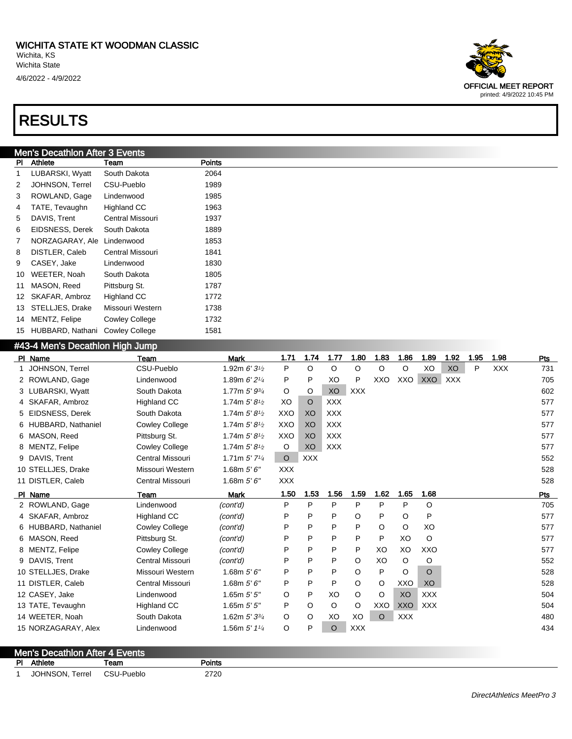#### Men's Decathlon After 3 Events

| PI             | Athlete          | Team                    | Points |
|----------------|------------------|-------------------------|--------|
| 1              | LUBARSKI, Wyatt  | South Dakota            | 2064   |
| 2              | JOHNSON, Terrel  | CSU-Pueblo              | 1989   |
| 3              | ROWLAND, Gage    | Lindenwood              | 1985   |
| 4              | TATE, Tevaughn   | <b>Highland CC</b>      | 1963   |
| 5              | DAVIS, Trent     | Central Missouri        | 1937   |
| 6              | EIDSNESS, Derek  | South Dakota            | 1889   |
| $\overline{7}$ | NORZAGARAY, Ale  | Lindenwood              | 1853   |
| 8              | DISTLER, Caleb   | <b>Central Missouri</b> | 1841   |
| 9              | CASEY, Jake      | Lindenwood              | 1830   |
| 10             | WEETER, Noah     | South Dakota            | 1805   |
| 11             | MASON, Reed      | Pittsburg St.           | 1787   |
| 12             | SKAFAR, Ambroz   | <b>Highland CC</b>      | 1772   |
| 13             | STELLJES, Drake  | Missouri Western        | 1738   |
| 14             | MENTZ, Felipe    | <b>Cowley College</b>   | 1732   |
| 15             | HUBBARD, Nathani | <b>Cowley College</b>   | 1581   |

#### #43-4 Men's Decathlon High Jump

| PI Name              | Team                    | <b>Mark</b>                 | 1.71       | 1.74       | 1.77       | 1.80       | 1.83    | 1.86       | 1.89       | 1.92       | 1.95 | 1.98       | Pts |
|----------------------|-------------------------|-----------------------------|------------|------------|------------|------------|---------|------------|------------|------------|------|------------|-----|
| JOHNSON, Terrel      | CSU-Pueblo              | 1.92m $6'3'$                | P          | O          | $\circ$    | $\Omega$   | $\circ$ | $\circ$    | XO         | XO         | P    | <b>XXX</b> | 731 |
| 2 ROWLAND, Gage      | Lindenwood              | 1.89m $6'2'$                | P          | P          | XO         | P          | XXO     | XXO        | <b>XXO</b> | <b>XXX</b> |      |            | 705 |
| 3 LUBARSKI, Wyatt    | South Dakota            | 1.77m 5' 93/4               | $\circ$    | O          | XO         | <b>XXX</b> |         |            |            |            |      |            | 602 |
| 4 SKAFAR, Ambroz     | <b>Highland CC</b>      | 1.74m $5'8\frac{1}{2}$      | XO         | $\circ$    | <b>XXX</b> |            |         |            |            |            |      |            | 577 |
| 5 EIDSNESS, Derek    | South Dakota            | 1.74m $5'8^{1/2}$           | XXO        | XO         | <b>XXX</b> |            |         |            |            |            |      |            | 577 |
| 6 HUBBARD, Nathaniel | <b>Cowley College</b>   | 1.74m $5'8^{1/2}$           | XXO        | XO         | <b>XXX</b> |            |         |            |            |            |      |            | 577 |
| 6 MASON, Reed        | Pittsburg St.           | 1.74m $5'8^{1/2}$           | XXO        | XO         | <b>XXX</b> |            |         |            |            |            |      |            | 577 |
| 8 MENTZ, Felipe      | <b>Cowley College</b>   | 1.74m $5'8^{1/2}$           | $\circ$    | XO.        | <b>XXX</b> |            |         |            |            |            |      |            | 577 |
| 9 DAVIS, Trent       | Central Missouri        | 1.71m $5'$ 7 <sup>1/4</sup> | $\circ$    | <b>XXX</b> |            |            |         |            |            |            |      |            | 552 |
| 10 STELLJES, Drake   | Missouri Western        | 1.68m $5'6''$               | <b>XXX</b> |            |            |            |         |            |            |            |      |            | 528 |
| 11 DISTLER, Caleb    | Central Missouri        | 1.68m $5'6''$               | <b>XXX</b> |            |            |            |         |            |            |            |      |            | 528 |
| PI Name              | Team                    | <b>Mark</b>                 | 1.50       | 1.53       | 1.56       | 1.59       | 1.62    | 1.65       | 1.68       |            |      |            | Pts |
| 2 ROWLAND, Gage      | Lindenwood              | (cont'd)                    | P          | P          | P          | P          | P       | P          | O          |            |      |            | 705 |
| 4 SKAFAR, Ambroz     | <b>Highland CC</b>      | (cont'd)                    | P          | P          | P          | $\circ$    | P       | $\circ$    | P          |            |      |            | 577 |
| 6 HUBBARD, Nathaniel | <b>Cowley College</b>   | (cont'd)                    | P          | P          | P          | P          | O       | $\circ$    | XO         |            |      |            | 577 |
| 6 MASON, Reed        | Pittsburg St.           | (cont'd)                    | P          | P          | P          | P          | P       | XO         | O          |            |      |            | 577 |
| 8 MENTZ, Felipe      | <b>Cowley College</b>   | (cont'd)                    | P          | P          | P          | P          | XO      | XO         | XXO        |            |      |            | 577 |
| 9 DAVIS, Trent       | <b>Central Missouri</b> | (cont'd)                    | P          | P          | P          | $\circ$    | XO      | $\circ$    | O          |            |      |            | 552 |
| 10 STELLJES, Drake   | Missouri Western        | 1.68m $5'6''$               | P          | P          | P          | $\circ$    | P       | $\circ$    | O          |            |      |            | 528 |
| 11 DISTLER, Caleb    | Central Missouri        | 1.68m $5'6''$               | P          | P          | P          | $\circ$    | $\circ$ | XXO        | XO         |            |      |            | 528 |
| 12 CASEY, Jake       | Lindenwood              | 1.65 $m 5' 5''$             | O          | P          | XO         | $\circ$    | O       | XO         | <b>XXX</b> |            |      |            | 504 |
| 13 TATE, Tevaughn    | <b>Highland CC</b>      | 1.65 $m 5' 5''$             | P          | O          | O          | $\circ$    | XXO     | <b>XXO</b> | <b>XXX</b> |            |      |            | 504 |
| 14 WEETER, Noah      | South Dakota            | 1.62m $5'3^{3/4}$           | O          | $\circ$    | XO         | XO         | $\circ$ | <b>XXX</b> |            |            |      |            | 480 |
| 15 NORZAGARAY, Alex  | Lindenwood              | 1.56m $5'$ 1 <sup>1/4</sup> | O          | P          | $\circ$    | <b>XXX</b> |         |            |            |            |      |            | 434 |

#### Men's Decathlon After 4 Events PI Athlete Team **Points** JOHNSON, Terrel CSU-Pueblo 2720

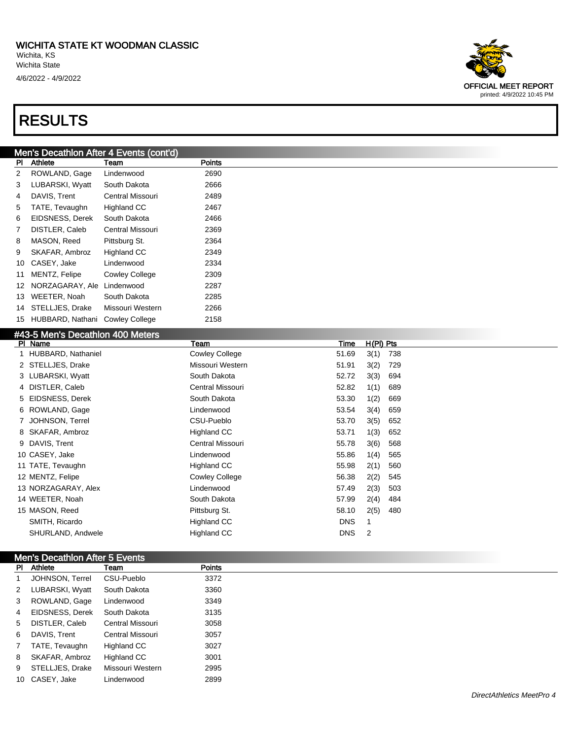#### Men's Decathlon After 4 Events (cont'd)

| PI | Athlete          | Team                  | <b>Points</b> |
|----|------------------|-----------------------|---------------|
| 2  | ROWLAND, Gage    | Lindenwood            | 2690          |
| 3  | LUBARSKI, Wyatt  | South Dakota          | 2666          |
| 4  | DAVIS, Trent     | Central Missouri      | 2489          |
| 5  | TATE, Tevaughn   | <b>Highland CC</b>    | 2467          |
| 6  | EIDSNESS, Derek  | South Dakota          | 2466          |
| 7  | DISTLER, Caleb   | Central Missouri      | 2369          |
| 8  | MASON, Reed      | Pittsburg St.         | 2364          |
| 9  | SKAFAR, Ambroz   | <b>Highland CC</b>    | 2349          |
| 10 | CASEY, Jake      | Lindenwood            | 2334          |
| 11 | MENTZ, Felipe    | <b>Cowley College</b> | 2309          |
| 12 | NORZAGARAY, Ale  | Lindenwood            | 2287          |
| 13 | WEETER, Noah     | South Dakota          | 2285          |
| 14 | STELLJES, Drake  | Missouri Western      | 2266          |
| 15 | HUBBARD, Nathani | <b>Cowley College</b> | 2158          |

#### #43-5 Men's Decathlon 400 Meters

| PI Name              | Team                  | Time       | $H(PI)$ Pts |     |
|----------------------|-----------------------|------------|-------------|-----|
| 1 HUBBARD, Nathaniel | <b>Cowley College</b> | 51.69      | 3(1)        | 738 |
| 2 STELLJES, Drake    | Missouri Western      | 51.91      | 3(2)        | 729 |
| 3 LUBARSKI, Wyatt    | South Dakota          | 52.72      | 3(3)        | 694 |
| 4 DISTLER, Caleb     | Central Missouri      | 52.82      | 1(1)        | 689 |
| 5 EIDSNESS, Derek    | South Dakota          | 53.30      | 1(2)        | 669 |
| 6 ROWLAND, Gage      | Lindenwood            | 53.54      | 3(4)        | 659 |
| 7 JOHNSON, Terrel    | CSU-Pueblo            | 53.70      | 3(5)        | 652 |
| 8 SKAFAR, Ambroz     | Highland CC           | 53.71      | 1(3)        | 652 |
| 9 DAVIS, Trent       | Central Missouri      | 55.78      | 3(6)        | 568 |
| 10 CASEY, Jake       | Lindenwood            | 55.86      | 1(4)        | 565 |
| 11 TATE, Tevaughn    | Highland CC           | 55.98      | 2(1)        | 560 |
| 12 MENTZ, Felipe     | <b>Cowley College</b> | 56.38      | 2(2)        | 545 |
| 13 NORZAGARAY, Alex  | Lindenwood            | 57.49      | 2(3)        | 503 |
| 14 WEETER, Noah      | South Dakota          | 57.99      | 2(4)        | 484 |
| 15 MASON, Reed       | Pittsburg St.         | 58.10      | 2(5)        | 480 |
| SMITH, Ricardo       | Highland CC           | <b>DNS</b> | 1           |     |
| SHURLAND, Andwele    | Highland CC           | <b>DNS</b> | 2           |     |

| Men's Decathlon After 5 Events |                 |                  |               |  |  |  |  |
|--------------------------------|-----------------|------------------|---------------|--|--|--|--|
|                                | PI Athlete      | Team             | <b>Points</b> |  |  |  |  |
|                                | JOHNSON, Terrel | CSU-Pueblo       | 3372          |  |  |  |  |
| $2^{\circ}$                    | LUBARSKI, Wyatt | South Dakota     | 3360          |  |  |  |  |
| 3                              | ROWLAND, Gage   | Lindenwood       | 3349          |  |  |  |  |
| 4                              | EIDSNESS, Derek | South Dakota     | 3135          |  |  |  |  |
| 5 <sub>5</sub>                 | DISTLER, Caleb  | Central Missouri | 3058          |  |  |  |  |
| 6                              | DAVIS, Trent    | Central Missouri | 3057          |  |  |  |  |
| $7^{\circ}$                    | TATE, Tevaughn  | Highland CC      | 3027          |  |  |  |  |
| 8                              | SKAFAR, Ambroz  | Highland CC      | 3001          |  |  |  |  |
| 9                              | STELLJES, Drake | Missouri Western | 2995          |  |  |  |  |
|                                | 10 CASEY, Jake  | Lindenwood       | 2899          |  |  |  |  |

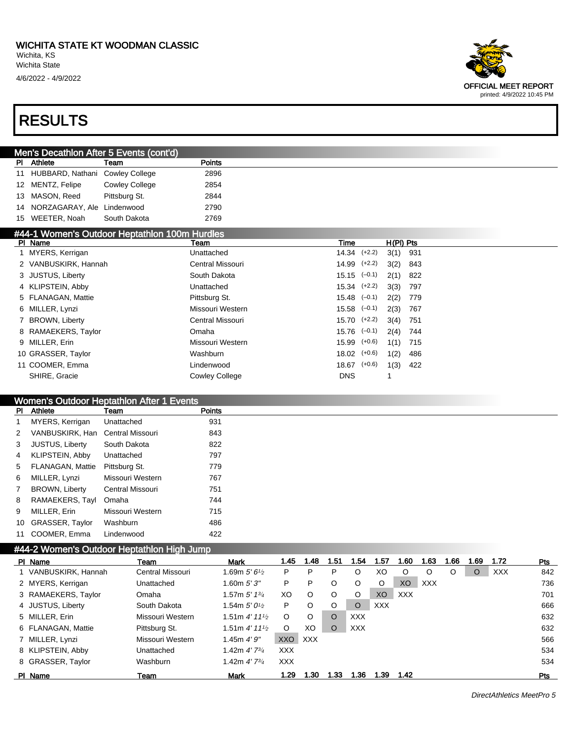4/6/2022 - 4/9/2022



#### RESULTS

|  |                                    | Men's Decathlon After 5 Events (cont'd) |               |  |
|--|------------------------------------|-----------------------------------------|---------------|--|
|  | <b>Athlete</b>                     | Team                                    | <b>Points</b> |  |
|  | 11 HUBBARD, Nathani Cowley College |                                         | 2896          |  |
|  | 12 MENTZ, Felipe                   | <b>Cowley College</b>                   | 2854          |  |
|  | 13 MASON, Reed                     | Pittsburg St.                           | 2844          |  |
|  | 14 NORZAGARAY, Ale Lindenwood      |                                         | 2790          |  |
|  | 15 WEETER, Noah                    | South Dakota                            | 2769          |  |

#### #44-1 Women's Outdoor Heptathlon 100m Hurdles

| PI Name              | Team                  | Time                 | $H(PI)$ Pts |     |
|----------------------|-----------------------|----------------------|-------------|-----|
| 1 MYERS, Kerrigan    | Unattached            | $14.34$ $(+2.2)$     | $3(1)$ 931  |     |
| 2 VANBUSKIRK, Hannah | Central Missouri      | $14.99$ $(+2.2)$     | $3(2)$ 843  |     |
| 3 JUSTUS, Liberty    | South Dakota          | $15.15 \quad (-0.1)$ | 2(1)        | 822 |
| 4 KLIPSTEIN, Abby    | Unattached            | $15.34$ $(+2.2)$     | 3(3)        | 797 |
| 5 FLANAGAN, Mattie   | Pittsburg St.         | $15.48$ $(-0.1)$     | 2(2)        | 779 |
| 6 MILLER, Lynzi      | Missouri Western      | $15.58$ $(-0.1)$     | 2(3)        | 767 |
| 7 BROWN, Liberty     | Central Missouri      | $15.70$ $(+2.2)$     | 3(4)        | 751 |
| 8 RAMAEKERS, Taylor  | Omaha                 | $15.76$ $(-0.1)$     | 2(4)        | 744 |
| 9 MILLER, Erin       | Missouri Western      | 15.99 (+0.6)         | 1(1)        | 715 |
| 10 GRASSER, Taylor   | Washburn              | $18.02$ $(+0.6)$     | 1(2)        | 486 |
| 11 COOMER, Emma      | Lindenwood            | $18.67$ $(+0.6)$     | 1(3)        | 422 |
| SHIRE, Gracie        | <b>Cowley College</b> | <b>DNS</b>           |             |     |

#### Women's Outdoor Heptathlon After 1 Events

| Athlete                | Team             | <b>Points</b> |
|------------------------|------------------|---------------|
| MYERS, Kerrigan        | Unattached       | 931           |
| VANBUSKIRK, Han        | Central Missouri | 843           |
| <b>JUSTUS, Liberty</b> | South Dakota     | 822           |
| KLIPSTEIN, Abby        | Unattached       | 797           |
| FLANAGAN, Mattie       | Pittsburg St.    | 779           |
| MILLER, Lynzi          | Missouri Western | 767           |
| <b>BROWN, Liberty</b>  | Central Missouri | 751           |
| RAMAEKERS, Tayl        | Omaha            | 744           |
| MILLER, Erin           | Missouri Western | 715           |
| GRASSER, Taylor        | Washburn         | 486           |
| COOMER, Emma           | Lindenwood       | 422           |
|                        |                  |               |

#### #44-2 Women's Outdoor Heptathlon High Jump

| PI Name              | Team             | Mark                                      | 1.45       | 1.48       | 1.51 | 1.54       | 1.57       | 1.60       | 1.63       | 1.66 | 1.69    | 1.72       | Pts        |
|----------------------|------------------|-------------------------------------------|------------|------------|------|------------|------------|------------|------------|------|---------|------------|------------|
| 1 VANBUSKIRK, Hannah | Central Missouri | 1.69m $5'6\%$                             | P          | P          | P    |            | XO         |            | O          | O    | $\circ$ | <b>XXX</b> | 842        |
| 2 MYERS, Kerrigan    | Unattached       | 1.60m $5'3''$                             | P          | P          | O    | O          | O          | XO         | <b>XXX</b> |      |         |            | 736        |
| 3 RAMAEKERS, Taylor  | Omaha            | 1.57m $5'$ 1 $\frac{3}{4}$                | XO.        | $\circ$    | O    | O          | XO         | <b>XXX</b> |            |      |         |            | 701        |
| 4 JUSTUS, Liberty    | South Dakota     | 1.54m $5'0\frac{1}{2}$                    | P          | O          | O    | O          | <b>XXX</b> |            |            |      |         |            | 666        |
| 5 MILLER, Erin       | Missouri Western | 1.51m $4'$ 11 <sup>1</sup> / <sub>2</sub> | O          | O          | O    | XXX        |            |            |            |      |         |            | 632        |
| 6 FLANAGAN, Mattie   | Pittsburg St.    | 1.51m $4'$ 11 <sup>1</sup> / <sub>2</sub> | O          | XO         | O    | <b>XXX</b> |            |            |            |      |         |            | 632        |
| 7 MILLER, Lynzi      | Missouri Western | 1.45m $4'9''$                             | <b>XXO</b> | <b>XXX</b> |      |            |            |            |            |      |         |            | 566        |
| 8 KLIPSTEIN, Abby    | Unattached       | 1.42m $4'$ 7 $\frac{3}{4}$                | <b>XXX</b> |            |      |            |            |            |            |      |         |            | 534        |
| 8 GRASSER, Taylor    | Washburn         | 1.42m $4'$ 7 $\frac{3}{4}$                | XXX.       |            |      |            |            |            |            |      |         |            | 534        |
| PI Name              | Team             | <b>Mark</b>                               | 1.29       | 1.30       | 1.33 | 1.36       | 1.39       | 1.42       |            |      |         |            | <b>Pts</b> |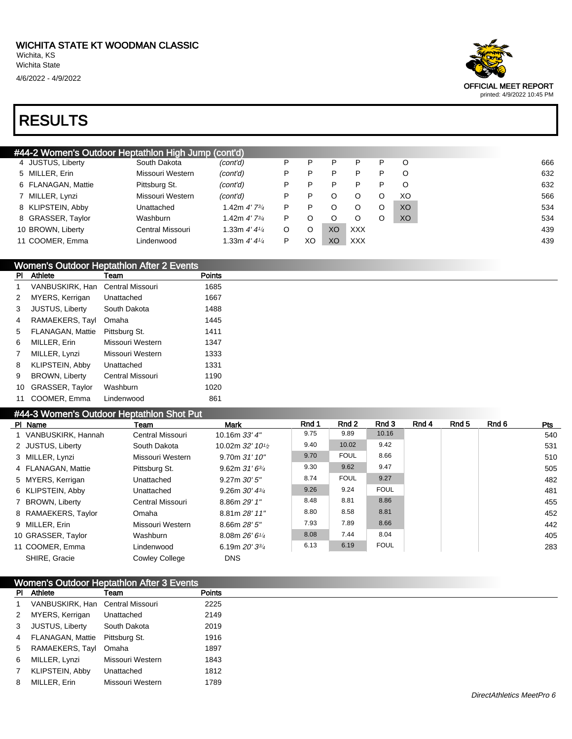



| #44-2 Women's Outdoor Heptathlon High Jump (cont'd) |                  |                                   |   |    |    |            |   |         |  |  |  |  |
|-----------------------------------------------------|------------------|-----------------------------------|---|----|----|------------|---|---------|--|--|--|--|
| 4 JUSTUS, Liberty                                   | South Dakota     | (cont'd)                          | Р | P  | P  | P          | P | O       |  |  |  |  |
| 5 MILLER, Erin                                      | Missouri Western | (cont'd)                          | P |    | P  | P          | P | O       |  |  |  |  |
| 6 FLANAGAN, Mattie                                  | Pittsburg St.    | (cont'd)                          | P | P  | P  | P          | P | $\circ$ |  |  |  |  |
| 7 MILLER, Lynzi                                     | Missouri Western | (cont'd)                          | P | P  | O  | $\Omega$   | O | XO      |  |  |  |  |
| 8 KLIPSTEIN, Abby                                   | Unattached       | 1.42m $4'$ 7 $\frac{3}{4}$        | P | P  | O  | O          | O | XO.     |  |  |  |  |
| 8 GRASSER, Taylor                                   | Washburn         | 1.42m <i>4' 73</i> / <sub>4</sub> | P |    | O  | O          | O | XO      |  |  |  |  |
| 10 BROWN, Liberty                                   | Central Missouri | 1.33m $4'4\frac{1}{4}$            | O |    | XO | <b>XXX</b> |   |         |  |  |  |  |
| 11 COOMER, Emma                                     | Lindenwood       | 1.33m $4'4'4'$                    | P | XC | XO | <b>XXX</b> |   |         |  |  |  |  |
|                                                     |                  |                                   |   |    |    |            |   |         |  |  |  |  |

#### Women's Outdoor Heptathlon After 2 Events

| PI | Athlete                | Team             | <b>Points</b> |
|----|------------------------|------------------|---------------|
| 1  | VANBUSKIRK, Han        | Central Missouri | 1685          |
| 2  | MYERS, Kerrigan        | Unattached       | 1667          |
| 3  | <b>JUSTUS, Liberty</b> | South Dakota     | 1488          |
| 4  | RAMAEKERS, Tayl        | Omaha            | 1445          |
| 5  | FLANAGAN, Mattie       | Pittsburg St.    | 1411          |
| 6  | MILLER, Erin           | Missouri Western | 1347          |
| 7  | MILLER, Lynzi          | Missouri Western | 1333          |
| 8  | <b>KLIPSTEIN, Abby</b> | Unattached       | 1331          |
| 9  | <b>BROWN, Liberty</b>  | Central Missouri | 1190          |
| 10 | GRASSER, Taylor        | Washburn         | 1020          |
| 11 | COOMER, Emma           | Lindenwood       | 861           |

#### #44-3 Women's Outdoor Heptathlon Shot Put

| PI Name              | Team                  | Mark                                        | Rnd 1 | Rnd 2       | Rnd 3       | Rnd 4 | Rnd 5 | Rnd 6 | <b>Pts</b> |
|----------------------|-----------------------|---------------------------------------------|-------|-------------|-------------|-------|-------|-------|------------|
| 1 VANBUSKIRK, Hannah | Central Missouri      | 10.16m $33'$ 4"                             | 9.75  | 9.89        | 10.16       |       |       |       | 540        |
| 2 JUSTUS, Liberty    | South Dakota          | 10.02m $32'$ 10 <sup>1</sup> / <sub>2</sub> | 9.40  | 10.02       | 9.42        |       |       |       | 531        |
| 3 MILLER, Lynzi      | Missouri Western      | $9.70m$ 31' 10"                             | 9.70  | <b>FOUL</b> | 8.66        |       |       |       | 510        |
| 4 FLANAGAN, Mattie   | Pittsburg St.         | 9.62m $31'6^{3/4}$                          | 9.30  | 9.62        | 9.47        |       |       |       | 505        |
| 5 MYERS, Kerrigan    | Unattached            | $9.27m$ $30'5''$                            | 8.74  | <b>FOUL</b> | 9.27        |       |       |       | 482        |
| 6 KLIPSTEIN, Abby    | Unattached            | 9.26m $30'$ $4\frac{3}{4}$                  | 9.26  | 9.24        | <b>FOUL</b> |       |       |       | 481        |
| 7 BROWN, Liberty     | Central Missouri      | 8.86m 29' 1"                                | 8.48  | 8.81        | 8.86        |       |       |       | 455        |
| 8 RAMAEKERS, Taylor  | Omaha                 | 8.81m 28' 11"                               | 8.80  | 8.58        | 8.81        |       |       |       | 452        |
| 9 MILLER, Erin       | Missouri Western      | 8.66m 28' 5''                               | 7.93  | 7.89        | 8.66        |       |       |       | 442        |
| 10 GRASSER, Taylor   | Washburn              | 8.08m $26'6''/4$                            | 8.08  | 7.44        | 8.04        |       |       |       | 405        |
| 11 COOMER, Emma      | Lindenwood            | 6.19m $20'3^{3}/4$                          | 6.13  | 6.19        | <b>FOUL</b> |       |       |       | 283        |
| SHIRE, Gracie        | <b>Cowley College</b> | <b>DNS</b>                                  |       |             |             |       |       |       |            |

|                | Women's Outdoor Heptathlon After 3 Events |                  |               |  |  |  |  |  |
|----------------|-------------------------------------------|------------------|---------------|--|--|--|--|--|
|                | PI Athlete                                | Team             | <b>Points</b> |  |  |  |  |  |
| $\mathbf{1}$   | VANBUSKIRK, Han Central Missouri          |                  | 2225          |  |  |  |  |  |
| $\overline{2}$ | MYERS, Kerrigan                           | Unattached       | 2149          |  |  |  |  |  |
| $3^{\circ}$    | JUSTUS, Liberty                           | South Dakota     | 2019          |  |  |  |  |  |
|                | 4 FLANAGAN, Mattie                        | Pittsburg St.    | 1916          |  |  |  |  |  |
|                | 5 RAMAEKERS, Tayl Omaha                   |                  | 1897          |  |  |  |  |  |
| 6              | MILLER, Lynzi                             | Missouri Western | 1843          |  |  |  |  |  |
| $\overline{7}$ | KLIPSTEIN, Abby                           | Unattached       | 1812          |  |  |  |  |  |
| 8              | MILLER, Erin                              | Missouri Western | 1789          |  |  |  |  |  |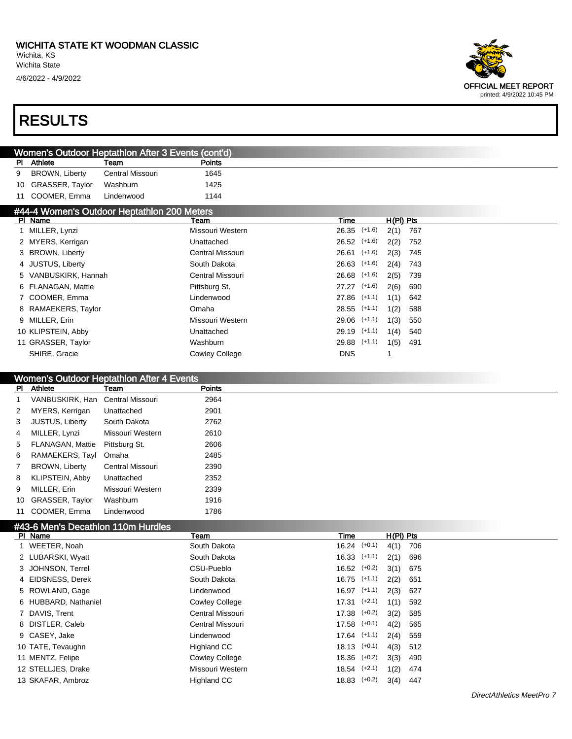

|                                             | Women's Outdoor Heptathlon After 3 Events (cont'd) |                  |               |      |  |             |  |  |  |  |  |
|---------------------------------------------|----------------------------------------------------|------------------|---------------|------|--|-------------|--|--|--|--|--|
| PI.                                         | Athlete                                            | Team             | <b>Points</b> |      |  |             |  |  |  |  |  |
| 9                                           | <b>BROWN, Liberty</b>                              | Central Missouri | 1645          |      |  |             |  |  |  |  |  |
| 10                                          | GRASSER, Taylor                                    | Washburn         | 1425          |      |  |             |  |  |  |  |  |
| 11                                          | COOMER, Emma                                       | Lindenwood       | 1144          |      |  |             |  |  |  |  |  |
| #44-4 Women's Outdoor Heptathlon 200 Meters |                                                    |                  |               |      |  |             |  |  |  |  |  |
|                                             | PI Name                                            |                  | Team          | Time |  | $H(PI)$ Pts |  |  |  |  |  |

| <b>FI NATIG</b>      | ו ווספו               | ,,,,,,           | пти гь |     |
|----------------------|-----------------------|------------------|--------|-----|
| 1 MILLER, Lynzi      | Missouri Western      | $26.35$ $(+1.6)$ | 2(1)   | 767 |
| 2 MYERS, Kerrigan    | Unattached            | $26.52$ $(+1.6)$ | 2(2)   | 752 |
| 3 BROWN, Liberty     | Central Missouri      | $26.61$ (+1.6)   | 2(3)   | 745 |
| 4 JUSTUS, Liberty    | South Dakota          | $26.63$ $(+1.6)$ | 2(4)   | 743 |
| 5 VANBUSKIRK, Hannah | Central Missouri      | $26.68$ $(+1.6)$ | 2(5)   | 739 |
| 6 FLANAGAN, Mattie   | Pittsburg St.         | 27.27 (+1.6)     | 2(6)   | 690 |
| 7 COOMER, Emma       | Lindenwood            | $27.86$ $(+1.1)$ | 1(1)   | 642 |
| 8 RAMAEKERS, Taylor  | Omaha                 | $28.55$ $(+1.1)$ | 1(2)   | 588 |
| 9 MILLER, Erin       | Missouri Western      | 29.06 (+1.1)     | 1(3)   | 550 |
| 10 KLIPSTEIN, Abby   | Unattached            | 29.19 (+1.1)     | 1(4)   | 540 |
| 11 GRASSER, Taylor   | Washburn              | $29.88$ $(+1.1)$ | 1(5)   | 491 |
| SHIRE, Gracie        | <b>Cowley College</b> | <b>DNS</b>       |        |     |
|                      |                       |                  |        |     |

#### Women's Outdoor Heptathlon After 4 Events

| PI.          | Athlete                          | Team             | <b>Points</b> |
|--------------|----------------------------------|------------------|---------------|
|              | VANBUSKIRK, Han Central Missouri |                  | 2964          |
| $2^{\circ}$  | MYERS, Kerrigan                  | Unattached       | 2901          |
| 3            | <b>JUSTUS, Liberty</b>           | South Dakota     | 2762          |
| 4            | MILLER, Lynzi                    | Missouri Western | 2610          |
| 5            | FLANAGAN, Mattie                 | Pittsburg St.    | 2606          |
| 6            | RAMAEKERS, Tayl                  | Omaha            | 2485          |
| $\mathbf{7}$ | <b>BROWN, Liberty</b>            | Central Missouri | 2390          |
| 8            | KLIPSTEIN, Abby                  | Unattached       | 2352          |
| 9            | MILLER, Erin                     | Missouri Western | 2339          |
|              | 10 GRASSER, Taylor               | Washburn         | 1916          |
| 11           | COOMER, Emma                     | Lindenwood       | 1786          |

#### #43-6 Men's Decathlon 110m Hurdles

| PI Name              | Team                  | Time             | $H(PI)$ Pts |
|----------------------|-----------------------|------------------|-------------|
| 1 WEETER, Noah       | South Dakota          | $16.24$ $(+0.1)$ | 4(1)<br>706 |
| 2 LUBARSKI, Wyatt    | South Dakota          | $16.33$ $(+1.1)$ | 2(1)<br>696 |
| 3 JOHNSON, Terrel    | CSU-Pueblo            | $16.52$ $(+0.2)$ | 3(1)<br>675 |
| 4 EIDSNESS, Derek    | South Dakota          | $16.75$ $(+1.1)$ | 2(2)<br>651 |
| 5 ROWLAND, Gage      | Lindenwood            | $16.97$ $(+1.1)$ | 2(3)<br>627 |
| 6 HUBBARD, Nathaniel | <b>Cowley College</b> | $17.31$ $(+2.1)$ | 1(1)<br>592 |
| 7 DAVIS, Trent       | Central Missouri      | $17.38$ $(+0.2)$ | 3(2)<br>585 |
| 8 DISTLER, Caleb     | Central Missouri      | $17.58$ $(+0.1)$ | 4(2)<br>565 |
| 9 CASEY, Jake        | Lindenwood            | $17.64$ $(+1.1)$ | 2(4)<br>559 |
| 10 TATE, Tevaughn    | Highland CC           | $18.13$ $(+0.1)$ | 4(3)<br>512 |
| 11 MENTZ, Felipe     | <b>Cowley College</b> | $18.36$ $(+0.2)$ | 3(3)<br>490 |
| 12 STELLJES, Drake   | Missouri Western      | $18.54$ $(+2.1)$ | 1(2)<br>474 |
| 13 SKAFAR, Ambroz    | Highland CC           | $18.83$ $(+0.2)$ | 3(4)<br>447 |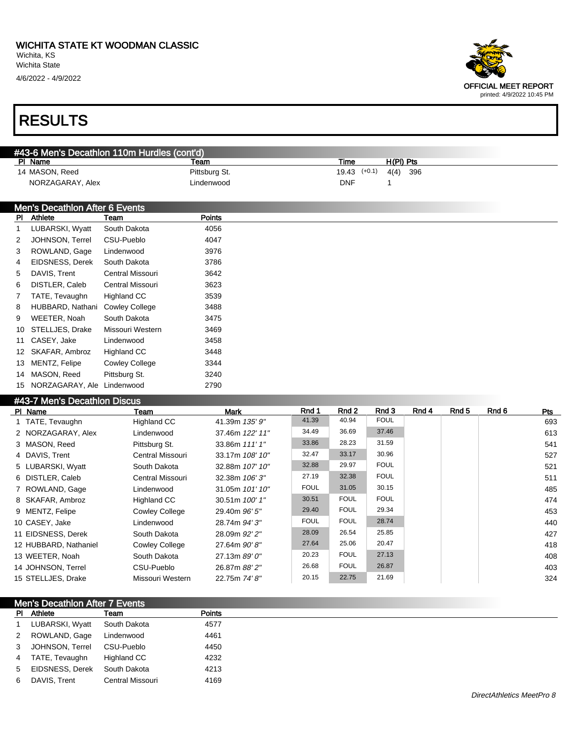

| #43-6 Men's Decathlon 110m Hurdles (cont'd) |                                |                         |               |  |                  |             |     |  |  |  |  |  |
|---------------------------------------------|--------------------------------|-------------------------|---------------|--|------------------|-------------|-----|--|--|--|--|--|
|                                             | PI Name                        |                         | Team          |  | Time             | $H(PI)$ Pts |     |  |  |  |  |  |
|                                             | 14 MASON, Reed                 |                         | Pittsburg St. |  | $19.43$ $(+0.1)$ | 4(4)        | 396 |  |  |  |  |  |
|                                             | NORZAGARAY, Alex               |                         | Lindenwood    |  | <b>DNF</b>       |             |     |  |  |  |  |  |
|                                             |                                |                         |               |  |                  |             |     |  |  |  |  |  |
|                                             | Men's Decathlon After 6 Events |                         |               |  |                  |             |     |  |  |  |  |  |
| PI.                                         | Athlete                        | Team                    | <b>Points</b> |  |                  |             |     |  |  |  |  |  |
|                                             | LUBARSKI, Wyatt                | South Dakota            | 4056          |  |                  |             |     |  |  |  |  |  |
| $\mathbf{2}^{\circ}$                        | JOHNSON, Terrel                | CSU-Pueblo              | 4047          |  |                  |             |     |  |  |  |  |  |
| 3                                           | ROWLAND, Gage                  | Lindenwood              | 3976          |  |                  |             |     |  |  |  |  |  |
| 4                                           | EIDSNESS, Derek                | South Dakota            | 3786          |  |                  |             |     |  |  |  |  |  |
| 5                                           | DAVIS, Trent                   | <b>Central Missouri</b> | 3642          |  |                  |             |     |  |  |  |  |  |
| 6                                           | DISTLER, Caleb                 | Central Missouri        | 3623          |  |                  |             |     |  |  |  |  |  |
| 7                                           | TATE, Tevaughn                 | Highland CC             | 3539          |  |                  |             |     |  |  |  |  |  |
| 8                                           | HUBBARD, Nathani               | <b>Cowley College</b>   | 3488          |  |                  |             |     |  |  |  |  |  |
| 9                                           | WEETER, Noah                   | South Dakota            | 3475          |  |                  |             |     |  |  |  |  |  |
| 10                                          | STELLJES, Drake                | Missouri Western        | 3469          |  |                  |             |     |  |  |  |  |  |
|                                             | 11 CASEY, Jake                 | Lindenwood              | 3458          |  |                  |             |     |  |  |  |  |  |
| 12                                          | SKAFAR, Ambroz                 | Highland CC             | 3448          |  |                  |             |     |  |  |  |  |  |
| 13                                          | MENTZ, Felipe                  | <b>Cowley College</b>   | 3344          |  |                  |             |     |  |  |  |  |  |

#### #43-7 Men's Decathlon Discus

14 MASON, Reed Pittsburg St. 3240 15 NORZAGARAY, Ale Lindenwood 2790

| PI Name               | Team                  | Mark            | Rnd 1       | Rnd 2       | Rnd 3       | Rnd 4 | Rnd 5 | Rnd 6 | Pts |
|-----------------------|-----------------------|-----------------|-------------|-------------|-------------|-------|-------|-------|-----|
| 1 TATE, Tevaughn      | <b>Highland CC</b>    | 41.39m 135' 9"  | 41.39       | 40.94       | <b>FOUL</b> |       |       |       | 693 |
| 2 NORZAGARAY, Alex    | Lindenwood            | 37.46m 122' 11" | 34.49       | 36.69       | 37.46       |       |       |       | 613 |
| 3 MASON, Reed         | Pittsburg St.         | 33.86m 111' 1"  | 33.86       | 28.23       | 31.59       |       |       |       | 541 |
| 4 DAVIS, Trent        | Central Missouri      | 33.17m 108' 10" | 32.47       | 33.17       | 30.96       |       |       |       | 527 |
| 5 LUBARSKI, Wyatt     | South Dakota          | 32.88m 107' 10" | 32.88       | 29.97       | <b>FOUL</b> |       |       |       | 521 |
| 6 DISTLER, Caleb      | Central Missouri      | 32.38m 106' 3"  | 27.19       | 32.38       | <b>FOUL</b> |       |       |       | 511 |
| 7 ROWLAND, Gage       | Lindenwood            | 31.05m 101' 10" | <b>FOUL</b> | 31.05       | 30.15       |       |       |       | 485 |
| 8 SKAFAR, Ambroz      | Highland CC           | 30.51m 100' 1"  | 30.51       | <b>FOUL</b> | <b>FOUL</b> |       |       |       | 474 |
| 9 MENTZ, Felipe       | <b>Cowley College</b> | 29.40m 96' 5"   | 29.40       | <b>FOUL</b> | 29.34       |       |       |       | 453 |
| 10 CASEY, Jake        | Lindenwood            | 28.74m 94' 3"   | <b>FOUL</b> | <b>FOUL</b> | 28.74       |       |       |       | 440 |
| 11 EIDSNESS, Derek    | South Dakota          | 28.09m 92' 2"   | 28.09       | 26.54       | 25.85       |       |       |       | 427 |
| 12 HUBBARD, Nathaniel | <b>Cowley College</b> | 27.64m 90'8"    | 27.64       | 25.06       | 20.47       |       |       |       | 418 |
| 13 WEETER, Noah       | South Dakota          | 27.13m 89' 0"   | 20.23       | <b>FOUL</b> | 27.13       |       |       |       | 408 |
| 14 JOHNSON, Terrel    | CSU-Pueblo            | 26.87m 88' 2"   | 26.68       | <b>FOUL</b> | 26.87       |       |       |       | 403 |
| 15 STELLJES, Drake    | Missouri Western      | 22.75m 74' 8"   | 20.15       | 22.75       | 21.69       |       |       |       | 324 |

|             | <b>Men's Decathlon After 7 Events</b> |                  |               |  |  |  |
|-------------|---------------------------------------|------------------|---------------|--|--|--|
|             | PI Athlete                            | Team             | <b>Points</b> |  |  |  |
|             | LUBARSKI, Wyatt                       | South Dakota     | 4577          |  |  |  |
| $2^{\circ}$ | ROWLAND, Gage                         | Lindenwood       | 4461          |  |  |  |
| 3           | JOHNSON, Terrel                       | CSU-Pueblo       | 4450          |  |  |  |
| 4           | TATE, Tevaughn                        | Highland CC      | 4232          |  |  |  |
| 5           | EIDSNESS, Derek                       | South Dakota     | 4213          |  |  |  |
| 6           | DAVIS, Trent                          | Central Missouri | 4169          |  |  |  |
|             |                                       |                  |               |  |  |  |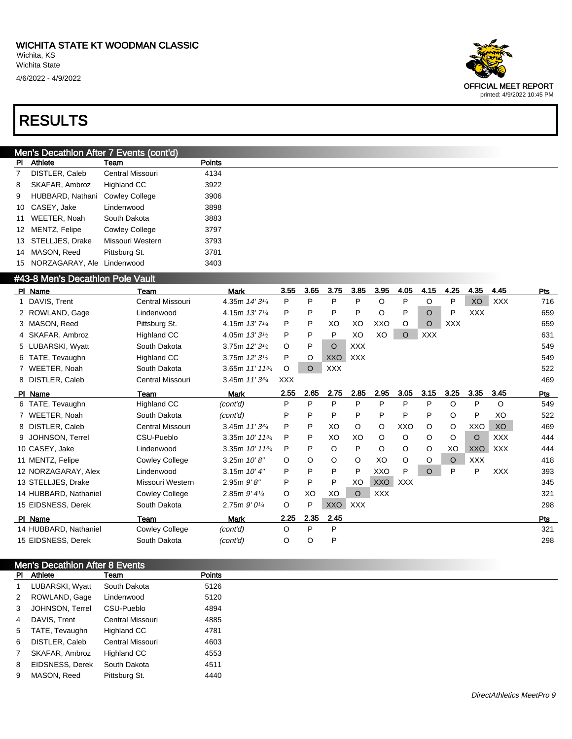

#### Men's Decathlon After 7 Events (cont'd)

| PI | Athlete          | Team                  | Points |
|----|------------------|-----------------------|--------|
| 7  | DISTLER, Caleb   | Central Missouri      | 4134   |
| 8  | SKAFAR, Ambroz   | <b>Highland CC</b>    | 3922   |
| 9  | HUBBARD, Nathani | <b>Cowley College</b> | 3906   |
| 10 | CASEY, Jake      | Lindenwood            | 3898   |
| 11 | WEETER, Noah     | South Dakota          | 3883   |
|    | 12 MENTZ, Felipe | <b>Cowley College</b> | 3797   |
| 13 | STELLJES, Drake  | Missouri Western      | 3793   |
| 14 | MASON, Reed      | Pittsburg St.         | 3781   |
| 15 | NORZAGARAY, Ale  | Lindenwood            | 3403   |
|    |                  |                       |        |

#### #43-8 Men's Decathlon Pole Vault

| P<br>P<br>P<br>P<br>P<br>O<br>P<br>1 DAVIS, Trent<br>Central Missouri<br>4.35m 14' 31/4<br>O<br>XO<br><b>XXX</b><br>716<br>P<br>O<br>P<br><b>XXX</b><br>P<br>P<br>P<br>$\circ$<br>P<br>2 ROWLAND, Gage<br>4.15m 13' 71/4<br>Lindenwood<br>3 MASON, Reed<br>P<br>P<br>XO<br><b>XXO</b><br><b>XXX</b><br>659<br>Pittsburg St.<br>4.15m 13' 71/4<br>XO<br>O<br>O<br>P<br>P<br>P<br>XO<br>XO<br>$\circ$<br><b>XXX</b><br>4 SKAFAR, Ambroz<br><b>Highland CC</b><br>4.05m 13' 31/2<br>631<br><b>XXX</b><br>5 LUBARSKI, Wyatt<br>South Dakota<br>3.75m $12'3^{1/2}$<br>O<br>P<br>$\circ$<br>549<br><b>Highland CC</b><br>3.75m 12' 31/2<br>P<br>549<br>6 TATE, Tevaughn<br>O<br><b>XXO</b><br><b>XXX</b><br><b>XXX</b><br>522<br>7 WEETER, Noah<br>South Dakota<br>3.65m 11' 11 <sup>3/4</sup><br>$\circ$<br>O<br>8 DISTLER, Caleb<br>Central Missouri<br>3.45m 11' 33/4<br><b>XXX</b><br>469<br>2.55<br>2.75<br>2.85<br>3.05<br>3.15<br>3.25<br>3.35<br>2.65<br>2.95<br>3.45<br>Pts<br><b>Mark</b><br>PI Name<br>Team<br>P<br>P<br>P<br>P<br>P<br>P<br>P<br>P<br>Highland CC<br>(cont'd)<br>O<br>O<br>549<br>6 TATE, Tevaughn<br>P<br>P<br>P<br>P<br>P<br>P<br>O<br>P<br>P<br>522<br>7 WEETER, Noah<br>South Dakota<br>XO<br>(cont'd)<br>P<br>P<br>XO<br>8 DISTLER, Caleb<br>Central Missouri<br>$\circ$<br>O<br>XXO<br>O<br>O<br><b>XXO</b><br><b>XO</b><br>469<br>3.45m $11'3^{3/4}$<br>XO<br>$\circ$<br><b>XXX</b><br>444<br>CSU-Pueblo<br>3.35m 10' 11 <sup>3/4</sup><br>P<br>P<br>XO<br>O<br>O<br>O<br>9 JOHNSON, Terrel<br>$\circ$<br>P<br>O<br>P<br>O<br>XO<br>444<br>10 CASEY, Jake<br>Lindenwood<br>3.35m $10'$ 11 $\frac{3}{4}$<br>P<br>O<br>O<br>XXO<br><b>XXX</b><br><b>XXX</b><br><b>Cowley College</b><br>3.25m 10'8''<br>O<br>O<br>$\circ$<br>XO<br>O<br>O<br>418<br>11 MENTZ, Felipe<br>O<br>$\circ$<br>P<br>P<br>P<br>P<br>P<br>P<br>XXO<br>$\circ$<br>P<br><b>XXX</b><br>3.15m $10'4''$<br>393<br>12 NORZAGARAY, Alex<br>Lindenwood<br>P<br>P<br>P<br><b>XXO</b><br><b>XXX</b><br>345<br>13 STELLJES, Drake<br>Missouri Western<br>$2.95m$ $9'8''$<br>XO<br>XO<br>XO<br><b>XXX</b><br>14 HUBBARD, Nathaniel<br><b>Cowley College</b><br>2.85m $9'$ 4 $\frac{1}{4}$<br>$\circ$<br>$\circ$<br>321<br><b>XXX</b><br>15 EIDSNESS, Derek<br>O<br>P<br><b>XXO</b><br>South Dakota<br>2.75m $9'0\frac{1}{4}$<br>298<br>2.35<br>2.45<br>2.25<br>Pts<br>PI Name<br>Mark<br>Team<br>P<br>P<br>O<br>14 HUBBARD, Nathaniel<br>Cowley College<br>(cont'd)<br>321<br>15 EIDSNESS, Derek<br>O<br>O<br>P<br>298<br>South Dakota<br>(cont'd) | PI Name | Team | Mark | 3.55 | 3.65 | 3.75 | 3.85 | 3.95 | 4.05 | 4.15 | 4.25 | 4.35 | 4.45 | Pts |
|------------------------------------------------------------------------------------------------------------------------------------------------------------------------------------------------------------------------------------------------------------------------------------------------------------------------------------------------------------------------------------------------------------------------------------------------------------------------------------------------------------------------------------------------------------------------------------------------------------------------------------------------------------------------------------------------------------------------------------------------------------------------------------------------------------------------------------------------------------------------------------------------------------------------------------------------------------------------------------------------------------------------------------------------------------------------------------------------------------------------------------------------------------------------------------------------------------------------------------------------------------------------------------------------------------------------------------------------------------------------------------------------------------------------------------------------------------------------------------------------------------------------------------------------------------------------------------------------------------------------------------------------------------------------------------------------------------------------------------------------------------------------------------------------------------------------------------------------------------------------------------------------------------------------------------------------------------------------------------------------------------------------------------------------------------------------------------------------------------------------------------------------------------------------------------------------------------------------------------------------------------------------------------------------------------------------------------------------------------------------------------------------------------------------------------------------------------------------------------------------------------------------------------------|---------|------|------|------|------|------|------|------|------|------|------|------|------|-----|
|                                                                                                                                                                                                                                                                                                                                                                                                                                                                                                                                                                                                                                                                                                                                                                                                                                                                                                                                                                                                                                                                                                                                                                                                                                                                                                                                                                                                                                                                                                                                                                                                                                                                                                                                                                                                                                                                                                                                                                                                                                                                                                                                                                                                                                                                                                                                                                                                                                                                                                                                          |         |      |      |      |      |      |      |      |      |      |      |      |      |     |
|                                                                                                                                                                                                                                                                                                                                                                                                                                                                                                                                                                                                                                                                                                                                                                                                                                                                                                                                                                                                                                                                                                                                                                                                                                                                                                                                                                                                                                                                                                                                                                                                                                                                                                                                                                                                                                                                                                                                                                                                                                                                                                                                                                                                                                                                                                                                                                                                                                                                                                                                          |         |      |      |      |      |      |      |      |      |      |      |      |      | 659 |
|                                                                                                                                                                                                                                                                                                                                                                                                                                                                                                                                                                                                                                                                                                                                                                                                                                                                                                                                                                                                                                                                                                                                                                                                                                                                                                                                                                                                                                                                                                                                                                                                                                                                                                                                                                                                                                                                                                                                                                                                                                                                                                                                                                                                                                                                                                                                                                                                                                                                                                                                          |         |      |      |      |      |      |      |      |      |      |      |      |      |     |
|                                                                                                                                                                                                                                                                                                                                                                                                                                                                                                                                                                                                                                                                                                                                                                                                                                                                                                                                                                                                                                                                                                                                                                                                                                                                                                                                                                                                                                                                                                                                                                                                                                                                                                                                                                                                                                                                                                                                                                                                                                                                                                                                                                                                                                                                                                                                                                                                                                                                                                                                          |         |      |      |      |      |      |      |      |      |      |      |      |      |     |
|                                                                                                                                                                                                                                                                                                                                                                                                                                                                                                                                                                                                                                                                                                                                                                                                                                                                                                                                                                                                                                                                                                                                                                                                                                                                                                                                                                                                                                                                                                                                                                                                                                                                                                                                                                                                                                                                                                                                                                                                                                                                                                                                                                                                                                                                                                                                                                                                                                                                                                                                          |         |      |      |      |      |      |      |      |      |      |      |      |      |     |
|                                                                                                                                                                                                                                                                                                                                                                                                                                                                                                                                                                                                                                                                                                                                                                                                                                                                                                                                                                                                                                                                                                                                                                                                                                                                                                                                                                                                                                                                                                                                                                                                                                                                                                                                                                                                                                                                                                                                                                                                                                                                                                                                                                                                                                                                                                                                                                                                                                                                                                                                          |         |      |      |      |      |      |      |      |      |      |      |      |      |     |
|                                                                                                                                                                                                                                                                                                                                                                                                                                                                                                                                                                                                                                                                                                                                                                                                                                                                                                                                                                                                                                                                                                                                                                                                                                                                                                                                                                                                                                                                                                                                                                                                                                                                                                                                                                                                                                                                                                                                                                                                                                                                                                                                                                                                                                                                                                                                                                                                                                                                                                                                          |         |      |      |      |      |      |      |      |      |      |      |      |      |     |
|                                                                                                                                                                                                                                                                                                                                                                                                                                                                                                                                                                                                                                                                                                                                                                                                                                                                                                                                                                                                                                                                                                                                                                                                                                                                                                                                                                                                                                                                                                                                                                                                                                                                                                                                                                                                                                                                                                                                                                                                                                                                                                                                                                                                                                                                                                                                                                                                                                                                                                                                          |         |      |      |      |      |      |      |      |      |      |      |      |      |     |
|                                                                                                                                                                                                                                                                                                                                                                                                                                                                                                                                                                                                                                                                                                                                                                                                                                                                                                                                                                                                                                                                                                                                                                                                                                                                                                                                                                                                                                                                                                                                                                                                                                                                                                                                                                                                                                                                                                                                                                                                                                                                                                                                                                                                                                                                                                                                                                                                                                                                                                                                          |         |      |      |      |      |      |      |      |      |      |      |      |      |     |
|                                                                                                                                                                                                                                                                                                                                                                                                                                                                                                                                                                                                                                                                                                                                                                                                                                                                                                                                                                                                                                                                                                                                                                                                                                                                                                                                                                                                                                                                                                                                                                                                                                                                                                                                                                                                                                                                                                                                                                                                                                                                                                                                                                                                                                                                                                                                                                                                                                                                                                                                          |         |      |      |      |      |      |      |      |      |      |      |      |      |     |
|                                                                                                                                                                                                                                                                                                                                                                                                                                                                                                                                                                                                                                                                                                                                                                                                                                                                                                                                                                                                                                                                                                                                                                                                                                                                                                                                                                                                                                                                                                                                                                                                                                                                                                                                                                                                                                                                                                                                                                                                                                                                                                                                                                                                                                                                                                                                                                                                                                                                                                                                          |         |      |      |      |      |      |      |      |      |      |      |      |      |     |
|                                                                                                                                                                                                                                                                                                                                                                                                                                                                                                                                                                                                                                                                                                                                                                                                                                                                                                                                                                                                                                                                                                                                                                                                                                                                                                                                                                                                                                                                                                                                                                                                                                                                                                                                                                                                                                                                                                                                                                                                                                                                                                                                                                                                                                                                                                                                                                                                                                                                                                                                          |         |      |      |      |      |      |      |      |      |      |      |      |      |     |
|                                                                                                                                                                                                                                                                                                                                                                                                                                                                                                                                                                                                                                                                                                                                                                                                                                                                                                                                                                                                                                                                                                                                                                                                                                                                                                                                                                                                                                                                                                                                                                                                                                                                                                                                                                                                                                                                                                                                                                                                                                                                                                                                                                                                                                                                                                                                                                                                                                                                                                                                          |         |      |      |      |      |      |      |      |      |      |      |      |      |     |
|                                                                                                                                                                                                                                                                                                                                                                                                                                                                                                                                                                                                                                                                                                                                                                                                                                                                                                                                                                                                                                                                                                                                                                                                                                                                                                                                                                                                                                                                                                                                                                                                                                                                                                                                                                                                                                                                                                                                                                                                                                                                                                                                                                                                                                                                                                                                                                                                                                                                                                                                          |         |      |      |      |      |      |      |      |      |      |      |      |      |     |
|                                                                                                                                                                                                                                                                                                                                                                                                                                                                                                                                                                                                                                                                                                                                                                                                                                                                                                                                                                                                                                                                                                                                                                                                                                                                                                                                                                                                                                                                                                                                                                                                                                                                                                                                                                                                                                                                                                                                                                                                                                                                                                                                                                                                                                                                                                                                                                                                                                                                                                                                          |         |      |      |      |      |      |      |      |      |      |      |      |      |     |
|                                                                                                                                                                                                                                                                                                                                                                                                                                                                                                                                                                                                                                                                                                                                                                                                                                                                                                                                                                                                                                                                                                                                                                                                                                                                                                                                                                                                                                                                                                                                                                                                                                                                                                                                                                                                                                                                                                                                                                                                                                                                                                                                                                                                                                                                                                                                                                                                                                                                                                                                          |         |      |      |      |      |      |      |      |      |      |      |      |      |     |
|                                                                                                                                                                                                                                                                                                                                                                                                                                                                                                                                                                                                                                                                                                                                                                                                                                                                                                                                                                                                                                                                                                                                                                                                                                                                                                                                                                                                                                                                                                                                                                                                                                                                                                                                                                                                                                                                                                                                                                                                                                                                                                                                                                                                                                                                                                                                                                                                                                                                                                                                          |         |      |      |      |      |      |      |      |      |      |      |      |      |     |
|                                                                                                                                                                                                                                                                                                                                                                                                                                                                                                                                                                                                                                                                                                                                                                                                                                                                                                                                                                                                                                                                                                                                                                                                                                                                                                                                                                                                                                                                                                                                                                                                                                                                                                                                                                                                                                                                                                                                                                                                                                                                                                                                                                                                                                                                                                                                                                                                                                                                                                                                          |         |      |      |      |      |      |      |      |      |      |      |      |      |     |
|                                                                                                                                                                                                                                                                                                                                                                                                                                                                                                                                                                                                                                                                                                                                                                                                                                                                                                                                                                                                                                                                                                                                                                                                                                                                                                                                                                                                                                                                                                                                                                                                                                                                                                                                                                                                                                                                                                                                                                                                                                                                                                                                                                                                                                                                                                                                                                                                                                                                                                                                          |         |      |      |      |      |      |      |      |      |      |      |      |      |     |
|                                                                                                                                                                                                                                                                                                                                                                                                                                                                                                                                                                                                                                                                                                                                                                                                                                                                                                                                                                                                                                                                                                                                                                                                                                                                                                                                                                                                                                                                                                                                                                                                                                                                                                                                                                                                                                                                                                                                                                                                                                                                                                                                                                                                                                                                                                                                                                                                                                                                                                                                          |         |      |      |      |      |      |      |      |      |      |      |      |      |     |
|                                                                                                                                                                                                                                                                                                                                                                                                                                                                                                                                                                                                                                                                                                                                                                                                                                                                                                                                                                                                                                                                                                                                                                                                                                                                                                                                                                                                                                                                                                                                                                                                                                                                                                                                                                                                                                                                                                                                                                                                                                                                                                                                                                                                                                                                                                                                                                                                                                                                                                                                          |         |      |      |      |      |      |      |      |      |      |      |      |      |     |
|                                                                                                                                                                                                                                                                                                                                                                                                                                                                                                                                                                                                                                                                                                                                                                                                                                                                                                                                                                                                                                                                                                                                                                                                                                                                                                                                                                                                                                                                                                                                                                                                                                                                                                                                                                                                                                                                                                                                                                                                                                                                                                                                                                                                                                                                                                                                                                                                                                                                                                                                          |         |      |      |      |      |      |      |      |      |      |      |      |      |     |

#### Men's Decathlon After 8 Events<br>PL Athlete Team PI Athlete Team **Points**

|   | , ,,, ,, ,,     | .                  | .    |
|---|-----------------|--------------------|------|
| 1 | LUBARSKI, Wyatt | South Dakota       | 5126 |
| 2 | ROWLAND, Gage   | Lindenwood         | 5120 |
| 3 | JOHNSON, Terrel | CSU-Pueblo         | 4894 |
| 4 | DAVIS, Trent    | Central Missouri   | 4885 |
| 5 | TATE, Tevaughn  | <b>Highland CC</b> | 4781 |
| 6 | DISTLER, Caleb  | Central Missouri   | 4603 |
| 7 | SKAFAR, Ambroz  | <b>Highland CC</b> | 4553 |
| 8 | EIDSNESS, Derek | South Dakota       | 4511 |
| 9 | MASON, Reed     | Pittsburg St.      | 4440 |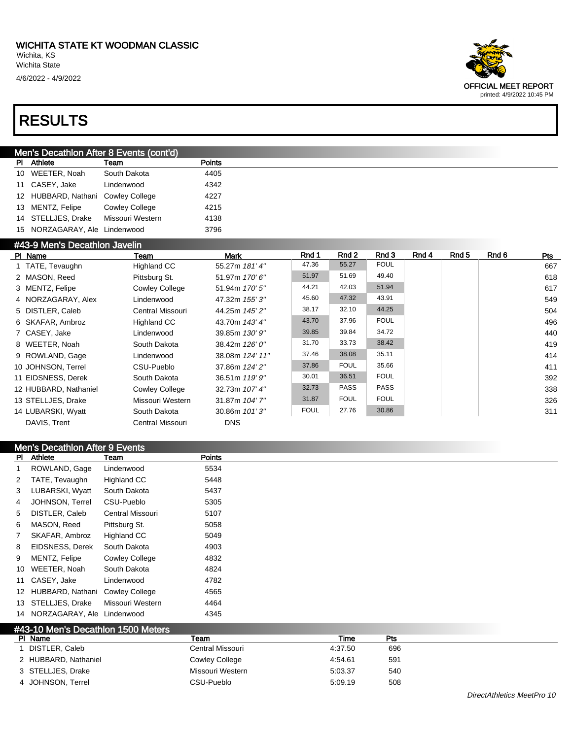

#### Men's Decathlon After 8 Events (cont'd)

| Athlete                            | Team                  | Points |
|------------------------------------|-----------------------|--------|
| 10 WEETER, Noah                    | South Dakota          | 4405   |
| 11 CASEY, Jake                     | Lindenwood            | 4342   |
| 12 HUBBARD, Nathani Cowley College |                       | 4227   |
| 13 MENTZ, Felipe                   | <b>Cowley College</b> | 4215   |
| 14 STELLJES, Drake                 | Missouri Western      | 4138   |
| 15 NORZAGARAY, Ale Lindenwood      |                       | 3796   |

#### #43-9 Men's Decathlon Javelin

| $\pi$ to $\approx$ ivights becausive to avenue |                       |                 |             |             |             |       |       |       |            |
|------------------------------------------------|-----------------------|-----------------|-------------|-------------|-------------|-------|-------|-------|------------|
| PI Name                                        | Team                  | Mark            | Rnd 1       | Rnd 2       | Rnd 3       | Rnd 4 | Rnd 5 | Rnd 6 | <b>Pts</b> |
| 1 TATE, Tevaughn                               | <b>Highland CC</b>    | 55.27m 181' 4"  | 47.36       | 55.27       | <b>FOUL</b> |       |       |       | 667        |
| 2 MASON, Reed                                  | Pittsburg St.         | 51.97m 170' 6"  | 51.97       | 51.69       | 49.40       |       |       |       | 618        |
| 3 MENTZ, Felipe                                | <b>Cowley College</b> | 51.94m 170' 5"  | 44.21       | 42.03       | 51.94       |       |       |       | 617        |
| 4 NORZAGARAY, Alex                             | Lindenwood            | 47.32m 155' 3"  | 45.60       | 47.32       | 43.91       |       |       |       | 549        |
| 5 DISTLER, Caleb                               | Central Missouri      | 44.25m 145' 2"  | 38.17       | 32.10       | 44.25       |       |       |       | 504        |
| 6 SKAFAR, Ambroz                               | Highland CC           | 43.70m 143' 4"  | 43.70       | 37.96       | <b>FOUL</b> |       |       |       | 496        |
| 7 CASEY, Jake                                  | Lindenwood            | 39.85m 130' 9"  | 39.85       | 39.84       | 34.72       |       |       |       | 440        |
| 8 WEETER, Noah                                 | South Dakota          | 38.42m 126' 0"  | 31.70       | 33.73       | 38.42       |       |       |       | 419        |
| 9 ROWLAND, Gage                                | Lindenwood            | 38.08m 124' 11" | 37.46       | 38.08       | 35.11       |       |       |       | 414        |
| 10 JOHNSON, Terrel                             | CSU-Pueblo            | 37.86m 124' 2"  | 37.86       | <b>FOUL</b> | 35.66       |       |       |       | 411        |
| 11 EIDSNESS, Derek                             | South Dakota          | 36.51m 119' 9"  | 30.01       | 36.51       | <b>FOUL</b> |       |       |       | 392        |
| 12 HUBBARD, Nathaniel                          | <b>Cowley College</b> | 32.73m 107' 4"  | 32.73       | <b>PASS</b> | <b>PASS</b> |       |       |       | 338        |
| 13 STELLJES, Drake                             | Missouri Western      | 31.87m 104' 7"  | 31.87       | <b>FOUL</b> | <b>FOUL</b> |       |       |       | 326        |
| 14 LUBARSKI, Wyatt                             | South Dakota          | 30.86m 101'3"   | <b>FOUL</b> | 27.76       | 30.86       |       |       |       | 311        |
| DAVIS, Trent                                   | Central Missouri      | <b>DNS</b>      |             |             |             |       |       |       |            |

|                | <b>Men's Decathlon After 9 Events</b> |                       |               |  |  |  |  |
|----------------|---------------------------------------|-----------------------|---------------|--|--|--|--|
| PI.            | Athlete                               | Team                  | <b>Points</b> |  |  |  |  |
| 1              | ROWLAND, Gage                         | Lindenwood            | 5534          |  |  |  |  |
| 2              | TATE, Tevaughn                        | Highland CC           | 5448          |  |  |  |  |
| 3              | LUBARSKI, Wyatt                       | South Dakota          | 5437          |  |  |  |  |
| 4              | JOHNSON, Terrel                       | CSU-Pueblo            | 5305          |  |  |  |  |
| 5              | DISTLER, Caleb                        | Central Missouri      | 5107          |  |  |  |  |
| 6              | MASON, Reed                           | Pittsburg St.         | 5058          |  |  |  |  |
| $\overline{7}$ | SKAFAR, Ambroz                        | Highland CC           | 5049          |  |  |  |  |
| 8              | EIDSNESS, Derek                       | South Dakota          | 4903          |  |  |  |  |
| 9              | MENTZ, Felipe                         | <b>Cowley College</b> | 4832          |  |  |  |  |
| 10             | WEETER, Noah                          | South Dakota          | 4824          |  |  |  |  |
| 11             | CASEY, Jake                           | Lindenwood            | 4782          |  |  |  |  |
|                | 12 HUBBARD, Nathani Cowley College    |                       | 4565          |  |  |  |  |
|                | 13 STELLJES, Drake                    | Missouri Western      | 4464          |  |  |  |  |
|                | 14 NORZAGARAY, Ale Lindenwood         |                       | 4345          |  |  |  |  |

| #43-10 Men's Decathlon 1500 Meters |                       |         |     |  |
|------------------------------------|-----------------------|---------|-----|--|
| PI Name                            | Team                  | Time    | Pts |  |
| DISTLER, Caleb                     | Central Missouri      | 4:37.50 | 696 |  |
| 2 HUBBARD, Nathaniel               | <b>Cowley College</b> | 4:54.61 | 591 |  |
| 3 STELLJES, Drake                  | Missouri Western      | 5:03.37 | 540 |  |
| 4 JOHNSON, Terrel                  | CSU-Pueblo            | 5:09.19 | 508 |  |

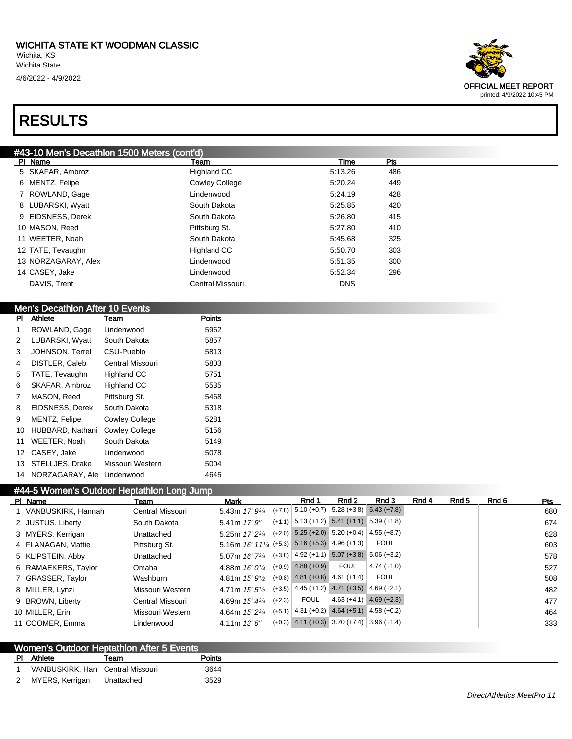

#### Men's Decathlon After 10 Events

| PI | Athlete          | Team                  | <b>Points</b> |
|----|------------------|-----------------------|---------------|
| 1  | ROWLAND, Gage    | Lindenwood            | 5962          |
| 2  | LUBARSKI, Wyatt  | South Dakota          | 5857          |
| 3  | JOHNSON, Terrel  | CSU-Pueblo            | 5813          |
| 4  | DISTLER, Caleb   | Central Missouri      | 5803          |
| 5  | TATE, Tevaughn   | <b>Highland CC</b>    | 5751          |
| 6  | SKAFAR, Ambroz   | <b>Highland CC</b>    | 5535          |
| 7  | MASON, Reed      | Pittsburg St.         | 5468          |
| 8  | EIDSNESS, Derek  | South Dakota          | 5318          |
| 9  | MENTZ, Felipe    | <b>Cowley College</b> | 5281          |
| 10 | HUBBARD, Nathani | <b>Cowley College</b> | 5156          |
| 11 | WEETER, Noah     | South Dakota          | 5149          |
| 12 | CASEY, Jake      | Lindenwood            | 5078          |
| 13 | STELLJES, Drake  | Missouri Western      | 5004          |
| 14 | NORZAGARAY, Ale  | Lindenwood            | 4645          |

#### #44-5 Women's Outdoor Heptathlon Long Jump

| Team                                                                                                                                                                                                                                          | Mark |                                                                                                                                                                                                                                           | Rnd 1       | Rnd 2       | Rnd 3                                            | Rnd 4                                                                                                                                                                                                                                                                                                                                                                                                                                                                           | Rnd 5 | Rnd 6 | Pts                                                         |
|-----------------------------------------------------------------------------------------------------------------------------------------------------------------------------------------------------------------------------------------------|------|-------------------------------------------------------------------------------------------------------------------------------------------------------------------------------------------------------------------------------------------|-------------|-------------|--------------------------------------------------|---------------------------------------------------------------------------------------------------------------------------------------------------------------------------------------------------------------------------------------------------------------------------------------------------------------------------------------------------------------------------------------------------------------------------------------------------------------------------------|-------|-------|-------------------------------------------------------------|
| Central Missouri                                                                                                                                                                                                                              |      |                                                                                                                                                                                                                                           |             |             |                                                  |                                                                                                                                                                                                                                                                                                                                                                                                                                                                                 |       |       | 680                                                         |
| South Dakota                                                                                                                                                                                                                                  |      |                                                                                                                                                                                                                                           |             |             |                                                  |                                                                                                                                                                                                                                                                                                                                                                                                                                                                                 |       |       | 674                                                         |
| Unattached                                                                                                                                                                                                                                    |      |                                                                                                                                                                                                                                           |             |             |                                                  |                                                                                                                                                                                                                                                                                                                                                                                                                                                                                 |       |       | 628                                                         |
| Pittsburg St.                                                                                                                                                                                                                                 |      |                                                                                                                                                                                                                                           |             |             | <b>FOUL</b>                                      |                                                                                                                                                                                                                                                                                                                                                                                                                                                                                 |       |       | 603                                                         |
| Unattached                                                                                                                                                                                                                                    |      |                                                                                                                                                                                                                                           |             |             |                                                  |                                                                                                                                                                                                                                                                                                                                                                                                                                                                                 |       |       | 578                                                         |
| Omaha                                                                                                                                                                                                                                         |      |                                                                                                                                                                                                                                           |             | <b>FOUL</b> | $4.74(+1.0)$                                     |                                                                                                                                                                                                                                                                                                                                                                                                                                                                                 |       |       | 527                                                         |
| Washburn                                                                                                                                                                                                                                      |      |                                                                                                                                                                                                                                           |             |             | <b>FOUL</b>                                      |                                                                                                                                                                                                                                                                                                                                                                                                                                                                                 |       |       | 508                                                         |
| Missouri Western                                                                                                                                                                                                                              |      |                                                                                                                                                                                                                                           |             |             |                                                  |                                                                                                                                                                                                                                                                                                                                                                                                                                                                                 |       |       | 482                                                         |
| Central Missouri                                                                                                                                                                                                                              |      |                                                                                                                                                                                                                                           | <b>FOUL</b> |             |                                                  |                                                                                                                                                                                                                                                                                                                                                                                                                                                                                 |       |       | 477                                                         |
| Missouri Western                                                                                                                                                                                                                              |      |                                                                                                                                                                                                                                           |             |             |                                                  |                                                                                                                                                                                                                                                                                                                                                                                                                                                                                 |       |       | 464                                                         |
| Lindenwood                                                                                                                                                                                                                                    |      |                                                                                                                                                                                                                                           |             |             |                                                  |                                                                                                                                                                                                                                                                                                                                                                                                                                                                                 |       |       | 333                                                         |
| PI Name<br>1 VANBUSKIRK, Hannah<br>2 JUSTUS, Liberty<br>3 MYERS, Kerrigan<br>4 FLANAGAN, Mattie<br>5 KLIPSTEIN, Abby<br>6 RAMAEKERS, Taylor<br>7 GRASSER, Taylor<br>8 MILLER, Lynzi<br>9 BROWN, Liberty<br>10 MILLER, Erin<br>11 COOMER, Emma |      | 5.43m $17'$ $9\frac{3}{4}$<br>5.41m $17'$ $9''$<br>5.25m $17'$ $2\frac{3}{4}$<br>5.07m 16' 73/4<br>4.88m $16'0\frac{1}{4}$<br>4.81m $15'9\frac{1}{2}$<br>4.71m $15'5''2$<br>4.69m $15' 4^{3/4}$<br>4.64m $15'2^{3/4}$<br>$4.11m$ $13'6''$ |             | $(+2.3)$    | $(+7.8)$ 5.10 $(+0.7)$<br>$(+0.9)$ 4.88 $(+0.9)$ | $5.28 (+3.8) 5.43 (+7.8)$<br>$(+1.1)$ 5.13 (+1.2) 5.41 (+1.1) 5.39 (+1.8)<br>$(+2.0)$ 5.25 $(+2.0)$ 5.20 $(+0.4)$ 4.55 $(+8.7)$<br>5.16m $16'$ $11'$ / <sub>4</sub> (+5.3) 5.16 (+5.3) 4.96 (+1.3)<br>$(+3.8)$ 4.92 (+1.1) 5.07 (+3.8) 5.06 (+3.2)<br>$(+0.8)$ 4.81 $(+0.8)$ 4.61 $(+1.4)$<br>$(+3.5)$ 4.45 (+1.2) 4.71 (+3.5) 4.69 (+2.1)<br>$4.63 (+4.1)$ $4.69 (+2.3)$<br>$(+5.1)$ 4.31 (+0.2) 4.64 (+5.1) 4.58 (+0.2)<br>$(+0.3)$ 4.11 $(+0.3)$ 3.70 $(+7.4)$ 3.96 $(+1.4)$ |       |       | $H + 1$ . The property of the control of the control $\sim$ |

| Women's Outdoor Heptathlon After 5 Events |                                  |            |        |  |  |  |  |
|-------------------------------------------|----------------------------------|------------|--------|--|--|--|--|
|                                           | PI Athlete                       | eam        | Points |  |  |  |  |
|                                           | VANBUSKIRK, Han Central Missouri |            | 3644   |  |  |  |  |
|                                           | 2 MYERS, Kerrigan                | Unattached | 3529   |  |  |  |  |

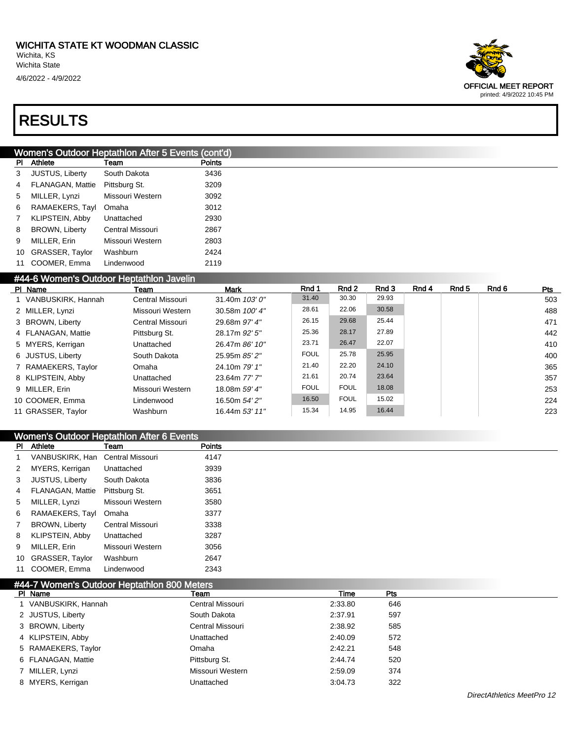

|    | Women's Outdoor Heptathlon After 5 Events (cont'd) |                  |               |  |  |  |  |  |
|----|----------------------------------------------------|------------------|---------------|--|--|--|--|--|
| ΡI | Athlete                                            | Team             | <b>Points</b> |  |  |  |  |  |
| 3  | <b>JUSTUS, Liberty</b>                             | South Dakota     | 3436          |  |  |  |  |  |
| 4  | <b>FLANAGAN, Mattie</b>                            | Pittsburg St.    | 3209          |  |  |  |  |  |
| 5  | MILLER, Lynzi                                      | Missouri Western | 3092          |  |  |  |  |  |
| 6  | RAMAEKERS, Tayl                                    | Omaha            | 3012          |  |  |  |  |  |
| 7  | KLIPSTEIN, Abby                                    | Unattached       | 2930          |  |  |  |  |  |
| 8  | <b>BROWN, Liberty</b>                              | Central Missouri | 2867          |  |  |  |  |  |
| 9  | MILLER, Erin                                       | Missouri Western | 2803          |  |  |  |  |  |
| 10 | <b>GRASSER, Taylor</b>                             | Washburn         | 2424          |  |  |  |  |  |
| 11 | COOMER, Emma                                       | Lindenwood       | 2119          |  |  |  |  |  |

#### #44-6 Women's Outdoor Heptathlon Javelin

| PI Name              | Team             | Mark             | Rnd 1       | Rnd 2       | Rnd 3 | Rnd 4 | Rnd 5 | Rnd 6 | Pts |
|----------------------|------------------|------------------|-------------|-------------|-------|-------|-------|-------|-----|
| 1 VANBUSKIRK, Hannah | Central Missouri | 31.40m $103'0''$ | 31.40       | 30.30       | 29.93 |       |       |       | 503 |
| 2 MILLER, Lynzi      | Missouri Western | 30.58m 100' 4"   | 28.61       | 22.06       | 30.58 |       |       |       | 488 |
| 3 BROWN, Liberty     | Central Missouri | 29.68m 97' 4"    | 26.15       | 29.68       | 25.44 |       |       |       | 471 |
| 4 FLANAGAN, Mattie   | Pittsburg St.    | 28.17m 92' 5"    | 25.36       | 28.17       | 27.89 |       |       |       | 442 |
| 5 MYERS, Kerrigan    | Unattached       | 26.47m 86' 10"   | 23.71       | 26.47       | 22.07 |       |       |       | 410 |
| 6 JUSTUS, Liberty    | South Dakota     | 25.95m 85' 2"    | <b>FOUL</b> | 25.78       | 25.95 |       |       |       | 400 |
| 7 RAMAEKERS, Taylor  | Omaha            | 24.10m 79' 1"    | 21.40       | 22.20       | 24.10 |       |       |       | 365 |
| 8 KLIPSTEIN, Abby    | Unattached       | 23.64m 77' 7"    | 21.61       | 20.74       | 23.64 |       |       |       | 357 |
| 9 MILLER, Erin       | Missouri Western | 18.08m 59' 4"    | <b>FOUL</b> | <b>FOUL</b> | 18.08 |       |       |       | 253 |
| 10 COOMER, Emma      | Lindenwood       | 16.50m 54' 2"    | 16.50       | <b>FOUL</b> | 15.02 |       |       |       | 224 |
| 11 GRASSER, Taylor   | Washburn         | 16.44m 53' 11"   | 15.34       | 14.95       | 16.44 |       |       |       | 223 |

#### Women's Outdoor Heptathlon After 6 Events

| <b>PI</b>      | Athlete                          | Team             | <b>Points</b> |
|----------------|----------------------------------|------------------|---------------|
|                | VANBUSKIRK, Han Central Missouri |                  | 4147          |
| 2              | MYERS, Kerrigan                  | Unattached       | 3939          |
| 3              | <b>JUSTUS, Liberty</b>           | South Dakota     | 3836          |
| 4              | FLANAGAN, Mattie                 | Pittsburg St.    | 3651          |
| 5              | MILLER, Lynzi                    | Missouri Western | 3580          |
| 6              | RAMAEKERS, Tayl                  | Omaha            | 3377          |
| $\overline{7}$ | <b>BROWN, Liberty</b>            | Central Missouri | 3338          |
| 8              | KLIPSTEIN, Abby                  | Unattached       | 3287          |
| 9              | MILLER, Erin                     | Missouri Western | 3056          |
|                | 10 GRASSER, Taylor               | Washburn         | 2647          |
| 11             | COOMER, Emma                     | Lindenwood       | 2343          |

| #44-7 Women's Outdoor Heptathlon 800 Meters |                  |         |     |  |  |  |  |  |
|---------------------------------------------|------------------|---------|-----|--|--|--|--|--|
| PI Name                                     | Team             | Time    | Pts |  |  |  |  |  |
| VANBUSKIRK, Hannah                          | Central Missouri | 2:33.80 | 646 |  |  |  |  |  |
| 2 JUSTUS, Liberty                           | South Dakota     | 2:37.91 | 597 |  |  |  |  |  |
| 3 BROWN, Liberty                            | Central Missouri | 2:38.92 | 585 |  |  |  |  |  |
| 4 KLIPSTEIN, Abby                           | Unattached       | 2:40.09 | 572 |  |  |  |  |  |
| 5 RAMAEKERS, Taylor                         | Omaha            | 2:42.21 | 548 |  |  |  |  |  |
| 6 FLANAGAN, Mattie                          | Pittsburg St.    | 2:44.74 | 520 |  |  |  |  |  |
| 7 MILLER, Lynzi                             | Missouri Western | 2:59.09 | 374 |  |  |  |  |  |
| 8 MYERS, Kerrigan                           | Unattached       | 3:04.73 | 322 |  |  |  |  |  |
|                                             |                  |         |     |  |  |  |  |  |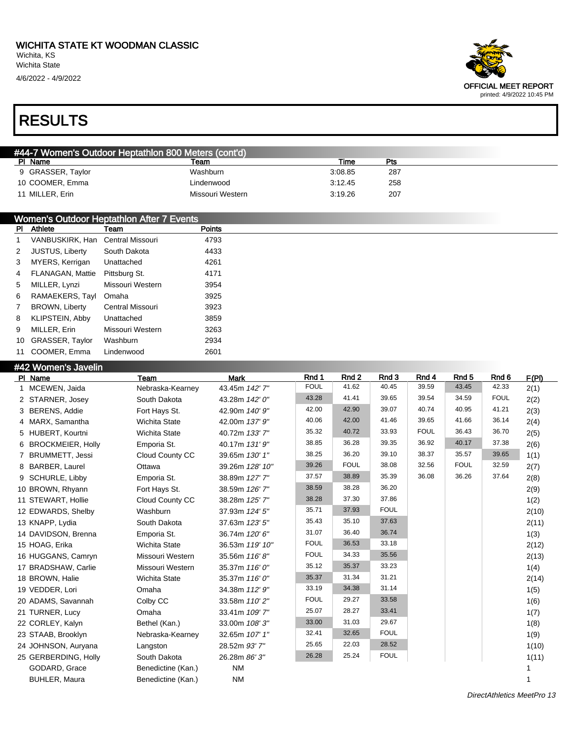

| #44-7 Women's Outdoor Heptathlon 800 Meters (cont'd) |                  |         |     |  |  |  |  |
|------------------------------------------------------|------------------|---------|-----|--|--|--|--|
| PI Name                                              | Team             | Time    | Pts |  |  |  |  |
| 9 GRASSER, Taylor                                    | Washburn         | 3:08.85 | 287 |  |  |  |  |
| 10 COOMER, Emma                                      | Lindenwood       | 3:12.45 | 258 |  |  |  |  |
| 11 MILLER, Erin                                      | Missouri Western | 3:19.26 | 207 |  |  |  |  |

|                | Women's Outdoor Heptathlon After 7 Events |                  |               |  |  |  |  |
|----------------|-------------------------------------------|------------------|---------------|--|--|--|--|
| PI.            | Athlete                                   | Team             | <b>Points</b> |  |  |  |  |
| 1              | VANBUSKIRK, Han                           | Central Missouri | 4793          |  |  |  |  |
| 2              | <b>JUSTUS, Liberty</b>                    | South Dakota     | 4433          |  |  |  |  |
| 3              | MYERS, Kerrigan                           | Unattached       | 4261          |  |  |  |  |
| $\overline{4}$ | FLANAGAN, Mattie                          | Pittsburg St.    | 4171          |  |  |  |  |
| 5              | MILLER, Lynzi                             | Missouri Western | 3954          |  |  |  |  |
| 6              | RAMAEKERS, Tayl                           | Omaha            | 3925          |  |  |  |  |
| $\overline{7}$ | <b>BROWN, Liberty</b>                     | Central Missouri | 3923          |  |  |  |  |
| 8              | KLIPSTEIN, Abby                           | Unattached       | 3859          |  |  |  |  |
| 9              | MILLER, Erin                              | Missouri Western | 3263          |  |  |  |  |
| 10             | GRASSER, Taylor                           | Washburn         | 2934          |  |  |  |  |
|                | 11 COOMER, Emma                           | Lindenwood       | 2601          |  |  |  |  |

#### #42 Women's Javelin

| PI Name              | Team                 | <b>Mark</b>     | Rnd 1       | Rnd 2       | Rnd 3       | Rnd 4       | Rnd <sub>5</sub> | Rnd 6       | F(PI) |
|----------------------|----------------------|-----------------|-------------|-------------|-------------|-------------|------------------|-------------|-------|
| 1 MCEWEN, Jaida      | Nebraska-Kearney     | 43.45m 142' 7"  | <b>FOUL</b> | 41.62       | 40.45       | 39.59       | 43.45            | 42.33       | 2(1)  |
| 2 STARNER, Josey     | South Dakota         | 43.28m 142' 0"  | 43.28       | 41.41       | 39.65       | 39.54       | 34.59            | <b>FOUL</b> | 2(2)  |
| 3 BERENS, Addie      | Fort Hays St.        | 42.90m 140' 9"  | 42.00       | 42.90       | 39.07       | 40.74       | 40.95            | 41.21       | 2(3)  |
| 4 MARX, Samantha     | <b>Wichita State</b> | 42.00m 137' 9"  | 40.06       | 42.00       | 41.46       | 39.65       | 41.66            | 36.14       | 2(4)  |
| 5 HUBERT, Kourtni    | <b>Wichita State</b> | 40.72m 133'7"   | 35.32       | 40.72       | 33.93       | <b>FOUL</b> | 36.43            | 36.70       | 2(5)  |
| 6 BROCKMEIER, Holly  | Emporia St.          | 40.17m 131' 9"  | 38.85       | 36.28       | 39.35       | 36.92       | 40.17            | 37.38       | 2(6)  |
| 7 BRUMMETT, Jessi    | Cloud County CC      | 39.65m 130' 1"  | 38.25       | 36.20       | 39.10       | 38.37       | 35.57            | 39.65       | 1(1)  |
| 8 BARBER, Laurel     | Ottawa               | 39.26m 128' 10" | 39.26       | <b>FOUL</b> | 38.08       | 32.56       | <b>FOUL</b>      | 32.59       | 2(7)  |
| 9 SCHURLE, Libby     | Emporia St.          | 38.89m 127' 7"  | 37.57       | 38.89       | 35.39       | 36.08       | 36.26            | 37.64       | 2(8)  |
| 10 BROWN, Rhyann     | Fort Hays St.        | 38.59m 126' 7"  | 38.59       | 38.28       | 36.20       |             |                  |             | 2(9)  |
| 11 STEWART, Hollie   | Cloud County CC      | 38.28m 125' 7"  | 38.28       | 37.30       | 37.86       |             |                  |             | 1(2)  |
| 12 EDWARDS, Shelby   | Washburn             | 37.93m 124' 5"  | 35.71       | 37.93       | <b>FOUL</b> |             |                  |             | 2(10) |
| 13 KNAPP, Lydia      | South Dakota         | 37.63m 123' 5"  | 35.43       | 35.10       | 37.63       |             |                  |             | 2(11) |
| 14 DAVIDSON, Brenna  | Emporia St.          | 36.74m 120' 6"  | 31.07       | 36.40       | 36.74       |             |                  |             | 1(3)  |
| 15 HOAG, Erika       | <b>Wichita State</b> | 36.53m 119' 10" | <b>FOUL</b> | 36.53       | 33.18       |             |                  |             | 2(12) |
| 16 HUGGANS, Camryn   | Missouri Western     | 35.56m 116'8"   | <b>FOUL</b> | 34.33       | 35.56       |             |                  |             | 2(13) |
| 17 BRADSHAW, Carlie  | Missouri Western     | 35.37m 116' 0"  | 35.12       | 35.37       | 33.23       |             |                  |             | 1(4)  |
| 18 BROWN, Halie      | <b>Wichita State</b> | 35.37m 116' 0"  | 35.37       | 31.34       | 31.21       |             |                  |             | 2(14) |
| 19 VEDDER, Lori      | Omaha                | 34.38m 112' 9"  | 33.19       | 34.38       | 31.14       |             |                  |             | 1(5)  |
| 20 ADAMS, Savannah   | Colby CC             | 33.58m 110'2"   | <b>FOUL</b> | 29.27       | 33.58       |             |                  |             | 1(6)  |
| 21 TURNER, Lucy      | Omaha                | 33.41m 109' 7"  | 25.07       | 28.27       | 33.41       |             |                  |             | 1(7)  |
| 22 CORLEY, Kalyn     | Bethel (Kan.)        | 33.00m 108'3"   | 33.00       | 31.03       | 29.67       |             |                  |             | 1(8)  |
| 23 STAAB, Brooklyn   | Nebraska-Kearney     | 32.65m 107' 1"  | 32.41       | 32.65       | <b>FOUL</b> |             |                  |             | 1(9)  |
| 24 JOHNSON, Auryana  | Langston             | 28.52m 93'7"    | 25.65       | 22.03       | 28.52       |             |                  |             | 1(10) |
| 25 GERBERDING, Holly | South Dakota         | 26.28m 86'3"    | 26.28       | 25.24       | <b>FOUL</b> |             |                  |             | 1(11) |
| GODARD, Grace        | Benedictine (Kan.)   | <b>NM</b>       |             |             |             |             |                  |             |       |
| <b>BUHLER, Maura</b> | Benedictine (Kan.)   | <b>NM</b>       |             |             |             |             |                  |             |       |

DirectAthletics MeetPro 13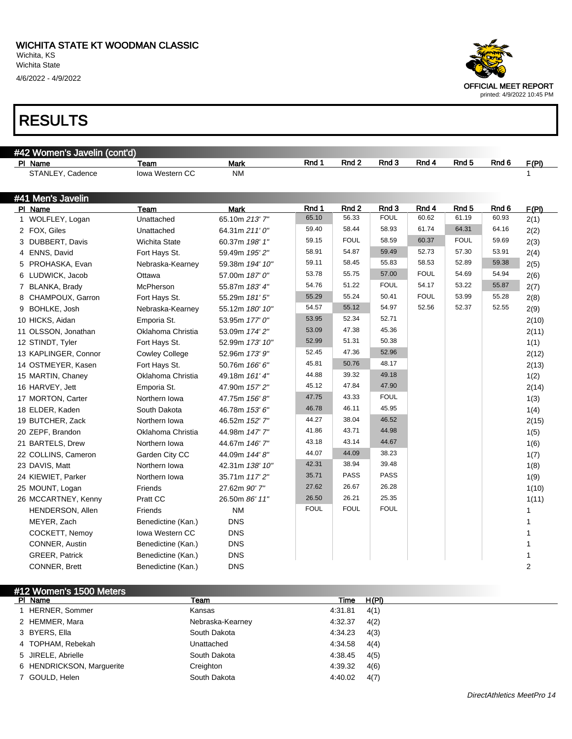

| #42 Women's Javelin (cont'd) |                       |                        |                 |             |                  |             |             |                  |       |       |
|------------------------------|-----------------------|------------------------|-----------------|-------------|------------------|-------------|-------------|------------------|-------|-------|
|                              | PI Name               | Team                   | <b>Mark</b>     | Rnd 1       | Rnd <sub>2</sub> | Rnd 3       | Rnd 4       | Rnd <sub>5</sub> | Rnd 6 | F(PI) |
|                              | STANLEY, Cadence      | Iowa Western CC        | <b>NM</b>       |             |                  |             |             |                  |       | 1     |
|                              |                       |                        |                 |             |                  |             |             |                  |       |       |
|                              | #41 Men's Javelin     |                        |                 |             |                  |             |             |                  |       |       |
|                              | PI Name               | Team                   | <b>Mark</b>     | Rnd 1       | Rnd <sub>2</sub> | Rnd 3       | Rnd 4       | Rnd <sub>5</sub> | Rnd 6 | F(PI) |
|                              | 1 WOLFLEY, Logan      | Unattached             | 65.10m 213'7"   | 65.10       | 56.33            | <b>FOUL</b> | 60.62       | 61.19            | 60.93 | 2(1)  |
|                              | 2 FOX, Giles          | Unattached             | 64.31m 211' 0"  | 59.40       | 58.44            | 58.93       | 61.74       | 64.31            | 64.16 | 2(2)  |
|                              | 3 DUBBERT, Davis      | Wichita State          | 60.37m 198' 1"  | 59.15       | <b>FOUL</b>      | 58.59       | 60.37       | <b>FOUL</b>      | 59.69 | 2(3)  |
| 4                            | ENNS, David           | Fort Hays St.          | 59.49m 195' 2"  | 58.91       | 54.87            | 59.49       | 52.73       | 57.30            | 53.91 | 2(4)  |
| 5                            | PROHASKA, Evan        | Nebraska-Kearney       | 59.38m 194' 10" | 59.11       | 58.45            | 55.83       | 58.53       | 52.89            | 59.38 | 2(5)  |
|                              | 6 LUDWICK, Jacob      | Ottawa                 | 57.00m 187' 0"  | 53.78       | 55.75            | 57.00       | <b>FOUL</b> | 54.69            | 54.94 | 2(6)  |
| 7                            | BLANKA, Brady         | McPherson              | 55.87m 183' 4"  | 54.76       | 51.22            | <b>FOUL</b> | 54.17       | 53.22            | 55.87 | 2(7)  |
|                              | 8 CHAMPOUX, Garron    | Fort Hays St.          | 55.29m 181' 5"  | 55.29       | 55.24            | 50.41       | <b>FOUL</b> | 53.99            | 55.28 | 2(8)  |
| 9                            | BOHLKE, Josh          | Nebraska-Kearney       | 55.12m 180' 10" | 54.57       | 55.12            | 54.97       | 52.56       | 52.37            | 52.55 | 2(9)  |
|                              | 10 HICKS, Aidan       | Emporia St.            | 53.95m 177' 0"  | 53.95       | 52.34            | 52.71       |             |                  |       | 2(10) |
|                              | 11 OLSSON, Jonathan   | Oklahoma Christia      | 53.09m 174' 2"  | 53.09       | 47.38            | 45.36       |             |                  |       | 2(11) |
|                              | 12 STINDT, Tyler      | Fort Hays St.          | 52.99m 173' 10" | 52.99       | 51.31            | 50.38       |             |                  |       | 1(1)  |
|                              | 13 KAPLINGER, Connor  | <b>Cowley College</b>  | 52.96m 173' 9"  | 52.45       | 47.36            | 52.96       |             |                  |       | 2(12) |
|                              | 14 OSTMEYER, Kasen    | Fort Hays St.          | 50.76m 166' 6"  | 45.81       | 50.76            | 48.17       |             |                  |       | 2(13) |
|                              | 15 MARTIN, Chaney     | Oklahoma Christia      | 49.18m 161' 4"  | 44.88       | 39.32            | 49.18       |             |                  |       | 1(2)  |
|                              | 16 HARVEY, Jett       | Emporia St.            | 47.90m 157' 2"  | 45.12       | 47.84            | 47.90       |             |                  |       | 2(14) |
|                              | 17 MORTON, Carter     | Northern Iowa          | 47.75m 156'8"   | 47.75       | 43.33            | <b>FOUL</b> |             |                  |       | 1(3)  |
|                              | 18 ELDER, Kaden       | South Dakota           | 46.78m 153' 6"  | 46.78       | 46.11            | 45.95       |             |                  |       | 1(4)  |
|                              | 19 BUTCHER, Zack      | Northern Iowa          | 46.52m 152' 7"  | 44.27       | 38.04            | 46.52       |             |                  |       | 2(15) |
|                              | 20 ZEPF, Brandon      | Oklahoma Christia      | 44.98m 147' 7"  | 41.86       | 43.71            | 44.98       |             |                  |       | 1(5)  |
|                              | 21 BARTELS, Drew      | Northern Iowa          | 44.67m 146' 7"  | 43.18       | 43.14            | 44.67       |             |                  |       | 1(6)  |
|                              | 22 COLLINS, Cameron   | Garden City CC         | 44.09m 144' 8"  | 44.07       | 44.09            | 38.23       |             |                  |       | 1(7)  |
|                              | 23 DAVIS, Matt        | Northern Iowa          | 42.31m 138' 10" | 42.31       | 38.94            | 39.48       |             |                  |       | 1(8)  |
|                              | 24 KIEWIET, Parker    | Northern Iowa          | 35.71m 117' 2"  | 35.71       | <b>PASS</b>      | <b>PASS</b> |             |                  |       | 1(9)  |
|                              | 25 MOUNT, Logan       | Friends                | 27.62m 90' 7"   | 27.62       | 26.67            | 26.28       |             |                  |       | 1(10) |
|                              | 26 MCCARTNEY, Kenny   | Pratt CC               | 26.50m 86' 11"  | 26.50       | 26.21            | 25.35       |             |                  |       | 1(11) |
|                              | HENDERSON, Allen      | Friends                | <b>NM</b>       | <b>FOUL</b> | <b>FOUL</b>      | <b>FOUL</b> |             |                  |       | 1     |
|                              | MEYER, Zach           | Benedictine (Kan.)     | <b>DNS</b>      |             |                  |             |             |                  |       | 1     |
|                              | COCKETT, Nemoy        | <b>Iowa Western CC</b> | <b>DNS</b>      |             |                  |             |             |                  |       | 1     |
|                              | <b>CONNER, Austin</b> | Benedictine (Kan.)     | <b>DNS</b>      |             |                  |             |             |                  |       | 1     |
|                              | GREER, Patrick        | Benedictine (Kan.)     | <b>DNS</b>      |             |                  |             |             |                  |       | 1     |
|                              | CONNER, Brett         | Benedictine (Kan.)     | <b>DNS</b>      |             |                  |             |             |                  |       | 2     |

#12 Women's 1500 Meters<br>PI Name PI Name Team Team Team Team Team Time H(PI) 1 HERNER, Sommer **Kansas 1 HERNER, Sommer Kansas 1**:31.81 4(1) 2 HEMMER, Mara 2 Arr 2010 Nebraska-Kearney 2 HEMMER, Mara 2011 3 BYERS, Ella South Dakota 6 and 4:34.23 4(3) 4 TOPHAM, Rebekah Unattached Unattached 4:34.58 4(4) 5 JIRELE, Abrielle **South Dakota** 5 JIRELE, Abrielle 4:38.45 4(5) 6 HENDRICKSON, Marguerite Creighton 4:39.32 4(6) 7 GOULD, Helen South Dakota **5000 South Dakota** 4:40.02 4(7)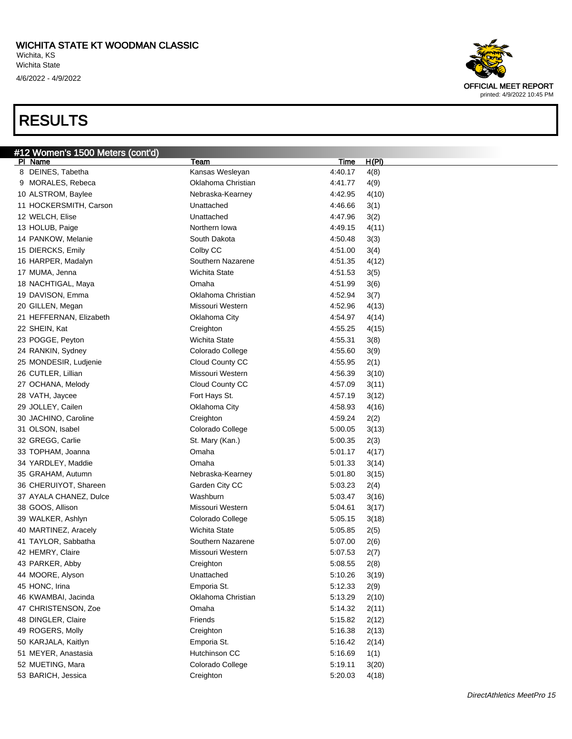#### WICHITA STATE KT WOODMAN CLASSIC Wichita, KS Wichita State 4/6/2022 - 4/9/2022



| #12 Women's 1500 Meters (cont'd)        |                      |                      |
|-----------------------------------------|----------------------|----------------------|
| PI Name                                 | Team                 | <u>H(PI)</u><br>Time |
| 8 DEINES, Tabetha                       | Kansas Wesleyan      | 4:40.17<br>4(8)      |
| 9 MORALES, Rebeca                       | Oklahoma Christian   | 4:41.77<br>4(9)      |
| 10 ALSTROM, Baylee                      | Nebraska-Kearney     | 4:42.95<br>4(10)     |
| 11 HOCKERSMITH, Carson                  | Unattached           | 4:46.66<br>3(1)      |
| 12 WELCH, Elise                         | Unattached           | 4:47.96<br>3(2)      |
| 13 HOLUB, Paige                         | Northern Iowa        | 4:49.15<br>4(11)     |
| 14 PANKOW, Melanie                      | South Dakota         | 4:50.48<br>3(3)      |
| 15 DIERCKS, Emily                       | Colby CC             | 4:51.00<br>3(4)      |
| 16 HARPER, Madalyn                      | Southern Nazarene    | 4:51.35<br>4(12)     |
| 17 MUMA, Jenna                          | Wichita State        | 4:51.53<br>3(5)      |
| 18 NACHTIGAL, Maya                      | Omaha                | 4:51.99<br>3(6)      |
| 19 DAVISON, Emma                        | Oklahoma Christian   | 4:52.94<br>3(7)      |
| 20 GILLEN, Megan                        | Missouri Western     | 4:52.96<br>4(13)     |
| 21 HEFFERNAN, Elizabeth                 | Oklahoma City        | 4:54.97<br>4(14)     |
| 22 SHEIN, Kat                           | Creighton            | 4:55.25<br>4(15)     |
| 23 POGGE, Peyton                        | <b>Wichita State</b> | 4:55.31<br>3(8)      |
| 24 RANKIN, Sydney                       | Colorado College     | 4:55.60<br>3(9)      |
| 25 MONDESIR, Ludjenie                   | Cloud County CC      | 4:55.95<br>2(1)      |
| 26 CUTLER, Lillian                      | Missouri Western     | 4:56.39<br>3(10)     |
| 27 OCHANA, Melody                       | Cloud County CC      | 4:57.09<br>3(11)     |
| 28 VATH, Jaycee                         | Fort Hays St.        | 4:57.19<br>3(12)     |
| 29 JOLLEY, Cailen                       | Oklahoma City        | 4:58.93<br>4(16)     |
| 30 JACHINO, Caroline                    | Creighton            | 4:59.24<br>2(2)      |
| 31 OLSON, Isabel                        | Colorado College     | 5:00.05<br>3(13)     |
| 32 GREGG, Carlie                        | St. Mary (Kan.)      | 5:00.35<br>2(3)      |
| 33 TOPHAM, Joanna                       | Omaha                | 5:01.17<br>4(17)     |
| 34 YARDLEY, Maddie                      | Omaha                | 5:01.33<br>3(14)     |
| 35 GRAHAM, Autumn                       | Nebraska-Kearney     | 5:01.80<br>3(15)     |
| 36 CHERUIYOT, Shareen                   | Garden City CC       | 5:03.23<br>2(4)      |
| 37 AYALA CHANEZ, Dulce                  | Washburn             | 5:03.47<br>3(16)     |
| 38 GOOS, Allison                        | Missouri Western     | 5:04.61<br>3(17)     |
| 39 WALKER, Ashlyn                       | Colorado College     | 5:05.15<br>3(18)     |
|                                         | Wichita State        |                      |
| 40 MARTINEZ, Aracely                    | Southern Nazarene    | 5:05.85<br>2(5)      |
| 41 TAYLOR, Sabbatha<br>42 HEMRY, Claire | Missouri Western     | 5:07.00<br>2(6)      |
|                                         |                      | 5:07.53<br>2(7)      |
| 43 PARKER, Abby                         | Creighton            | 5:08.55<br>2(8)      |
| 44 MOORE, Alyson                        | Unattached           | 5:10.26<br>3(19)     |
| 45 HONC, Irina                          | Emporia St.          | 5:12.33<br>2(9)      |
| 46 KWAMBAI, Jacinda                     | Oklahoma Christian   | 5:13.29<br>2(10)     |
| 47 CHRISTENSON, Zoe                     | Omaha                | 5:14.32<br>2(11)     |
| 48 DINGLER, Claire                      | Friends              | 5:15.82<br>2(12)     |
| 49 ROGERS, Molly                        | Creighton            | 5:16.38<br>2(13)     |
| 50 KARJALA, Kaitlyn                     | Emporia St.          | 5:16.42<br>2(14)     |
| 51 MEYER, Anastasia                     | Hutchinson CC        | 5:16.69<br>1(1)      |
| 52 MUETING, Mara                        | Colorado College     | 5:19.11<br>3(20)     |
| 53 BARICH, Jessica                      | Creighton            | 5:20.03<br>4(18)     |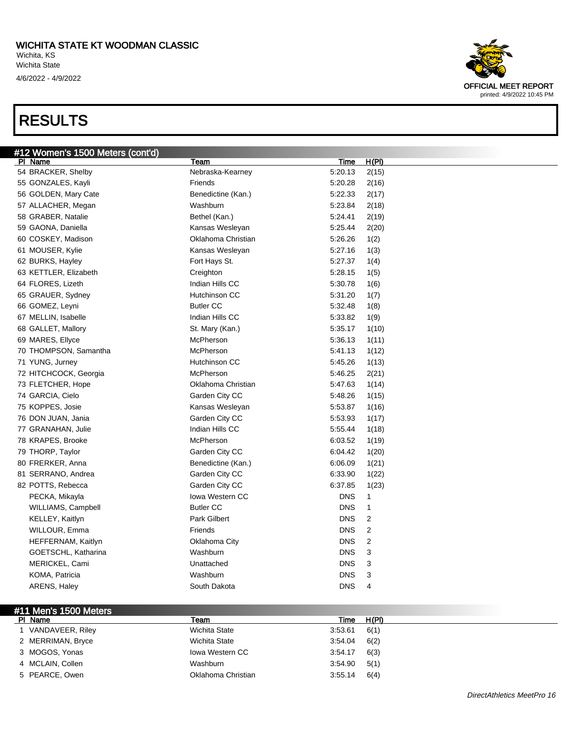

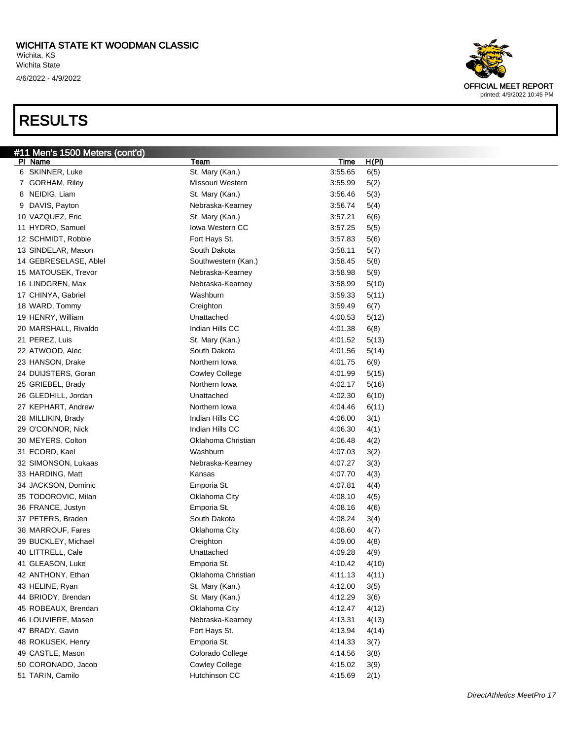

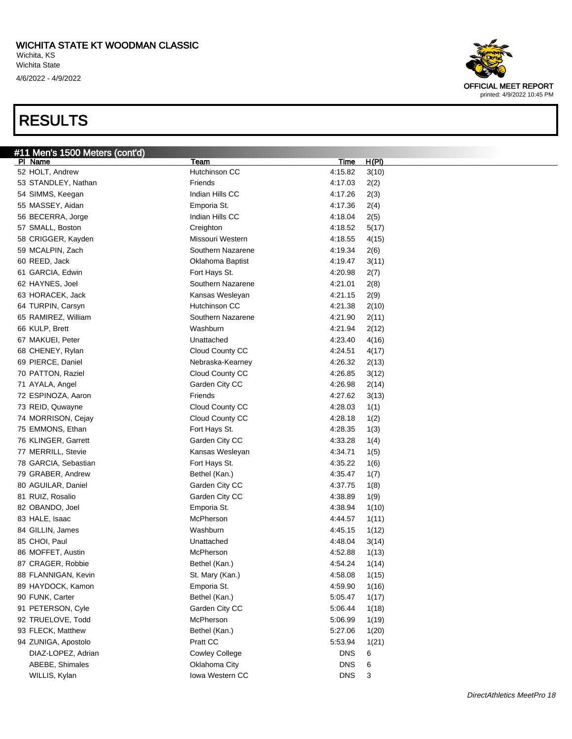

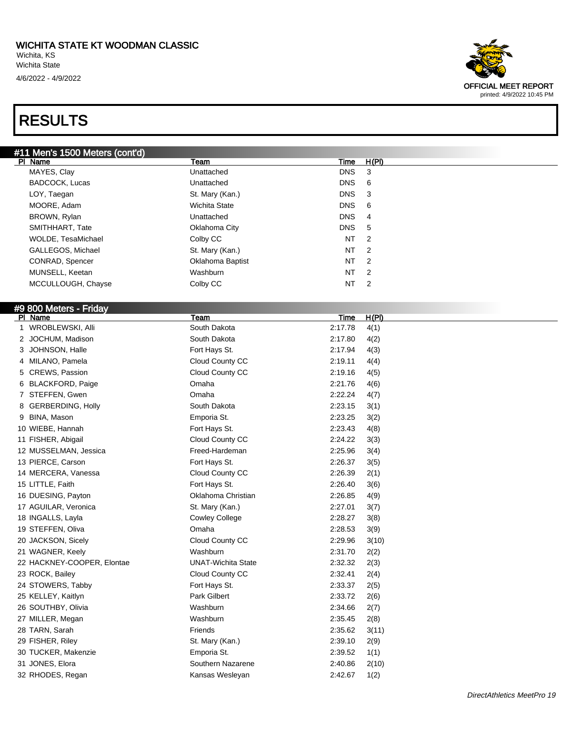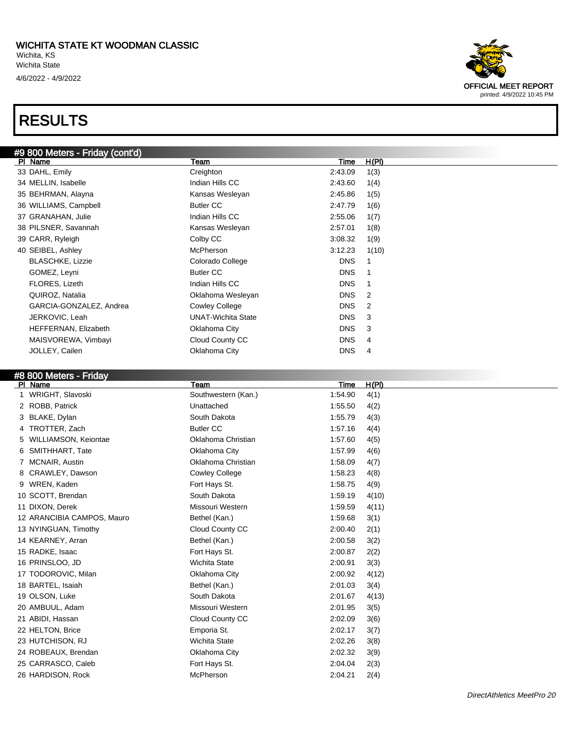

#### #8 800 Meters - Friday

| PI Name                    | <b>Team</b>           | <b>Time</b> | H(PI) |
|----------------------------|-----------------------|-------------|-------|
| WRIGHT, Slavoski           | Southwestern (Kan.)   | 1:54.90     | 4(1)  |
| ROBB, Patrick<br>2         | Unattached            | 1:55.50     | 4(2)  |
| BLAKE, Dylan<br>3.         | South Dakota          | 1:55.79     | 4(3)  |
| TROTTER, Zach<br>4         | <b>Butler CC</b>      | 1:57.16     | 4(4)  |
| WILLIAMSON, Keiontae<br>5  | Oklahoma Christian    | 1:57.60     | 4(5)  |
| SMITHHART, Tate<br>6       | Oklahoma City         | 1:57.99     | 4(6)  |
| MCNAIR, Austin             | Oklahoma Christian    | 1:58.09     | 4(7)  |
| CRAWLEY, Dawson            | <b>Cowley College</b> | 1:58.23     | 4(8)  |
| WREN, Kaden<br>9           | Fort Hays St.         | 1:58.75     | 4(9)  |
| 10 SCOTT, Brendan          | South Dakota          | 1:59.19     | 4(10) |
| 11 DIXON, Derek            | Missouri Western      | 1:59.59     | 4(11) |
| 12 ARANCIBIA CAMPOS, Mauro | Bethel (Kan.)         | 1:59.68     | 3(1)  |
| 13 NYINGUAN, Timothy       | Cloud County CC       | 2:00.40     | 2(1)  |
| 14 KEARNEY, Arran          | Bethel (Kan.)         | 2:00.58     | 3(2)  |
| 15 RADKE, Isaac            | Fort Hays St.         | 2:00.87     | 2(2)  |
| 16 PRINSLOO, JD            | <b>Wichita State</b>  | 2:00.91     | 3(3)  |
| 17 TODOROVIC, Milan        | Oklahoma City         | 2:00.92     | 4(12) |
| 18 BARTEL, Isaiah          | Bethel (Kan.)         | 2:01.03     | 3(4)  |
| 19 OLSON, Luke             | South Dakota          | 2:01.67     | 4(13) |
| 20 AMBUUL, Adam            | Missouri Western      | 2:01.95     | 3(5)  |
| 21 ABIDI, Hassan           | Cloud County CC       | 2:02.09     | 3(6)  |
| 22 HELTON, Brice           | Emporia St.           | 2:02.17     | 3(7)  |
| 23 HUTCHISON, RJ           | <b>Wichita State</b>  | 2:02.26     | 3(8)  |
| 24 ROBEAUX, Brendan        | Oklahoma City         | 2:02.32     | 3(9)  |
| 25 CARRASCO, Caleb         | Fort Hays St.         | 2:04.04     | 2(3)  |
| 26 HARDISON, Rock          | McPherson             | 2:04.21     | 2(4)  |

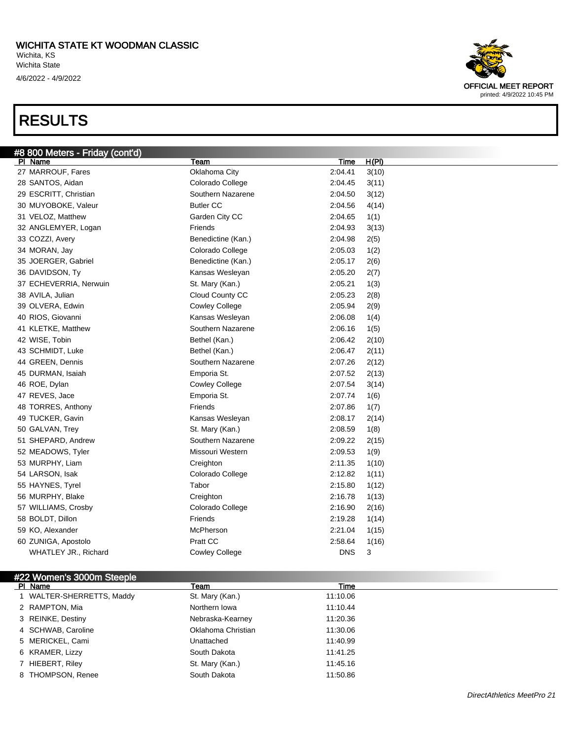

#### #22 Women's 3000m Steeple

| PI Name                   | Team               | Time     |  |
|---------------------------|--------------------|----------|--|
| 1 WALTER-SHERRETTS, Maddy | St. Mary (Kan.)    | 11:10.06 |  |
| 2 RAMPTON, Mia            | Northern Iowa      | 11:10.44 |  |
| 3 REINKE, Destiny         | Nebraska-Kearney   | 11:20.36 |  |
| 4 SCHWAB, Caroline        | Oklahoma Christian | 11:30.06 |  |
| 5 MERICKEL, Cami          | Unattached         | 11:40.99 |  |
| 6 KRAMER, Lizzy           | South Dakota       | 11:41.25 |  |
| 7 HIEBERT, Riley          | St. Mary (Kan.)    | 11:45.16 |  |
| 8 THOMPSON, Renee         | South Dakota       | 11:50.86 |  |
|                           |                    |          |  |

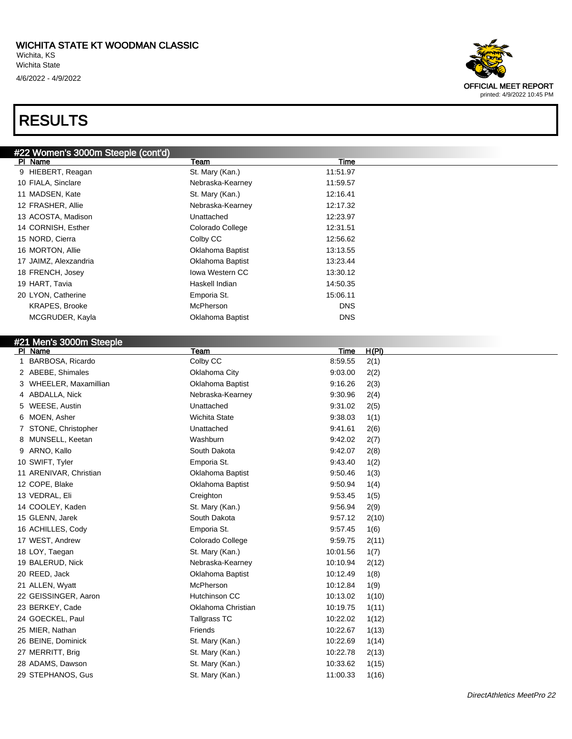#22 Women's 3000m Steeple (cont'd)

### RESULTS

#### Pl Name Team Time 9 HIEBERT, Reagan St. Mary (Kan.) 11:51.97 10 FIALA, Sinclare **Nebraska-Kearney 11:59.57** Nebraska-Kearney 11 MADSEN, Kate **St. Mary (Kan.)** 12:16.41 12 FRASHER, Allie Nebraska-Kearney 12:17.32 13 ACOSTA, Madison Unattached 12:23.97 14 CORNISH, Esther Colorado College 12:31.51 15 NORD, Cierra Colby CC 12:56.62 16 MORTON, Allie **13:13.55** Oklahoma Baptist 13:13.55 17 JAIMZ, Alexzandria Oklahoma Baptist 13:23.44 18 FRENCH, Josey **In the State State Inc.** Iowa Western CC 13:30.12 19 HART, Tavia **Haskell Indian 14:50.35** Haskell Indian 14:50.35 20 LYON, Catherine **Emporia St.** 15:06.11 KRAPES, Brooke **McPherson** McPherson **McPherson DNS** MCGRUDER, Kayla **DRS** Oklahoma Baptist **DRS** OK #21 Men's 3000m Steeple PI Name Team Team Team Team Team Time H(PI) 1 BARBOSA, Ricardo Colby CC 8:59.55 2(1) 2 ABEBE, Shimales Oklahoma City 9:03.00 2(2) 3 WHEELER, Maxamillian Oklahoma Baptist 9:16.26 2(3) 4 ABDALLA, Nick Nebraska-Kearney 19:30.96 2(4) 5 WEESE, Austin Unattached 9:31.02 2(5) 6 MOEN, Asher Wichita State 9:38.03 1(1) 7 STONE, Christopher Unattached 9:41.61 2(6) 8 MUNSELL, Keetan Washburn 9:42.02 2(7) 9 ARNO, Kallo South Dakota 9:42.07 2(8) 10 SWIFT, Tyler Emporia St. 9:43.40 1(2) 11 ARENIVAR, Christian Oklahoma Baptist 9:50.46 1(3) 12 COPE, Blake Oklahoma Baptist 9:50.94 1(4) 13 VEDRAL, Eli Creighton 9:53.45 1(5) 14 COOLEY, Kaden St. Mary (Kan.) 9:56.94 2(9) 15 GLENN, Jarek South Dakota 9:57.12 2(10) 16 ACHILLES, Cody Emporia St. 9:57.45 1(6) 17 WEST, Andrew Colorado College 9:59.75 2(11) 18 LOY, Taegan St. Mary (Kan.) 10:01.56 1(7) 19 BALERUD, Nick **Nebraska-Kearney** 10:10.94 2(12) 20 REED, Jack **Discovery 20 Access 10:12.49** 10:12.49 1(8) 21 ALLEN, Wyatt **McPherson** McPherson 10:12.84 1(9) 22 GEISSINGER, Aaron **Hutchinson CC** 10:13.02 1(10) 23 BERKEY, Cade **Christian** Christian 10:19.75 1(11) 24 GOECKEL, Paul Tallgrass TC 10:22.02 1(12) 25 MIER, Nathan Friends 10:22.67 1(13) 26 BEINE, Dominick St. Mary (Kan.) 10:22.69 1(14) 27 MERRITT, Brig 2013 (2013) St. Mary (Kan.) 27 MERRITT, Brig 2013 28 ADAMS, Dawson St. Mary (Kan.) 10:33.62 1(15) 29 STEPHANOS, Gus St. Mary (Kan.) 11:00.33 1(16)

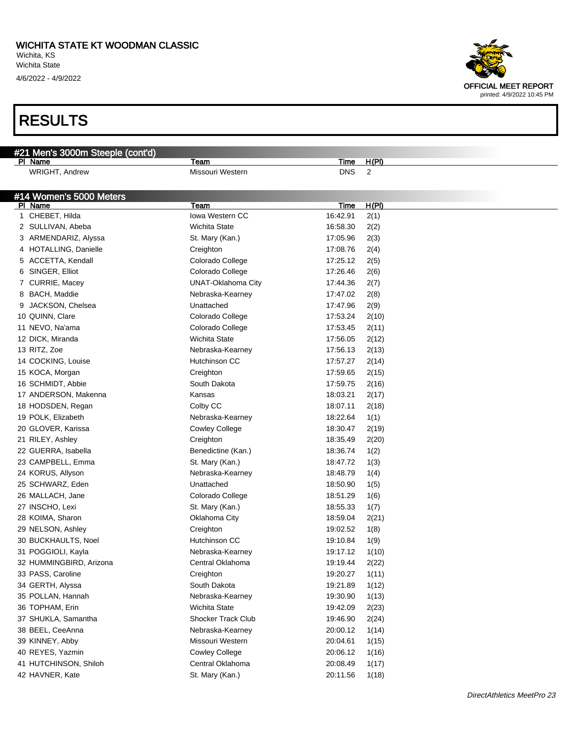4/6/2022 - 4/9/2022

| #21 Men's 3000m Steeple (cont'd)     |                        |             |                |
|--------------------------------------|------------------------|-------------|----------------|
| PI Name                              | Team                   | <b>Time</b> | H(PI)          |
| WRIGHT, Andrew                       | Missouri Western       | <b>DNS</b>  | $\overline{2}$ |
|                                      |                        |             |                |
| #14 Women's 5000 Meters              |                        |             |                |
| PI Name                              | Team                   | <b>Time</b> | H(PI)          |
| 1 CHEBET, Hilda                      | <b>Iowa Western CC</b> | 16:42.91    | 2(1)           |
| 2 SULLIVAN, Abeba                    | Wichita State          | 16:58.30    | 2(2)           |
| 3 ARMENDARIZ, Alyssa                 | St. Mary (Kan.)        | 17:05.96    | 2(3)           |
| 4 HOTALLING, Danielle                | Creighton              | 17:08.76    | 2(4)           |
| 5 ACCETTA, Kendall                   | Colorado College       | 17:25.12    | 2(5)           |
| 6 SINGER, Elliot                     | Colorado College       | 17:26.46    | 2(6)           |
| 7 CURRIE, Macey                      | UNAT-Oklahoma City     | 17:44.36    | 2(7)           |
| 8 BACH, Maddie                       | Nebraska-Kearney       | 17:47.02    | 2(8)           |
| 9 JACKSON, Chelsea                   | Unattached             | 17:47.96    | 2(9)           |
| 10 QUINN, Clare                      | Colorado College       | 17:53.24    | 2(10)          |
| 11 NEVO, Na'ama                      | Colorado College       | 17:53.45    | 2(11)          |
| 12 DICK, Miranda                     | Wichita State          | 17:56.05    | 2(12)          |
| 13 RITZ, Zoe                         | Nebraska-Kearney       | 17:56.13    | 2(13)          |
| 14 COCKING, Louise                   | Hutchinson CC          | 17:57.27    | 2(14)          |
| 15 KOCA, Morgan                      | Creighton              | 17:59.65    | 2(15)          |
| 16 SCHMIDT, Abbie                    | South Dakota           | 17:59.75    | 2(16)          |
| 17 ANDERSON, Makenna                 | Kansas                 | 18:03.21    | 2(17)          |
| 18 HODSDEN, Regan                    | Colby CC               | 18:07.11    | 2(18)          |
| 19 POLK, Elizabeth                   | Nebraska-Kearney       | 18:22.64    | 1(1)           |
| 20 GLOVER, Karissa                   | <b>Cowley College</b>  | 18:30.47    | 2(19)          |
| 21 RILEY, Ashley                     | Creighton              | 18:35.49    | 2(20)          |
| 22 GUERRA, Isabella                  | Benedictine (Kan.)     | 18:36.74    | 1(2)           |
| 23 CAMPBELL, Emma                    | St. Mary (Kan.)        | 18:47.72    | 1(3)           |
| 24 KORUS, Allyson                    | Nebraska-Kearney       | 18:48.79    | 1(4)           |
| 25 SCHWARZ, Eden                     | Unattached             | 18:50.90    | 1(5)           |
| 26 MALLACH, Jane                     | Colorado College       | 18:51.29    | 1(6)           |
| 27 INSCHO, Lexi                      | St. Mary (Kan.)        | 18:55.33    | 1(7)           |
| 28 KOIMA, Sharon                     | Oklahoma City          | 18:59.04    | 2(21)          |
| 29 NELSON, Ashley                    | Creighton              | 19:02.52    | 1(8)           |
| 30 BUCKHAULTS, Noel                  | Hutchinson CC          | 19:10.84    | 1(9)           |
| 31 POGGIOLI, Kayla                   | Nebraska-Kearney       | 19:17.12    | 1(10)          |
| 32 HUMMINGBIRD, Arizona              | Central Oklahoma       | 19:19.44    | 2(22)          |
| 33 PASS, Caroline                    | Creighton              | 19:20.27    |                |
| 34 GERTH, Alyssa                     | South Dakota           | 19:21.89    | 1(11)          |
|                                      | Nebraska-Kearney       |             | 1(12)          |
| 35 POLLAN, Hannah<br>36 TOPHAM, Erin | Wichita State          | 19:30.90    | 1(13)          |
|                                      |                        | 19:42.09    | 2(23)          |
| 37 SHUKLA, Samantha                  | Shocker Track Club     | 19:46.90    | 2(24)          |
| 38 BEEL, CeeAnna                     | Nebraska-Kearney       | 20:00.12    | 1(14)          |
| 39 KINNEY, Abby                      | Missouri Western       | 20:04.61    | 1(15)          |
| 40 REYES, Yazmin                     | Cowley College         | 20:06.12    | 1(16)          |
| 41 HUTCHINSON, Shiloh                | Central Oklahoma       | 20:08.49    | 1(17)          |
| 42 HAVNER, Kate                      | St. Mary (Kan.)        | 20:11.56    | 1(18)          |

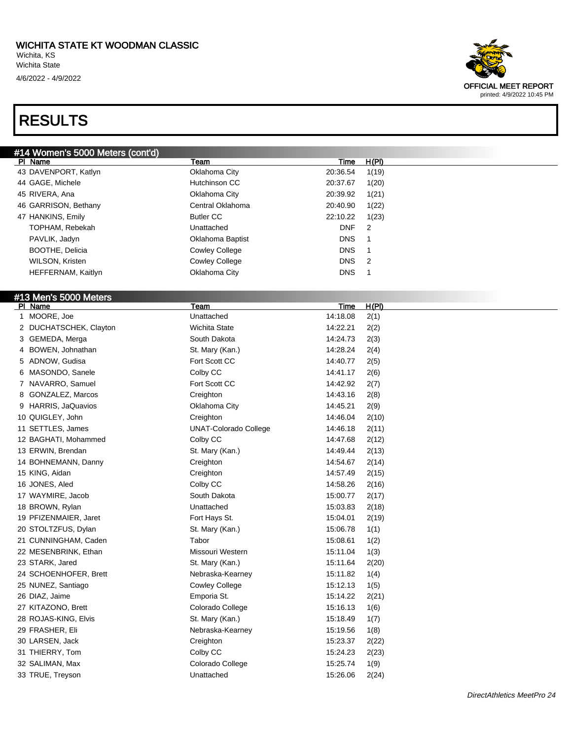

DirectAthletics MeetPro 24

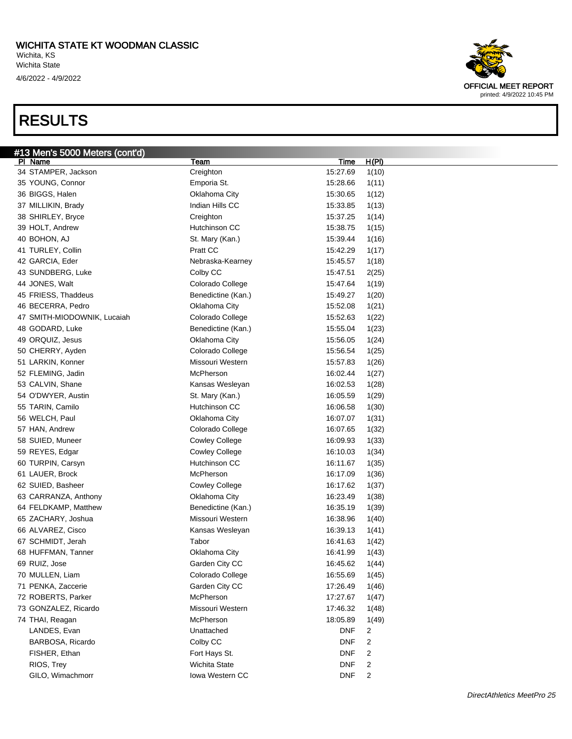

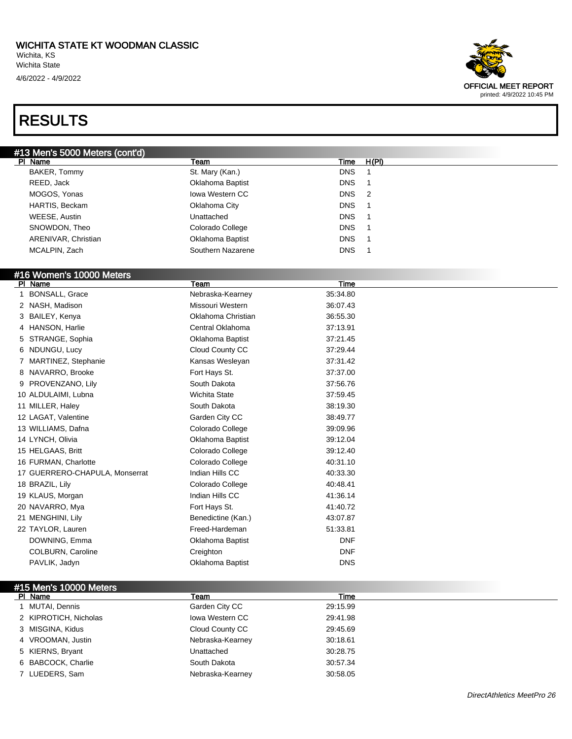

| PI_Name                        | Team                 | Time       |  |
|--------------------------------|----------------------|------------|--|
| <b>BONSALL, Grace</b>          | Nebraska-Kearney     | 35:34.80   |  |
| 2 NASH, Madison                | Missouri Western     | 36:07.43   |  |
| 3 BAILEY, Kenya                | Oklahoma Christian   | 36:55.30   |  |
| 4 HANSON, Harlie               | Central Oklahoma     | 37:13.91   |  |
| 5 STRANGE, Sophia              | Oklahoma Baptist     | 37:21.45   |  |
| 6 NDUNGU, Lucy                 | Cloud County CC      | 37:29.44   |  |
| 7 MARTINEZ, Stephanie          | Kansas Wesleyan      | 37:31.42   |  |
| 8 NAVARRO, Brooke              | Fort Hays St.        | 37:37.00   |  |
| 9 PROVENZANO, Lily             | South Dakota         | 37:56.76   |  |
| 10 ALDULAIMI, Lubna            | <b>Wichita State</b> | 37:59.45   |  |
| 11 MILLER, Haley               | South Dakota         | 38:19.30   |  |
| 12 LAGAT, Valentine            | Garden City CC       | 38:49.77   |  |
| 13 WILLIAMS, Dafna             | Colorado College     | 39:09.96   |  |
| 14 LYNCH, Olivia               | Oklahoma Baptist     | 39:12.04   |  |
| 15 HELGAAS, Britt              | Colorado College     | 39:12.40   |  |
| 16 FURMAN, Charlotte           | Colorado College     | 40:31.10   |  |
| 17 GUERRERO-CHAPULA, Monserrat | Indian Hills CC      | 40:33.30   |  |
| 18 BRAZIL, Lily                | Colorado College     | 40:48.41   |  |
| 19 KLAUS, Morgan               | Indian Hills CC      | 41:36.14   |  |
| 20 NAVARRO, Mya                | Fort Hays St.        | 41:40.72   |  |
| 21 MENGHINI, Lily              | Benedictine (Kan.)   | 43:07.87   |  |
| 22 TAYLOR, Lauren              | Freed-Hardeman       | 51:33.81   |  |
| DOWNING, Emma                  | Oklahoma Baptist     | <b>DNF</b> |  |
| <b>COLBURN, Caroline</b>       | Creighton            | <b>DNF</b> |  |
| PAVLIK, Jadyn                  | Oklahoma Baptist     | <b>DNS</b> |  |

| #15 Men's 10000 Meters |                  |          |  |
|------------------------|------------------|----------|--|
| PI Name                | Team             | Time     |  |
| 1 MUTAI, Dennis        | Garden City CC   | 29:15.99 |  |
| 2 KIPROTICH, Nicholas  | lowa Western CC  | 29:41.98 |  |
| 3 MISGINA, Kidus       | Cloud County CC  | 29:45.69 |  |
| 4 VROOMAN, Justin      | Nebraska-Kearney | 30:18.61 |  |
| 5 KIERNS, Bryant       | Unattached       | 30:28.75 |  |
| 6 BABCOCK, Charlie     | South Dakota     | 30:57.34 |  |
| 7 LUEDERS, Sam         | Nebraska-Kearney | 30:58.05 |  |
|                        |                  |          |  |

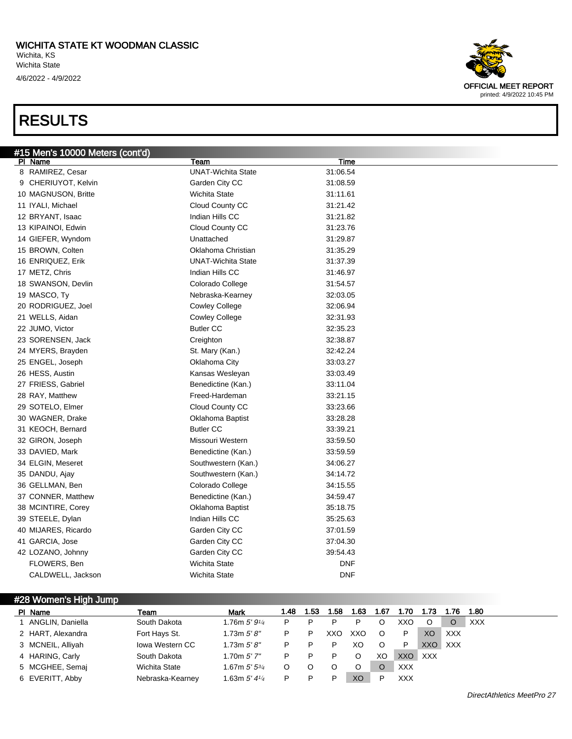

| PI Name           | Team                   | <b>Mark</b>                | 1.48 | 1.53 | .58 | 1.63 | 1.67 | 1.70  | 1.73 | 1.76       | 1.80       |
|-------------------|------------------------|----------------------------|------|------|-----|------|------|-------|------|------------|------------|
| ANGLIN, Daniella  | South Dakota           | 1.76m $5'$ $9'$ /4         |      |      |     |      |      | xxo   |      | O          | <b>XXX</b> |
| 2 HART, Alexandra | Fort Hays St.          | 1.73m $5'8''$              |      | P    | XXO | XXO  | O    | P     | XO   | <b>XXX</b> |            |
| 3 MCNEIL, Alliyah | <b>Iowa Western CC</b> | 1.73m $5'8''$              |      |      |     | XO   |      |       | XXO  | XXX        |            |
| 4 HARING, Carly   | South Dakota           | 1.70m 5'7''                |      |      |     |      | XO   | XXO . | XXX  |            |            |
| 5 MCGHEE, Semaj   | <b>Wichita State</b>   | 1.67m $5'$ $5^{3/4}$       |      |      |     |      |      | XXX   |      |            |            |
| 6 EVERITT, Abby   | Nebraska-Kearney       | 1.63m $5'$ 4 $\frac{1}{4}$ |      |      |     | XO   |      | XXX   |      |            |            |



DirectAthletics MeetPro 27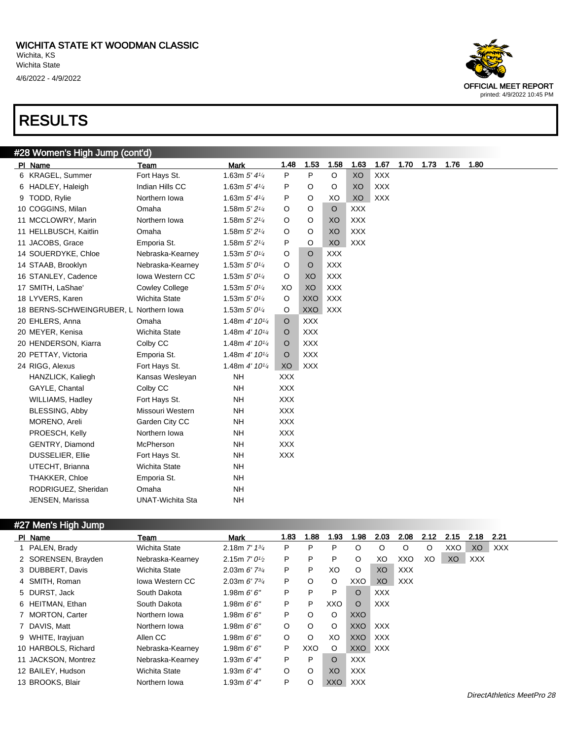#### #28 Women's High Jump (cont'd)

| PI Name                                 | <b>Team</b>             | <b>Mark</b>                | 1.48       | 1.53       | 1.58       | 1.63       | 1.67       | 1.70 | 1.73 | 1.76 | 1.80 |
|-----------------------------------------|-------------------------|----------------------------|------------|------------|------------|------------|------------|------|------|------|------|
| 6 KRAGEL, Summer                        | Fort Hays St.           | 1.63m $5'$ 4 $\frac{1}{4}$ | P          | P          | O          | XO         | <b>XXX</b> |      |      |      |      |
| 6 HADLEY, Haleigh                       | Indian Hills CC         | 1.63m $5'$ 4 $\frac{1}{4}$ | P          | O          | O          | XO         | <b>XXX</b> |      |      |      |      |
| 9 TODD, Rylie                           | Northern Iowa           | 1.63m $5'$ 4 $\frac{1}{4}$ | P          | O          | XO         | XO         | <b>XXX</b> |      |      |      |      |
| 10 COGGINS, Milan                       | Omaha                   | 1.58m 5' 2 <sup>1/4</sup>  | O          | O          | $\circ$    | <b>XXX</b> |            |      |      |      |      |
| 11 MCCLOWRY, Marin                      | Northern Iowa           | 1.58m 5' 21/4              | O          | O          | XO         | <b>XXX</b> |            |      |      |      |      |
| 11 HELLBUSCH, Kaitlin                   | Omaha                   | 1.58m 5' 21/4              | O          | O          | XO         | <b>XXX</b> |            |      |      |      |      |
| 11 JACOBS, Grace                        | Emporia St.             | 1.58m 5' 21/4              | P          | O          | XO         | <b>XXX</b> |            |      |      |      |      |
| 14 SOUERDYKE, Chloe                     | Nebraska-Kearney        | 1.53m $5'0\frac{1}{4}$     | O          | $\circ$    | <b>XXX</b> |            |            |      |      |      |      |
| 14 STAAB, Brooklyn                      | Nebraska-Kearney        | 1.53m $5'0\frac{1}{4}$     | O          | O          | <b>XXX</b> |            |            |      |      |      |      |
| 16 STANLEY, Cadence                     | <b>Iowa Western CC</b>  | 1.53m $5'0\frac{1}{4}$     | O          | XO         | <b>XXX</b> |            |            |      |      |      |      |
| 17 SMITH, LaShae'                       | <b>Cowley College</b>   | 1.53m $5'0\frac{1}{4}$     | XO         | XO         | <b>XXX</b> |            |            |      |      |      |      |
| 18 LYVERS, Karen                        | <b>Wichita State</b>    | 1.53m $5'0\frac{1}{4}$     | $\circ$    | <b>XXO</b> | <b>XXX</b> |            |            |      |      |      |      |
| 18 BERNS-SCHWEINGRUBER, L Northern Iowa |                         | 1.53m $5'0\frac{1}{4}$     | O          | <b>XXO</b> | <b>XXX</b> |            |            |      |      |      |      |
| 20 EHLERS, Anna                         | Omaha                   | 1.48m 4' 101/4             | $\circ$    | <b>XXX</b> |            |            |            |      |      |      |      |
| 20 MEYER, Kenisa                        | <b>Wichita State</b>    | 1.48m 4' 101/4             | $\circ$    | <b>XXX</b> |            |            |            |      |      |      |      |
| 20 HENDERSON, Kiarra                    | Colby CC                | 1.48m 4' 10 <sup>1/4</sup> | $\circ$    | <b>XXX</b> |            |            |            |      |      |      |      |
| 20 PETTAY, Victoria                     | Emporia St.             | 1.48m 4' 101/4             | O          | <b>XXX</b> |            |            |            |      |      |      |      |
| 24 RIGG, Alexus                         | Fort Hays St.           | 1.48m 4' 101/4             | XO         | XXX        |            |            |            |      |      |      |      |
| HANZLICK, Kaliegh                       | Kansas Wesleyan         | <b>NH</b>                  | <b>XXX</b> |            |            |            |            |      |      |      |      |
| GAYLE, Chantal                          | Colby CC                | <b>NH</b>                  | <b>XXX</b> |            |            |            |            |      |      |      |      |
| <b>WILLIAMS, Hadley</b>                 | Fort Hays St.           | <b>NH</b>                  | <b>XXX</b> |            |            |            |            |      |      |      |      |
| BLESSING, Abby                          | Missouri Western        | <b>NH</b>                  | <b>XXX</b> |            |            |            |            |      |      |      |      |
| MORENO, Areli                           | Garden City CC          | <b>NH</b>                  | <b>XXX</b> |            |            |            |            |      |      |      |      |
| PROESCH, Kelly                          | Northern Iowa           | <b>NH</b>                  | <b>XXX</b> |            |            |            |            |      |      |      |      |
| GENTRY, Diamond                         | McPherson               | <b>NH</b>                  | <b>XXX</b> |            |            |            |            |      |      |      |      |
| <b>DUSSELIER, Ellie</b>                 | Fort Hays St.           | <b>NH</b>                  | <b>XXX</b> |            |            |            |            |      |      |      |      |
| UTECHT, Brianna                         | <b>Wichita State</b>    | <b>NH</b>                  |            |            |            |            |            |      |      |      |      |
| THAKKER, Chloe                          | Emporia St.             | <b>NH</b>                  |            |            |            |            |            |      |      |      |      |
| RODRIGUEZ, Sheridan                     | Omaha                   | <b>NH</b>                  |            |            |            |            |            |      |      |      |      |
| JENSEN, Marissa                         | <b>UNAT-Wichita Sta</b> | <b>NH</b>                  |            |            |            |            |            |      |      |      |      |
|                                         |                         |                            |            |            |            |            |            |      |      |      |      |

#### #27 Men's High Jump

| PI Name             | Team             | <b>Mark</b>                | 1.83 | 1.88    | 1.93    | 1.98       | 2.03       | 2.08       | 2.12 | 2.15 | 2.18       | 2.21       |
|---------------------|------------------|----------------------------|------|---------|---------|------------|------------|------------|------|------|------------|------------|
| 1 PALEN, Brady      | Wichita State    | 2.18m $7'$ 1 $\frac{3}{4}$ | P    | P.      | P       | O          | $\circ$    | $\circ$    | O    | XXO  | XO         | <b>XXX</b> |
| 2 SORENSEN, Brayden | Nebraska-Kearney | 2.15m $7'0\frac{1}{2}$     | P    | P       | P       | $\circ$    | XO         | XXO        | XO   | XO   | <b>XXX</b> |            |
| 3 DUBBERT, Davis    | Wichita State    | 2.03m $6'$ 7 $\frac{3}{4}$ | P    | P       | XO      | $\circ$    | XO         | <b>XXX</b> |      |      |            |            |
| 4 SMITH, Roman      | lowa Western CC  | 2.03m $6'$ 7 $\frac{3}{4}$ | P    | $\circ$ | $\circ$ | XXO        | XO         | XXX        |      |      |            |            |
| 5 DURST, Jack       | South Dakota     | 1.98m $6'6''$              | P    | P       | P       | $\circ$    | <b>XXX</b> |            |      |      |            |            |
| 6 HEITMAN, Ethan    | South Dakota     | 1.98m $6'6''$              | P    | P       | XXO     | $\circ$    | <b>XXX</b> |            |      |      |            |            |
| 7 MORTON, Carter    | Northern Iowa    | 1.98m $6'6''$              | P    | $\circ$ | $\circ$ | XXO        |            |            |      |      |            |            |
| 7 DAVIS, Matt       | Northern Iowa    | 1.98m $6'6''$              | O    | $\circ$ | $\circ$ | XXO        | XXX        |            |      |      |            |            |
| 9 WHITE, Irayjuan   | Allen CC         | 1.98m $6'6''$              | O    | $\circ$ | XO      | <b>XXO</b> | <b>XXX</b> |            |      |      |            |            |
| 10 HARBOLS, Richard | Nebraska-Kearney | 1.98m $6'6''$              | P    | XXO     | $\circ$ | XXO        | XXX        |            |      |      |            |            |
| 11 JACKSON, Montrez | Nebraska-Kearney | 1.93m $6'$ 4"              | P    | P.      | O       | <b>XXX</b> |            |            |      |      |            |            |
| 12 BAILEY, Hudson   | Wichita State    | 1.93m $6'$ 4"              | O    | O       | XO      | <b>XXX</b> |            |            |      |      |            |            |
| 13 BROOKS, Blair    | Northern Iowa    | 1.93m $6'$ 4"              | P    | O       | XXO     | <b>XXX</b> |            |            |      |      |            |            |

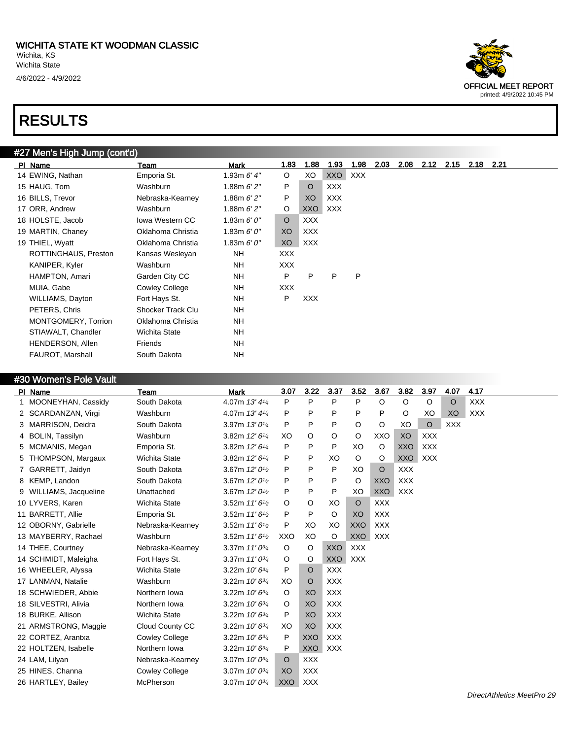

#### #27 Men's High Jump (cont'd)

| PI Name                 | Team                   | Mark          | 1.83       | 1.88       | 1.93       | 1.98 | 2.03 | 2.08 | 2.12 | 2.15 | 2.18 | 2.21 |
|-------------------------|------------------------|---------------|------------|------------|------------|------|------|------|------|------|------|------|
| 14 EWING, Nathan        | Emporia St.            | 1.93m $6'$ 4" | $\circ$    | XO         | XXO        | XXX  |      |      |      |      |      |      |
| 15 HAUG, Tom            | Washburn               | 1.88m $6'2''$ | P          | $\circ$    | <b>XXX</b> |      |      |      |      |      |      |      |
| 16 BILLS, Trevor        | Nebraska-Kearney       | 1.88m $6'2''$ | P          | XO         | XXX        |      |      |      |      |      |      |      |
| 17 ORR, Andrew          | Washburn               | 1.88m $6'2''$ | $\circ$    | XXO        | XXX        |      |      |      |      |      |      |      |
| 18 HOLSTE, Jacob        | <b>Iowa Western CC</b> | 1.83m $6'0''$ | $\circ$    | <b>XXX</b> |            |      |      |      |      |      |      |      |
| 19 MARTIN, Chaney       | Oklahoma Christia      | 1.83m $6'0''$ | XO         | <b>XXX</b> |            |      |      |      |      |      |      |      |
| 19 THIEL, Wyatt         | Oklahoma Christia      | 1.83m $6'0''$ | XO         | XXX        |            |      |      |      |      |      |      |      |
| ROTTINGHAUS, Preston    | Kansas Wesleyan        | <b>NH</b>     | <b>XXX</b> |            |            |      |      |      |      |      |      |      |
| KANIPER, Kyler          | Washburn               | <b>NH</b>     | <b>XXX</b> |            |            |      |      |      |      |      |      |      |
| HAMPTON, Amari          | Garden City CC         | <b>NH</b>     | P          | P          | P          | P    |      |      |      |      |      |      |
| MUIA, Gabe              | <b>Cowley College</b>  | NΗ            | <b>XXX</b> |            |            |      |      |      |      |      |      |      |
| WILLIAMS, Dayton        | Fort Hays St.          | NΗ            | P          | <b>XXX</b> |            |      |      |      |      |      |      |      |
| PETERS, Chris           | Shocker Track Clu      | <b>NH</b>     |            |            |            |      |      |      |      |      |      |      |
| MONTGOMERY, Torrion     | Oklahoma Christia      | <b>NH</b>     |            |            |            |      |      |      |      |      |      |      |
| STIAWALT, Chandler      | Wichita State          | <b>NH</b>     |            |            |            |      |      |      |      |      |      |      |
| HENDERSON, Allen        | Friends                | <b>NH</b>     |            |            |            |      |      |      |      |      |      |      |
| <b>FAUROT, Marshall</b> | South Dakota           | <b>NH</b>     |            |            |            |      |      |      |      |      |      |      |

#### #30 Women's Pole Vault

|   | PI Name                  | Team                  | <b>Mark</b>                             | 3.07    | 3.22       | 3.37       | 3.52       | 3.67       | 3.82       | 3.97       | 4.07       | 4.17       |
|---|--------------------------|-----------------------|-----------------------------------------|---------|------------|------------|------------|------------|------------|------------|------------|------------|
| 1 | MOONEYHAN, Cassidy       | South Dakota          | 4.07m 13' 41/4                          | P       | P          | P          | P          | $\circ$    | $\circ$    | $\circ$    | $\circ$    | <b>XXX</b> |
|   | 2 SCARDANZAN, Virgi      | Washburn              | 4.07m 13' 41/4                          | P       | P          | P          | P          | P          | O          | XO         | XO         | <b>XXX</b> |
| 3 | <b>MARRISON, Deidra</b>  | South Dakota          | 3.97m 13' 01/4                          | P       | P          | P          | O          | O          | XO         | $\circ$    | <b>XXX</b> |            |
| 4 | BOLIN, Tassilyn          | Washburn              | 3.82m 12' 61/4                          | XO      | O          | O          | O          | XXO        | XO         | <b>XXX</b> |            |            |
|   | 5 MCMANIS, Megan         | Emporia St.           | 3.82m 12' 61/4                          | P       | P          | P          | XO         | $\circ$    | <b>XXO</b> | <b>XXX</b> |            |            |
| 5 | <b>THOMPSON, Margaux</b> | <b>Wichita State</b>  | 3.82m 12' 61/4                          | P       | P          | XO         | O          | $\circ$    | <b>XXO</b> | <b>XXX</b> |            |            |
|   | 7 GARRETT, Jaidyn        | South Dakota          | 3.67m $12'0\frac{1}{2}$                 | P       | P          | P          | XO         | $\circ$    | <b>XXX</b> |            |            |            |
| 8 | KEMP, Landon             | South Dakota          | 3.67m 12' 0 <sup>1</sup> / <sub>2</sub> | P       | P          | P          | O          | XXO        | <b>XXX</b> |            |            |            |
| 9 | WILLIAMS, Jacqueline     | Unattached            | 3.67m 12' 0 <sup>1</sup> / <sub>2</sub> | P       | P          | P          | XO         | <b>XXO</b> | <b>XXX</b> |            |            |            |
|   | 10 LYVERS, Karen         | <b>Wichita State</b>  | 3.52m $11'6\frac{1}{2}$                 | O       | O          | XO         | $\circ$    | <b>XXX</b> |            |            |            |            |
|   | 11 BARRETT, Allie        | Emporia St.           | 3.52m $11'6\frac{1}{2}$                 | P       | P          | O          | XO         | <b>XXX</b> |            |            |            |            |
|   | 12 OBORNY, Gabrielle     | Nebraska-Kearney      | 3.52m $11'6\frac{1}{2}$                 | P       | XO         | XO         | <b>XXO</b> | <b>XXX</b> |            |            |            |            |
|   | 13 MAYBERRY, Rachael     | Washburn              | 3.52m $11'6\frac{1}{2}$                 | XXO     | XO         | O          | <b>XXO</b> | <b>XXX</b> |            |            |            |            |
|   | 14 THEE, Courtney        | Nebraska-Kearney      | 3.37m $11'0^{3/4}$                      | O       | O          | <b>XXO</b> | <b>XXX</b> |            |            |            |            |            |
|   | 14 SCHMIDT, Maleigha     | Fort Hays St.         | 3.37m $11'0^{3/4}$                      | O       | O          | <b>XXO</b> | <b>XXX</b> |            |            |            |            |            |
|   | 16 WHEELER, Alyssa       | <b>Wichita State</b>  | 3.22m 10' 63/4                          | P       | O          | <b>XXX</b> |            |            |            |            |            |            |
|   | 17 LANMAN, Natalie       | Washburn              | 3.22m $10'6^{3/4}$                      | XO      | O          | <b>XXX</b> |            |            |            |            |            |            |
|   | 18 SCHWIEDER, Abbie      | Northern Iowa         | 3.22m $10'$ $6^{3/4}$                   | $\circ$ | XO         | <b>XXX</b> |            |            |            |            |            |            |
|   | 18 SILVESTRI, Alivia     | Northern Iowa         | 3.22m 10' 63/4                          | O       | XO         | <b>XXX</b> |            |            |            |            |            |            |
|   | 18 BURKE, Allison        | <b>Wichita State</b>  | 3.22m $10'6^{3/4}$                      | P       | XO         | <b>XXX</b> |            |            |            |            |            |            |
|   | 21 ARMSTRONG, Maggie     | Cloud County CC       | 3.22m $10'6^{3/4}$                      | XO      | XO         | <b>XXX</b> |            |            |            |            |            |            |
|   | 22 CORTEZ, Arantxa       | <b>Cowley College</b> | 3.22m 10' 63/4                          | P       | <b>XXO</b> | <b>XXX</b> |            |            |            |            |            |            |
|   | 22 HOLTZEN, Isabelle     | Northern Iowa         | 3.22m 10' 63/4                          | P       | <b>XXO</b> | <b>XXX</b> |            |            |            |            |            |            |
|   | 24 LAM, Lilyan           | Nebraska-Kearney      | 3.07m 10' 03/4                          | $\circ$ | <b>XXX</b> |            |            |            |            |            |            |            |
|   | 25 HINES, Channa         | <b>Cowley College</b> | 3.07m $10'0^{3/4}$                      | XO      | <b>XXX</b> |            |            |            |            |            |            |            |
|   | 26 HARTLEY, Bailey       | McPherson             | 3.07m $10'0^{3/4}$                      | XXO     | <b>XXX</b> |            |            |            |            |            |            |            |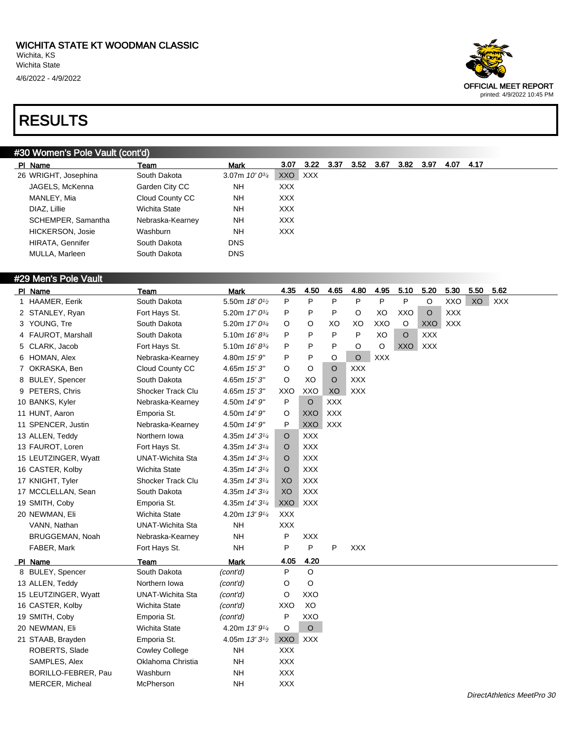

#### #30 Women's Pole Vault (cont'd)

| PI Name                 | Team             | Mark               | 3.07       | 3.22 | -3.37 | 3.52 | 3.67 | 3.82 | 3.97 | 4.07 | 4.17 |
|-------------------------|------------------|--------------------|------------|------|-------|------|------|------|------|------|------|
| 26 WRIGHT, Josephina    | South Dakota     | 3.07m $10'0^{3/4}$ | XXO.       | XXX  |       |      |      |      |      |      |      |
| JAGELS, McKenna         | Garden City CC   | NH                 | <b>XXX</b> |      |       |      |      |      |      |      |      |
| MANLEY, Mia             | Cloud County CC  | NΗ                 | <b>XXX</b> |      |       |      |      |      |      |      |      |
| DIAZ, Lillie            | Wichita State    | NH                 | <b>XXX</b> |      |       |      |      |      |      |      |      |
| SCHEMPER, Samantha      | Nebraska-Kearney | NH                 | <b>XXX</b> |      |       |      |      |      |      |      |      |
| <b>HICKERSON, Josie</b> | Washburn         | <b>NH</b>          | <b>XXX</b> |      |       |      |      |      |      |      |      |
| HIRATA, Gennifer        | South Dakota     | <b>DNS</b>         |            |      |       |      |      |      |      |      |      |
| MULLA, Marleen          | South Dakota     | <b>DNS</b>         |            |      |       |      |      |      |      |      |      |

#### #29 Men's Pole Vault

| PI Name              | Team                     | <b>Mark</b>                             | 4.35       | 4.50       | 4.65       | 4.80       | 4.95       | 5.10       | 5.20       | 5.30       | 5.50 | 5.62       |
|----------------------|--------------------------|-----------------------------------------|------------|------------|------------|------------|------------|------------|------------|------------|------|------------|
| 1 HAAMER, Eerik      | South Dakota             | 5.50m 18' 0 <sup>1/2</sup>              | P          | P          | P          | P          | P          | P          | O          | XXO        | XO   | <b>XXX</b> |
| 2 STANLEY, Ryan      | Fort Hays St.            | 5.20m 17' 03/4                          | P          | P          | P          | $\circ$    | XO         | XXO        | $\circ$    | <b>XXX</b> |      |            |
| 3 YOUNG, Tre         | South Dakota             | 5.20m $17'0^{3/4}$                      | O          | O          | XO         | XO         | XXO        | O          | <b>XXO</b> | <b>XXX</b> |      |            |
| 4 FAUROT, Marshall   | South Dakota             | 5.10m 16' 83/4                          | P          | P          | P          | P          | XO         | $\circ$    | <b>XXX</b> |            |      |            |
| 5 CLARK, Jacob       | Fort Hays St.            | 5.10m $16' 8^{3/4}$                     | P          | P          | P          | O          | O          | <b>XXO</b> | <b>XXX</b> |            |      |            |
| 6 HOMAN, Alex        | Nebraska-Kearney         | 4.80m 15' 9"                            | P          | P          | O          | $\circ$    | <b>XXX</b> |            |            |            |      |            |
| 7 OKRASKA, Ben       | Cloud County CC          | 4.65m 15'3"                             | O          | O          | O          | <b>XXX</b> |            |            |            |            |      |            |
| 8 BULEY, Spencer     | South Dakota             | 4.65m 15' 3"                            | O          | XO         | $\circ$    | <b>XXX</b> |            |            |            |            |      |            |
| 9 PETERS, Chris      | <b>Shocker Track Clu</b> | 4.65m 15'3"                             | XXO        | XXO        | XO         | <b>XXX</b> |            |            |            |            |      |            |
| 10 BANKS, Kyler      | Nebraska-Kearney         | 4.50m 14' 9"                            | P          | $\circ$    | <b>XXX</b> |            |            |            |            |            |      |            |
| 11 HUNT, Aaron       | Emporia St.              | 4.50m 14' 9"                            | O          | XXO        | <b>XXX</b> |            |            |            |            |            |      |            |
| 11 SPENCER, Justin   | Nebraska-Kearney         | 4.50m 14' 9"                            | P          | <b>XXO</b> | <b>XXX</b> |            |            |            |            |            |      |            |
| 13 ALLEN, Teddy      | Northern Iowa            | 4.35m $14'3\frac{1}{4}$                 | O          | <b>XXX</b> |            |            |            |            |            |            |      |            |
| 13 FAUROT, Loren     | Fort Hays St.            | 4.35m 14' 31/4                          | $\circ$    | <b>XXX</b> |            |            |            |            |            |            |      |            |
| 15 LEUTZINGER, Wyatt | <b>UNAT-Wichita Sta</b>  | 4.35m $14'3\frac{1}{4}$                 | $\circ$    | <b>XXX</b> |            |            |            |            |            |            |      |            |
| 16 CASTER, Kolby     | Wichita State            | 4.35m $14'3\frac{1}{4}$                 | O          | <b>XXX</b> |            |            |            |            |            |            |      |            |
| 17 KNIGHT, Tyler     | <b>Shocker Track Clu</b> | 4.35m 14' 31/4                          | XO         | <b>XXX</b> |            |            |            |            |            |            |      |            |
| 17 MCCLELLAN, Sean   | South Dakota             | 4.35m 14' 31/4                          | XO         | <b>XXX</b> |            |            |            |            |            |            |      |            |
| 19 SMITH, Coby       | Emporia St.              | 4.35m 14' 31/4                          | <b>XXO</b> | <b>XXX</b> |            |            |            |            |            |            |      |            |
| 20 NEWMAN, Eli       | <b>Wichita State</b>     | 4.20m 13' 91/4                          | <b>XXX</b> |            |            |            |            |            |            |            |      |            |
| VANN, Nathan         | <b>UNAT-Wichita Sta</b>  | <b>NH</b>                               | <b>XXX</b> |            |            |            |            |            |            |            |      |            |
| BRUGGEMAN, Noah      | Nebraska-Kearney         | <b>NH</b>                               | P          | <b>XXX</b> |            |            |            |            |            |            |      |            |
| FABER, Mark          | Fort Hays St.            | <b>NH</b>                               | P          | P          | P          | <b>XXX</b> |            |            |            |            |      |            |
| PI Name              | Team                     | <b>Mark</b>                             | 4.05       | 4.20       |            |            |            |            |            |            |      |            |
| 8 BULEY, Spencer     | South Dakota             | (cont'd)                                | P          | $\circ$    |            |            |            |            |            |            |      |            |
| 13 ALLEN, Teddy      | Northern Iowa            | (cont'd)                                | O          | O          |            |            |            |            |            |            |      |            |
| 15 LEUTZINGER, Wyatt | <b>UNAT-Wichita Sta</b>  | (cont'd)                                | O          | XXO        |            |            |            |            |            |            |      |            |
| 16 CASTER, Kolby     | Wichita State            | (cont'd)                                | XXO        | XO         |            |            |            |            |            |            |      |            |
| 19 SMITH, Coby       | Emporia St.              | (cont'd)                                | P          | XXO        |            |            |            |            |            |            |      |            |
| 20 NEWMAN, Eli       | <b>Wichita State</b>     | 4.20m 13' 91/4                          | O          | $\circ$    |            |            |            |            |            |            |      |            |
| 21 STAAB, Brayden    | Emporia St.              | 4.05m 13' 3 <sup>1</sup> / <sub>2</sub> | <b>XXO</b> | <b>XXX</b> |            |            |            |            |            |            |      |            |
| ROBERTS, Slade       | <b>Cowley College</b>    | <b>NH</b>                               | <b>XXX</b> |            |            |            |            |            |            |            |      |            |
| SAMPLES, Alex        | Oklahoma Christia        | <b>NH</b>                               | <b>XXX</b> |            |            |            |            |            |            |            |      |            |
| BORILLO-FEBRER, Pau  | Washburn                 | <b>NH</b>                               | <b>XXX</b> |            |            |            |            |            |            |            |      |            |
| MERCER, Micheal      | McPherson                | <b>NH</b>                               | <b>XXX</b> |            |            |            |            |            |            |            |      |            |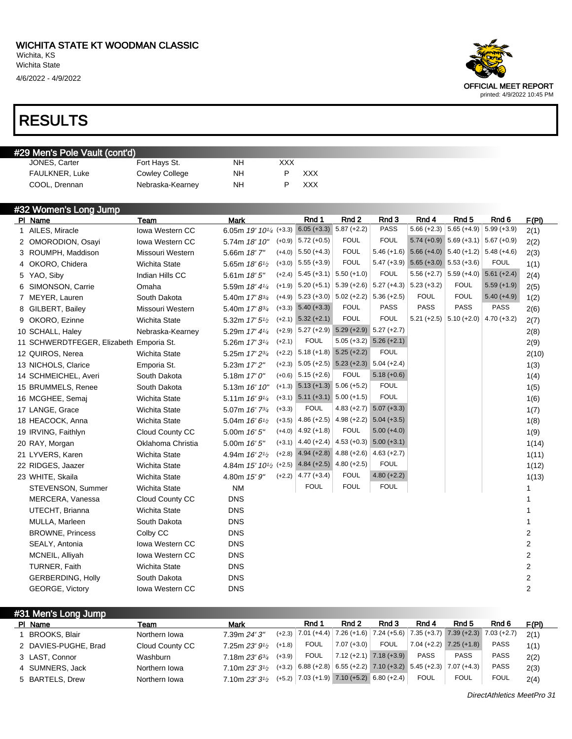4/6/2022 - 4/9/2022

#### RESULTS

#### #29 Men's Pole Vault (cont'd)

| JONES, Carter  | Fort Hays St.    | NΗ  | XXX        |
|----------------|------------------|-----|------------|
| FAULKNER, Luke | Cowley College   | NΗ  | <b>XXX</b> |
| COOL. Drennan  | Nebraska-Kearney | NH. | xxx        |

| #32 Women's Long Jump                   |                        |                                                 |          |                                      |                                             |                           |                                           |                                           |               |                |
|-----------------------------------------|------------------------|-------------------------------------------------|----------|--------------------------------------|---------------------------------------------|---------------------------|-------------------------------------------|-------------------------------------------|---------------|----------------|
| PI Name                                 | Team                   | <b>Mark</b>                                     |          | Rnd 1                                | Rnd <sub>2</sub>                            | Rnd 3                     | Rnd 4                                     | Rnd <sub>5</sub>                          | Rnd 6         | F(PI)          |
| 1 AILES, Miracle                        | Iowa Western CC        | 6.05m 19' 10 <sup>1</sup> / <sub>4</sub> (+3.3) |          | $6.05 (+3.3)$                        | $5.87 (+2.2)$                               | <b>PASS</b>               | $5.66 (+2.3)$                             | $5.65 (+4.9)$                             | $5.99 (+3.9)$ | 2(1)           |
| 2 OMORODION, Osayi                      | Iowa Western CC        | 5.74m 18' 10"                                   |          | $(+0.9)$ 5.72 $(+0.5)$               | <b>FOUL</b>                                 | <b>FOUL</b>               |                                           | $5.74 (+0.9)$ $5.69 (+3.1)$ $5.67 (+0.9)$ |               | 2(2)           |
| 3 ROUMPH, Maddison                      | Missouri Western       | 5.66m 18'7"                                     | $(+4.0)$ | $5.50 (+4.3)$                        | <b>FOUL</b>                                 | $5.46 (+1.6)$             | $5.66 (+4.0)$ $5.40 (+1.2)$ $5.48 (+4.6)$ |                                           |               | 2(3)           |
| 4 OKORO, Chidera                        | Wichita State          | 5.65m 18' 6 <sup>1</sup> /2                     | $(+3.0)$ | $5.55 (+3.9)$                        | <b>FOUL</b>                                 |                           | $5.47 (+3.9)$ $5.65 (+3.0)$ $5.53 (+3.6)$ |                                           | <b>FOUL</b>   | 1(1)           |
| 5 YAO, Siby                             | Indian Hills CC        | 5.61m 18'5"                                     | $(+2.4)$ | $5.45 (+3.1)$                        | $5.50 (+1.0)$                               | <b>FOUL</b>               |                                           | $5.56 (+2.7)$ 5.59 (+4.0)                 | $5.61 (+2.4)$ | 2(4)           |
| 6 SIMONSON, Carrie                      | Omaha                  | 5.59m 18' 41/4                                  | $(+1.9)$ | $5.20 (+5.1)$                        |                                             | $5.39 (+2.6)$ 5.27 (+4.3) | $5.23 (+3.2)$                             | <b>FOUL</b>                               | $5.59 (+1.9)$ | 2(5)           |
| 7 MEYER, Lauren                         | South Dakota           | 5.40m 17' 8 <sup>3/4</sup>                      |          | $(+4.9)$ 5.23 (+3.0) 5.02 (+2.2)     |                                             | $5.36 (+2.5)$             | <b>FOUL</b>                               | <b>FOUL</b>                               | $5.40 (+4.9)$ | 1(2)           |
| 8 GILBERT, Bailey                       | Missouri Western       | 5.40m 17' 83/4                                  |          | $(+3.3)$ 5.40 $(+3.3)$               | <b>FOUL</b>                                 | <b>PASS</b>               | <b>PASS</b>                               | <b>PASS</b>                               | <b>PASS</b>   | 2(6)           |
| 9 OKORO, Ezinne                         | <b>Wichita State</b>   | 5.32m 17' 5 <sup>1</sup> / <sub>2</sub>         |          | $(+2.1)$ 5.32 $(+2.1)$               | <b>FOUL</b>                                 | <b>FOUL</b>               | $5.21 (+2.5)$                             | $5.10 (+2.0)$                             | $4.70(+3.2)$  | 2(7)           |
| 10 SCHALL, Haley                        | Nebraska-Kearney       | 5.29m 17' 41/4                                  | $(+2.9)$ |                                      | $5.27 (+2.9) 5.29 (+2.9) 5.27 (+2.7)$       |                           |                                           |                                           |               | 2(8)           |
| 11 SCHWERDTFEGER, Elizabeth Emporia St. |                        | 5.26m 17' 3 <sup>1/4</sup>                      | $(+2.1)$ | <b>FOUL</b>                          | $5.05 (+3.2)$ $5.26 (+2.1)$                 |                           |                                           |                                           |               | 2(9)           |
| 12 QUIROS, Nerea                        | <b>Wichita State</b>   | 5.25m 17' 23/4                                  | $(+2.2)$ | $5.18 (+1.8) 5.25 (+2.2)$            |                                             | <b>FOUL</b>               |                                           |                                           |               | 2(10)          |
| 13 NICHOLS, Clarice                     | Emporia St.            | 5.23m 17' 2"                                    | $(+2.3)$ |                                      | $5.05 (+2.5)$ $5.23 (+2.3)$ $5.04 (+2.4)$   |                           |                                           |                                           |               | 1(3)           |
| 14 SCHMEICHEL, Averi                    | South Dakota           | 5.18m $17'0''$                                  |          | $(+0.6)$ 5.15 (+2.6)                 | <b>FOUL</b>                                 | $5.18 (+0.6)$             |                                           |                                           |               | 1(4)           |
| 15 BRUMMELS, Renee                      | South Dakota           | 5.13m 16' 10"                                   |          | $(+1.3)$ 5.13 $(+1.3)$ 5.06 $(+5.2)$ |                                             | <b>FOUL</b>               |                                           |                                           |               | 1(5)           |
| 16 MCGHEE, Semaj                        | Wichita State          | 5.11m 16' 9 <sup>1</sup> / <sub>4</sub>         |          | $(+3.1)$ 5.11 $(+3.1)$ 5.00 $(+1.5)$ |                                             | <b>FOUL</b>               |                                           |                                           |               | 1(6)           |
| 17 LANGE, Grace                         | <b>Wichita State</b>   | 5.07m 16' 73/4                                  | $(+3.3)$ | <b>FOUL</b>                          | $4.83 (+2.7) 5.07 (+3.3)$                   |                           |                                           |                                           |               | 1(7)           |
| 18 HEACOCK, Anna                        | <b>Wichita State</b>   | 5.04m 16' 6 <sup>1</sup> / <sub>2</sub>         | $(+3.5)$ | $4.86 (+2.5)$                        | $4.98 (+2.2)$                               | $5.04 (+3.5)$             |                                           |                                           |               | 1(8)           |
| 19 IRVING, Faithlyn                     | Cloud County CC        | 5.00m 16' 5"                                    | $(+4.0)$ | $4.92 (+1.8)$                        | <b>FOUL</b>                                 | $5.00 (+4.0)$             |                                           |                                           |               | 1(9)           |
| 20 RAY, Morgan                          | Oklahoma Christia      | 5.00m 16' 5"                                    | $(+3.1)$ |                                      | 4.40 (+2.4) $\vert$ 4.53 (+0.3) 5.00 (+3.1) |                           |                                           |                                           |               | 1(14)          |
| 21 LYVERS, Karen                        | Wichita State          | 4.94m 16' 2 <sup>1</sup> / <sub>2</sub>         | $(+2.8)$ | $4.94 (+2.8)$ $4.88 (+2.6)$          |                                             | $4.63 (+2.7)$             |                                           |                                           |               | 1(11)          |
| 22 RIDGES, Jaazer                       | <b>Wichita State</b>   | 4.84m 15' 10 <sup>1</sup> / <sub>2</sub> (+2.5) |          | $4.84 (+2.5) 4.80 (+2.5)$            |                                             | <b>FOUL</b>               |                                           |                                           |               | 1(12)          |
| 23 WHITE, Skaila                        | Wichita State          | 4.80m 15' 9"                                    | $(+2.2)$ | $4.77 (+3.4)$                        | <b>FOUL</b>                                 | $4.80 (+2.2)$             |                                           |                                           |               | 1(13)          |
| STEVENSON, Summer                       | <b>Wichita State</b>   | <b>NM</b>                                       |          | <b>FOUL</b>                          | <b>FOUL</b>                                 | <b>FOUL</b>               |                                           |                                           |               | 1              |
| MERCERA, Vanessa                        | Cloud County CC        | <b>DNS</b>                                      |          |                                      |                                             |                           |                                           |                                           |               |                |
| UTECHT, Brianna                         | Wichita State          | <b>DNS</b>                                      |          |                                      |                                             |                           |                                           |                                           |               |                |
| MULLA, Marleen                          | South Dakota           | <b>DNS</b>                                      |          |                                      |                                             |                           |                                           |                                           |               | 1              |
| <b>BROWNE, Princess</b>                 | Colby CC               | <b>DNS</b>                                      |          |                                      |                                             |                           |                                           |                                           |               | 2              |
| SEALY, Antonia                          | <b>Iowa Western CC</b> | <b>DNS</b>                                      |          |                                      |                                             |                           |                                           |                                           |               | 2              |
| MCNEIL, Alliyah                         | Iowa Western CC        | <b>DNS</b>                                      |          |                                      |                                             |                           |                                           |                                           |               | 2              |
| TURNER, Faith                           | Wichita State          | <b>DNS</b>                                      |          |                                      |                                             |                           |                                           |                                           |               | 2              |
| <b>GERBERDING, Holly</b>                | South Dakota           | <b>DNS</b>                                      |          |                                      |                                             |                           |                                           |                                           |               | 2              |
| GEORGE, Victory                         | Iowa Western CC        | <b>DNS</b>                                      |          |                                      |                                             |                           |                                           |                                           |               | $\overline{2}$ |

#### #31 Men's Long Jump Pl Name Team Mark Rnd 1 Rnd 2 Rnd 3 Rnd 4 Rnd 5 Rnd 6 F(Pl) 1 BROOKS, Blair Northern Iowa 7.39m 24' 3" (+2.3) 7.01 (+4.4) 7.26 (+1.6) 7.24 (+5.6) 7.35 (+3.7) 7.39 (+2.3) 7.03 (+2.7) 2(1) 2 DAVIES-PUGHE, Brad Cloud County CC 7.25m 23' 91/2 (+1.8) FOUL  $\begin{array}{|c|c|c|c|c|c|}\n\hline\n7.07 (+3.0) & FOUL & 7.04 (+2.2) & 7.25 (+1.8) & PASS & 1(1)\n\hline\n\end{array}$ 3 LAST, Connor Washburn 7.18m 23' 634 (+3.9) FOUL 7.12 (+2.1) 7.18 (+3.9) PASS PASS PASS 2(2) 4 SUMNERS, Jack **Northern Iowa** 7.10m 23' 3<sup>1/2</sup>  $(1,3.2)$  6.88 (12.8) 6.55 (12.2) 7.10 (13.2) 5.45 (12.3) 7.07 (14.3) PASS 2(3) 5 BARTELS, Drew Northern Iowa 7.10m  $23'3'2$  (+5.2)  $7.03$  (+1.9)  $7.10$  (+5.2)  $6.80$  (+2.4) FOUL FOUL FOUL 2(4)

OFFICIAL MEET REPORT printed: 4/9/2022 10:45 PM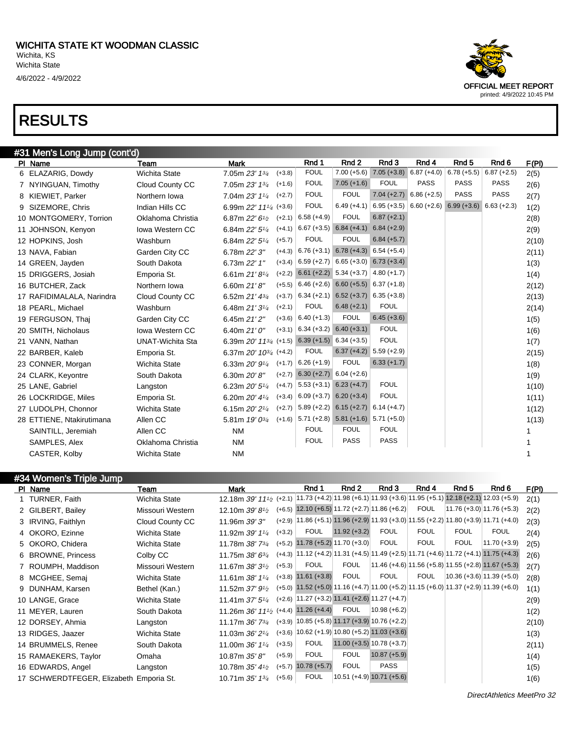

| #34 Women's Triple Jump                 |                      |                                                                                                                                 |          |                                                                                                    |                             |                |             |             |                                                                                                    |       |
|-----------------------------------------|----------------------|---------------------------------------------------------------------------------------------------------------------------------|----------|----------------------------------------------------------------------------------------------------|-----------------------------|----------------|-------------|-------------|----------------------------------------------------------------------------------------------------|-------|
| PI Name                                 | Team                 | <b>Mark</b>                                                                                                                     |          | Rnd 1                                                                                              | Rnd 2                       | Rnd 3          | Rnd 4       | Rnd 5       | Rnd 6                                                                                              | F(PI) |
| 1 TURNER, Faith                         | Wichita State        | 12.18 m 39' 11 <sup>1</sup> / <sub>2</sub> (+2.1) 11.73 (+4.2) 11.98 (+6.1) 11.93 (+3.6) 11.95 (+5.1) 12.18 (+2.1) 12.03 (+5.9) |          |                                                                                                    |                             |                |             |             |                                                                                                    | 2(1)  |
| 2 GILBERT, Bailey                       | Missouri Western     | 12.10m $39'8'$                                                                                                                  |          | $(+6.5)$ 12.10 $(+6.5)$ 11.72 $(+2.7)$ 11.86 $(+6.2)$                                              |                             |                | <b>FOUL</b> |             | $ 11.76 (+3.0) 11.76 (+5.3) $                                                                      | 2(2)  |
| 3 IRVING, Faithlyn                      | Cloud County CC      | 11.96m 39' 3"                                                                                                                   |          | $(+2.9)$   11.86 (+5.1) 11.96 (+2.9) 11.93 (+3.0)   11.55 (+2.2) 11.80 (+3.9)   11.71 (+4.0)       |                             |                |             |             |                                                                                                    | 2(3)  |
| 4 OKORO, Ezinne                         | <b>Wichita State</b> | 11.92m 39' 11/4                                                                                                                 | $(+3.2)$ | <b>FOUL</b>                                                                                        | $11.92 (+3.2)$              | <b>FOUL</b>    | <b>FOUL</b> | <b>FOUL</b> | <b>FOUL</b>                                                                                        | 2(4)  |
| 5 OKORO, Chidera                        | <b>Wichita State</b> | 11.78m $38'$ $7^{3}/_4$                                                                                                         |          | $(+5.2)$ 11.78 $(+5.2)$ 11.70 $(+3.0)$                                                             |                             | <b>FOUL</b>    | <b>FOUL</b> | FOUL        | $11.70 (+3.9)$                                                                                     | 2(5)  |
| 6 BROWNE, Princess                      | Colby CC             | 11.75m $38'6^{3}/4$                                                                                                             |          |                                                                                                    |                             |                |             |             | $(+4.3)$   11.12 (+4.2)   11.31 (+4.5)   11.49 (+2.5)   11.71 (+4.6)   11.72 (+4.1)   11.75 (+4.3) | 2(6)  |
| 7 ROUMPH, Maddison                      | Missouri Western     | 11.67m $38'3\frac{1}{2}$                                                                                                        | $(+5.3)$ | <b>FOUL</b>                                                                                        | <b>FOUL</b>                 |                |             |             | $ 11.46 (+4.6) 11.56 (+5.8) 11.55 (+2.8) 11.67 (+5.3) $                                            | 2(7)  |
| 8 MCGHEE, Semaj                         | <b>Wichita State</b> | 11.61m $38'$ 1 <sup>1/4</sup>                                                                                                   |          | $(+3.8)$ 11.61 $(+3.8)$                                                                            | <b>FOUL</b>                 | <b>FOUL</b>    | <b>FOUL</b> |             | $ 10.36 (+3.6) 11.39 (+5.0) $                                                                      | 2(8)  |
| 9 DUNHAM, Karsen                        | Bethel (Kan.)        | 11.52m $37'9'$                                                                                                                  |          | $(+5.0)$ 11.52 $(+5.0)$ 11.16 $(+4.7)$ 11.00 $(+5.2)$ 11.15 $(+6.0)$ 11.37 $(+2.9)$ 11.39 $(+6.0)$ |                             |                |             |             |                                                                                                    | 1(1)  |
| 10 LANGE, Grace                         | Wichita State        | 11.41m $37'5''_4$                                                                                                               |          | $(+2.6)$ 11.27 $(+3.2)$ 11.41 $(+2.6)$ 11.27 $(+4.7)$                                              |                             |                |             |             |                                                                                                    | 2(9)  |
| 11 MEYER, Lauren                        | South Dakota         | 11.26m 36' 11 <sup>1</sup> / <sub>2</sub> (+4.4) 11.26 (+4.4)                                                                   |          |                                                                                                    | <b>FOUL</b>                 | $10.98 (+6.2)$ |             |             |                                                                                                    | 1(2)  |
| 12 DORSEY, Ahmia                        | Langston             | 11.17m $36'$ 7 $\frac{3}{4}$                                                                                                    |          | $(+3.9)$ 10.85 $(+5.8)$ 11.17 $(+3.9)$ 10.76 $(+2.2)$                                              |                             |                |             |             |                                                                                                    | 2(10) |
| 13 RIDGES, Jaazer                       | <b>Wichita State</b> | 11.03m $36'2'4$                                                                                                                 |          | $(+3.6)$ 10.62 $(+1.9)$ 10.80 $(+5.2)$ 11.03 $(+3.6)$                                              |                             |                |             |             |                                                                                                    | 1(3)  |
| 14 BRUMMELS, Renee                      | South Dakota         | 11.00m 36' 11/4                                                                                                                 | $(+3.5)$ | <b>FOUL</b>                                                                                        | $11.00 (+3.5) 10.78 (+3.7)$ |                |             |             |                                                                                                    | 2(11) |
| 15 RAMAEKERS, Taylor                    | Omaha                | 10.87m 35' 8"                                                                                                                   | $(+5.9)$ | <b>FOUL</b>                                                                                        | <b>FOUL</b>                 | $10.87 (+5.9)$ |             |             |                                                                                                    | 1(4)  |
| 16 EDWARDS, Angel                       | Langston             | 10.78m $35'$ 4 $\frac{1}{2}$                                                                                                    |          | $(+5.7)$ 10.78 $(+5.7)$                                                                            | <b>FOUL</b>                 | <b>PASS</b>    |             |             |                                                                                                    | 1(5)  |
| 17 SCHWERDTFEGER, Elizabeth Emporia St. |                      | 10.71m $35'$ 1 $\frac{3}{4}$                                                                                                    | $(+5.6)$ | <b>FOUL</b>                                                                                        | $10.51 (+4.9) 10.71 (+5.6)$ |                |             |             |                                                                                                    | 1(6)  |

OFFICIAL MEET REPORT printed: 4/9/2022 10:45 PM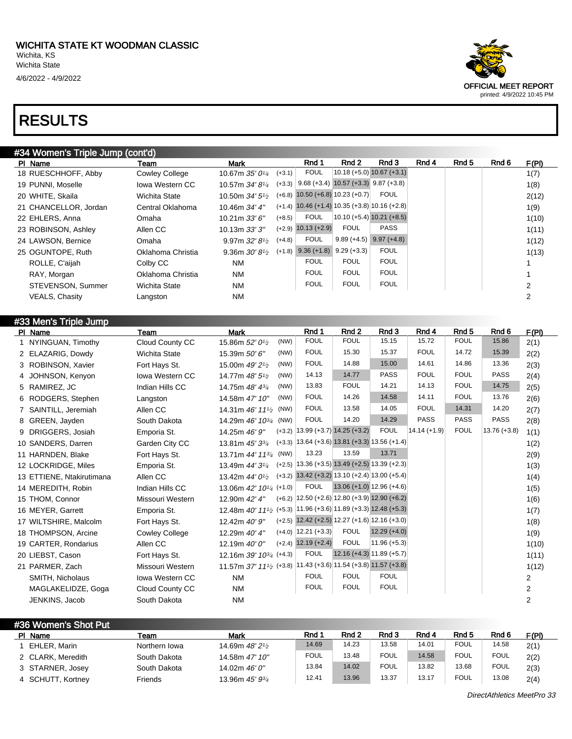#36 Women's Shot Put

#### #34 Women's Triple Jump (cont'd)

| PI Name               | Team                  | <b>Mark</b>                            |          | Rnd 1                                                 | Rnd 2        | Rnd 3                       | Rnd 4 | Rnd 5 | Rnd 6 | F(PI) |
|-----------------------|-----------------------|----------------------------------------|----------|-------------------------------------------------------|--------------|-----------------------------|-------|-------|-------|-------|
| 18 RUESCHHOFF, Abby   | <b>Cowley College</b> | 10.67m $35'0\frac{1}{4}$               | $(+3.1)$ | <b>FOUL</b>                                           |              | $10.18 (+5.0) 10.67 (+3.1)$ |       |       |       | 1(7)  |
| 19 PUNNI, Moselle     | lowa Western CC       | 10.57m $34'8\frac{1}{4}$               |          | $(+3.3)$ 9.68 (+3.4) 10.57 (+3.3) 9.87 (+3.8)         |              |                             |       |       |       | 1(8)  |
| 20 WHITE, Skaila      | Wichita State         | 10.50m $34'5\%$                        |          | $(+6.8)$ 10.50 $(+6.8)$ 10.23 $(+0.7)$                |              | <b>FOUL</b>                 |       |       |       | 2(12) |
| 21 CHANCELLOR, Jordan | Central Oklahoma      | 10.46m 34' 4"                          |          | $(+1.4)$ 10.46 $(+1.4)$ 10.35 $(+3.8)$ 10.16 $(+2.8)$ |              |                             |       |       |       | 1(9)  |
| 22 EHLERS, Anna       | Omaha                 | 10.21m $33'6''$                        | $(+8.5)$ | <b>FOUL</b>                                           |              | $10.10 (+5.4) 10.21 (+8.5)$ |       |       |       | 1(10) |
| 23 ROBINSON, Ashley   | Allen CC              | 10.13m 33'3''                          |          | $(+2.9)$ 10.13 $(+2.9)$                               | <b>FOUL</b>  | <b>PASS</b>                 |       |       |       | 1(11) |
| 24 LAWSON, Bernice    | Omaha                 | 9.97m $32'8\frac{1}{2}$                | $(+4.8)$ | <b>FOUL</b>                                           | $9.89(+4.5)$ | $9.97 (+4.8)$               |       |       |       | 1(12) |
| 25 OGUNTOPE, Ruth     | Oklahoma Christia     | 9.36m $30' 8^{1/2}$ (+1.8) 9.36 (+1.8) |          |                                                       | $9.29(+3.3)$ | <b>FOUL</b>                 |       |       |       | 1(13) |
| ROLLE, C'aijah        | Colby CC              | <b>NM</b>                              |          | <b>FOUL</b>                                           | <b>FOUL</b>  | <b>FOUL</b>                 |       |       |       |       |
| RAY, Morgan           | Oklahoma Christia     | <b>NM</b>                              |          | <b>FOUL</b>                                           | <b>FOUL</b>  | <b>FOUL</b>                 |       |       |       |       |
| STEVENSON, Summer     | <b>Wichita State</b>  | <b>NM</b>                              |          | <b>FOUL</b>                                           | <b>FOUL</b>  | <b>FOUL</b>                 |       |       |       |       |
| <b>VEALS, Chasity</b> | Langston              | <b>NM</b>                              |          |                                                       |              |                             |       |       |       |       |

| #33 Men's Triple Jump     |                        |                                                                                         |                                                       |                             |                |                |                  |                |                |
|---------------------------|------------------------|-----------------------------------------------------------------------------------------|-------------------------------------------------------|-----------------------------|----------------|----------------|------------------|----------------|----------------|
| PI Name                   | Team                   | <b>Mark</b>                                                                             | Rnd 1                                                 | Rnd <sub>2</sub>            | Rnd 3          | Rnd 4          | Rnd <sub>5</sub> | Rnd 6          | F(PI)          |
| 1 NYINGUAN, Timothy       | Cloud County CC        | (NW)<br>15.86m 52' 0 <sup>1</sup> /2                                                    | <b>FOUL</b>                                           | <b>FOUL</b>                 | 15.15          | 15.72          | <b>FOUL</b>      | 15.86          | 2(1)           |
| 2 ELAZARIG, Dowdy         | <b>Wichita State</b>   | (NW)<br>15.39m 50' 6"                                                                   | <b>FOUL</b>                                           | 15.30                       | 15.37          | <b>FOUL</b>    | 14.72            | 15.39          | 2(2)           |
| 3 ROBINSON, Xavier        | Fort Hays St.          | (NW)<br>15.00m 49' 2 <sup>1</sup> / <sub>2</sub>                                        | <b>FOUL</b>                                           | 14.88                       | 15.00          | 14.61          | 14.86            | 13.36          | 2(3)           |
| 4 JOHNSON, Kenyon         | <b>Iowa Western CC</b> | (NW)<br>14.77m 48' 5 <sup>1</sup> / <sub>2</sub>                                        | 14.13                                                 | 14.77                       | PASS           | <b>FOUL</b>    | <b>FOUL</b>      | <b>PASS</b>    | 2(4)           |
| 5 RAMIREZ, JC             | Indian Hills CC        | (NW)<br>14.75m 48' 43/4                                                                 | 13.83                                                 | <b>FOUL</b>                 | 14.21          | 14.13          | <b>FOUL</b>      | 14.75          | 2(5)           |
| 6 RODGERS, Stephen        | Langston               | (NW)<br>14.58m 47' 10"                                                                  | <b>FOUL</b>                                           | 14.26                       | 14.58          | 14.11          | <b>FOUL</b>      | 13.76          | 2(6)           |
| 7 SAINTILL, Jeremiah      | Allen CC               | 14.31m $46'$ 11 <sup>1</sup> / <sub>2</sub><br>(NW)                                     | <b>FOUL</b>                                           | 13.58                       | 14.05          | <b>FOUL</b>    | 14.31            | 14.20          | 2(7)           |
| 8 GREEN, Jayden           | South Dakota           | (NW)<br>14.29m 46' 10 <sup>3/4</sup>                                                    | <b>FOUL</b>                                           | 14.20                       | 14.29          | <b>PASS</b>    | <b>PASS</b>      | <b>PASS</b>    | 2(8)           |
| 9 DRIGGERS, Josiah        | Emporia St.            | 14.25m 46' 9"                                                                           | $(+3.2)$   13.99 $(+3.7)$ 14.25 $(+3.2)$              |                             | <b>FOUL</b>    | $14.14 (+1.9)$ | <b>FOUL</b>      | $13.76 (+3.8)$ | 1(1)           |
| 10 SANDERS, Darren        | Garden City CC         | 13.81m 45' 33/4                                                                         | $(+3.3)$ 13.64 $(+3.6)$ 13.81 $(+3.3)$ 13.56 $(+1.4)$ |                             |                |                |                  |                | 1(2)           |
| 11 HARNDEN, Blake         | Fort Hays St.          | (NW)<br>13.71m 44' 11 <sup>3/4</sup>                                                    | 13.23                                                 | 13.59                       | 13.71          |                |                  |                | 2(9)           |
| 12 LOCKRIDGE, Miles       | Emporia St.            | 13.49m 44' 3 <sup>1/4</sup>                                                             | $(+2.5)$ 13.36 $(+3.5)$ 13.49 $(+2.5)$ 13.39 $(+2.3)$ |                             |                |                |                  |                | 1(3)           |
| 13 ETTIENE, Ntakirutimana | Allen CC               | 13.42m $44'0\frac{1}{2}$                                                                | $(+3.2)$ 13.42 $(+3.2)$ 13.10 $(+2.4)$ 13.00 $(+5.4)$ |                             |                |                |                  |                | 1(4)           |
| 14 MEREDITH, Robin        | Indian Hills CC        | 13.06m 42' 10 <sup>1</sup> / <sub>4</sub> (+1.0)                                        | <b>FOUL</b>                                           | $13.06 (+1.0) 12.96 (+4.6)$ |                |                |                  |                | 1(5)           |
| 15 THOM, Connor           | Missouri Western       | 12.90m 42' 4"                                                                           | $(+6.2)$ 12.50 $(+2.6)$ 12.80 $(+3.9)$ 12.90 $(+6.2)$ |                             |                |                |                  |                | 1(6)           |
| 16 MEYER, Garrett         | Emporia St.            | 12.48m 40' 111/2 (+5.3) 11.96 (+3.6) 11.89 (+3.3) 12.48 (+5.3)                          |                                                       |                             |                |                |                  |                | 1(7)           |
| 17 WILTSHIRE, Malcolm     | Fort Hays St.          | 12.42m 40' 9"                                                                           | $(+2.5)$ 12.42 $(+2.5)$ 12.27 $(+1.6)$ 12.16 $(+3.0)$ |                             |                |                |                  |                | 1(8)           |
| 18 THOMPSON, Arcine       | <b>Cowley College</b>  | 12.29m 40' 4"                                                                           | $(+4.0)$ 12.21 $(+3.3)$                               | <b>FOUL</b>                 | $12.29 (+4.0)$ |                |                  |                | 1(9)           |
| 19 CARTER, Rondarius      | Allen CC               | 12.19m 40' 0"                                                                           | $(+2.4)$ 12.19 $(+2.4)$                               | <b>FOUL</b>                 | $11.96 (+5.3)$ |                |                  |                | 1(10)          |
| 20 LIEBST, Cason          | Fort Hays St.          | 12.16m $39'$ $10^{3/4}$ (+4.3)                                                          | <b>FOUL</b>                                           | $12.16 (+4.3) 11.89 (+5.7)$ |                |                |                  |                | 1(11)          |
| 21 PARMER, Zach           | Missouri Western       | 11.57m 37' 11 <sup>1</sup> / <sub>2</sub> (+3.8) 11.43 (+3.6) 11.54 (+3.8) 11.57 (+3.8) |                                                       |                             |                |                |                  |                | 1(12)          |
| SMITH, Nicholaus          | <b>Iowa Western CC</b> | <b>NM</b>                                                                               | <b>FOUL</b>                                           | <b>FOUL</b>                 | <b>FOUL</b>    |                |                  |                | 2              |
| MAGLAKELIDZE, Goga        | Cloud County CC        | <b>NM</b>                                                                               | <b>FOUL</b>                                           | <b>FOUL</b>                 | <b>FOUL</b>    |                |                  |                | 2              |
| JENKINS, Jacob            | South Dakota           | <b>NM</b>                                                                               |                                                       |                             |                |                |                  |                | $\overline{2}$ |

| <b>HJU VYUHULI S JHUL FUL</b> |               |                                          |             |       |             |       |             |             |               |
|-------------------------------|---------------|------------------------------------------|-------------|-------|-------------|-------|-------------|-------------|---------------|
| PI Name                       | Team          | Mark                                     | Rnd 1       | Rnd 2 | Rnd 3       | Rnd 4 | Rnd 5       | Rnd 6       | <u> F(PI)</u> |
| EHLER, Marin                  | Northern Iowa | 14.69m 48' 2 <sup>1</sup> / <sub>2</sub> | 14.69       | 14.23 | 13.58       | 14.01 | <b>FOUL</b> | 14.58       | 2(1)          |
| 2 CLARK, Meredith             | South Dakota  | 14.58m 47' 10"                           | <b>FOUL</b> | 13.48 | <b>FOUL</b> | 14.58 | <b>FOUL</b> | <b>FOUL</b> | 2(2)          |
| 3 STARNER, Josey              | South Dakota  | 14.02m 46' 0"                            | 13.84       | 14.02 | <b>FOUL</b> | 13.82 | 13.68       | <b>FOUL</b> | 2(3)          |
| 4 SCHUTT, Kortney             | Friends       | 13.96m 45' 93/4                          | 12.41       | 13.96 | 13.37       | 13.17 | <b>FOUL</b> | 13.08       | 2(4)          |

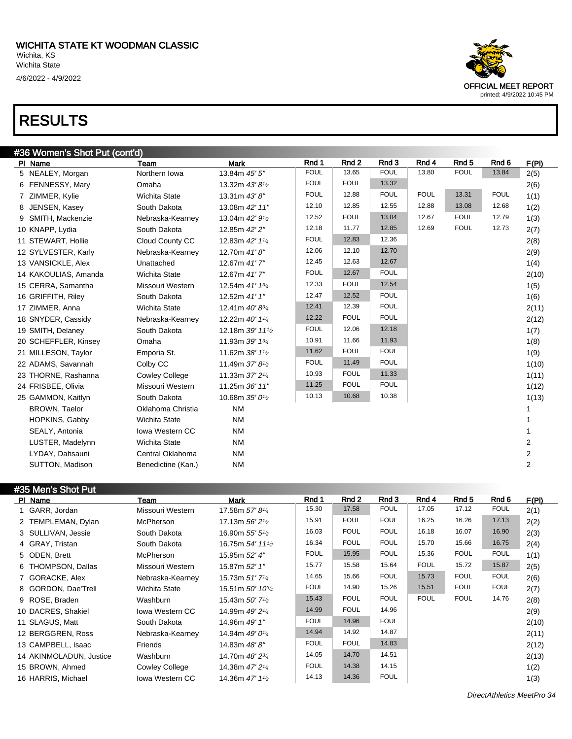#36 Wo

| ハヒソソヒエソ                       |                        |                                          |             |                  |             |             |                  |             |              |
|-------------------------------|------------------------|------------------------------------------|-------------|------------------|-------------|-------------|------------------|-------------|--------------|
| #36 Women's Shot Put (cont'd) |                        |                                          |             |                  |             |             |                  |             |              |
| PI Name                       | Team                   | <b>Mark</b>                              | Rnd 1       | Rnd <sub>2</sub> | Rnd 3       | Rnd 4       | Rnd <sub>5</sub> | Rnd 6       | <u>F(PI)</u> |
| 5 NEALEY, Morgan              | Northern Iowa          | 13.84m 45' 5"                            | <b>FOUL</b> | 13.65            | <b>FOUL</b> | 13.80       | <b>FOUL</b>      | 13.84       | 2(5)         |
| 6 FENNESSY, Mary              | Omaha                  | 13.32m 43' 81/2                          | <b>FOUL</b> | <b>FOUL</b>      | 13.32       |             |                  |             | 2(6)         |
| 7 ZIMMER, Kylie               | <b>Wichita State</b>   | 13.31m 43' 8"                            | <b>FOUL</b> | 12.88            | <b>FOUL</b> | <b>FOUL</b> | 13.31            | <b>FOUL</b> | 1(1)         |
| 8 JENSEN, Kasey               | South Dakota           | 13.08m 42' 11"                           | 12.10       | 12.85            | 12.55       | 12.88       | 13.08            | 12.68       | 1(2)         |
| 9 SMITH, Mackenzie            | Nebraska-Kearney       | 13.04m 42' 91/2                          | 12.52       | <b>FOUL</b>      | 13.04       | 12.67       | <b>FOUL</b>      | 12.79       | 1(3)         |
| 10 KNAPP, Lydia               | South Dakota           | 12.85m 42' 2"                            | 12.18       | 11.77            | 12.85       | 12.69       | <b>FOUL</b>      | 12.73       | 2(7)         |
| 11 STEWART, Hollie            | Cloud County CC        | 12.83m 42' 11/4                          | <b>FOUL</b> | 12.83            | 12.36       |             |                  |             | 2(8)         |
| 12 SYLVESTER, Karly           | Nebraska-Kearney       | 12.70m 41'8"                             | 12.06       | 12.10            | 12.70       |             |                  |             | 2(9)         |
| 13 VANSICKLE, Alex            | Unattached             | 12.67m 41'7"                             | 12.45       | 12.63            | 12.67       |             |                  |             | 1(4)         |
| 14 KAKOULIAS, Amanda          | <b>Wichita State</b>   | 12.67m 41'7"                             | <b>FOUL</b> | 12.67            | <b>FOUL</b> |             |                  |             | 2(10)        |
| 15 CERRA, Samantha            | Missouri Western       | 12.54m 41' 13/4                          | 12.33       | <b>FOUL</b>      | 12.54       |             |                  |             | 1(5)         |
| 16 GRIFFITH, Riley            | South Dakota           | 12.52m 41' 1"                            | 12.47       | 12.52            | <b>FOUL</b> |             |                  |             | 1(6)         |
| 17 ZIMMER, Anna               | <b>Wichita State</b>   | 12.41m 40' 83/4                          | 12.41       | 12.39            | <b>FOUL</b> |             |                  |             | 2(11)        |
| 18 SNYDER, Cassidy            | Nebraska-Kearney       | 12.22m 40' 11/4                          | 12.22       | <b>FOUL</b>      | <b>FOUL</b> |             |                  |             | 2(12)        |
| 19 SMITH, Delaney             | South Dakota           | 12.18m 39' 111/2                         | <b>FOUL</b> | 12.06            | 12.18       |             |                  |             | 1(7)         |
| 20 SCHEFFLER, Kinsey          | Omaha                  | 11.93m 39' 13/4                          | 10.91       | 11.66            | 11.93       |             |                  |             | 1(8)         |
| 21 MILLESON, Taylor           | Emporia St.            | 11.62m 38' 11/2                          | 11.62       | <b>FOUL</b>      | <b>FOUL</b> |             |                  |             | 1(9)         |
| 22 ADAMS, Savannah            | Colby CC               | 11.49m 37' 8 <sup>1</sup> / <sub>2</sub> | <b>FOUL</b> | 11.49            | <b>FOUL</b> |             |                  |             | 1(10)        |
| 23 THORNE, Rashanna           | <b>Cowley College</b>  | 11.33m 37' 21/4                          | 10.93       | <b>FOUL</b>      | 11.33       |             |                  |             | 1(11)        |
| 24 FRISBEE, Olivia            | Missouri Western       | 11.25m 36' 11"                           | 11.25       | <b>FOUL</b>      | <b>FOUL</b> |             |                  |             | 1(12)        |
| 25 GAMMON, Kaitlyn            | South Dakota           | 10.68m 35' 0 <sup>1/2</sup>              | 10.13       | 10.68            | 10.38       |             |                  |             | 1(13)        |
| <b>BROWN, Taelor</b>          | Oklahoma Christia      | <b>NM</b>                                |             |                  |             |             |                  |             | 1            |
| HOPKINS, Gabby                | <b>Wichita State</b>   | <b>NM</b>                                |             |                  |             |             |                  |             |              |
| SEALY, Antonia                | <b>Iowa Western CC</b> | <b>NM</b>                                |             |                  |             |             |                  |             |              |
| LUSTER, Madelynn              | <b>Wichita State</b>   | <b>NM</b>                                |             |                  |             |             |                  |             | 2            |
| LYDAY, Dahsauni               | Central Oklahoma       | <b>NM</b>                                |             |                  |             |             |                  |             | 2            |

#### #35 Men's Shot Put

| -----------------<br>PI Name | Team                   | <b>Mark</b>                                 | Rnd 1       | Rnd 2       | Rnd 3       | Rnd 4       | Rnd 5       | Rnd 6       | F(PI) |
|------------------------------|------------------------|---------------------------------------------|-------------|-------------|-------------|-------------|-------------|-------------|-------|
| 1 GARR, Jordan               | Missouri Western       | 17.58m 57'8 <sup>1/4</sup>                  | 15.30       | 17.58       | <b>FOUL</b> | 17.05       | 17.12       | <b>FOUL</b> | 2(1)  |
| 2 TEMPLEMAN, Dylan           | <b>McPherson</b>       | 17.13m $56'2\frac{1}{2}$                    | 15.91       | <b>FOUL</b> | <b>FOUL</b> | 16.25       | 16.26       | 17.13       | 2(2)  |
| 3 SULLIVAN, Jessie           | South Dakota           | 16.90m $55'5''_2$                           | 16.03       | <b>FOUL</b> | <b>FOUL</b> | 16.18       | 16.07       | 16.90       | 2(3)  |
| 4 GRAY, Tristan              | South Dakota           | 16.75m $54'$ 11 <sup>1</sup> / <sub>2</sub> | 16.34       | <b>FOUL</b> | <b>FOUL</b> | 15.70       | 15.66       | 16.75       | 2(4)  |
| 5 ODEN, Brett                | <b>McPherson</b>       | 15.95m 52' 4"                               | <b>FOUL</b> | 15.95       | <b>FOUL</b> | 15.36       | <b>FOUL</b> | <b>FOUL</b> | 1(1)  |
| 6 THOMPSON, Dallas           | Missouri Western       | 15.87m 52' 1"                               | 15.77       | 15.58       | 15.64       | <b>FOUL</b> | 15.72       | 15.87       | 2(5)  |
| 7 GORACKE, Alex              | Nebraska-Kearney       | 15.73m 51' 7 <sup>1</sup> / <sub>4</sub>    | 14.65       | 15.66       | <b>FOUL</b> | 15.73       | <b>FOUL</b> | <b>FOUL</b> | 2(6)  |
| 8 GORDON, Dae'Trell          | <b>Wichita State</b>   | 15.51m $50'$ 10 $\frac{3}{4}$               | <b>FOUL</b> | 14.90       | 15.26       | 15.51       | <b>FOUL</b> | <b>FOUL</b> | 2(7)  |
| 9 ROSE, Braden               | Washburn               | 15.43m $50'$ 7 <sup>1</sup> / <sub>2</sub>  | 15.43       | <b>FOUL</b> | <b>FOUL</b> | <b>FOUL</b> | <b>FOUL</b> | 14.76       | 2(8)  |
| 10 DACRES, Shakiel           | <b>Iowa Western CC</b> | 14.99m 49' 2 <sup>1</sup> / <sub>4</sub>    | 14.99       | <b>FOUL</b> | 14.96       |             |             |             | 2(9)  |
| 11 SLAGUS, Matt              | South Dakota           | 14.96m 49' 1"                               | <b>FOUL</b> | 14.96       | <b>FOUL</b> |             |             |             | 2(10) |
| 12 BERGGREN, Ross            | Nebraska-Kearney       | 14.94m 49' 0 <sup>1</sup> / <sub>4</sub>    | 14.94       | 14.92       | 14.87       |             |             |             | 2(11) |
| 13 CAMPBELL, Isaac           | Friends                | 14.83m 48'8"                                | <b>FOUL</b> | <b>FOUL</b> | 14.83       |             |             |             | 2(12) |
| 14 AKINMOLADUN, Justice      | Washburn               | 14.70m 48' 2 <sup>3/4</sup>                 | 14.05       | 14.70       | 14.51       |             |             |             | 2(13) |
| 15 BROWN, Ahmed              | <b>Cowley College</b>  | 14.38m 47' 2 <sup>1</sup> / <sub>4</sub>    | <b>FOUL</b> | 14.38       | 14.15       |             |             |             | 1(2)  |
| 16 HARRIS, Michael           | <b>Iowa Western CC</b> | 14.36m 47' 1 <sup>1</sup> / <sub>2</sub>    | 14.13       | 14.36       | <b>FOUL</b> |             |             |             | 1(3)  |

SUTTON, Madison Benedictine (Kan.) NM 2

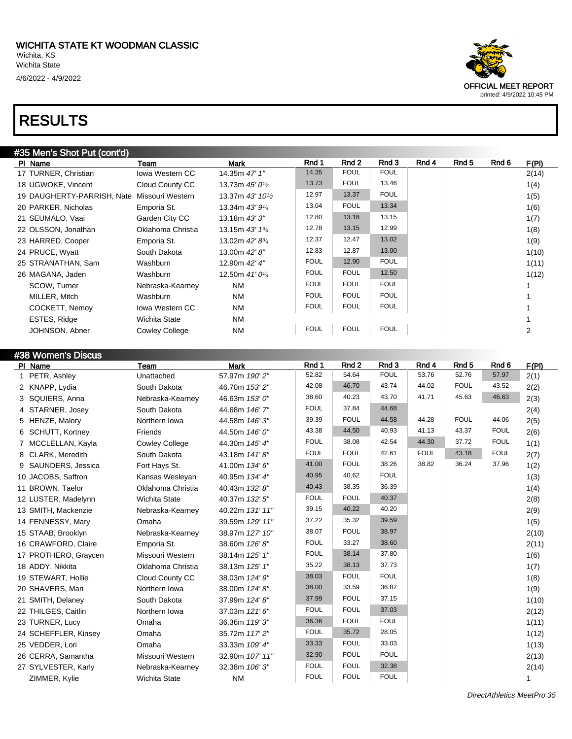#### #35 Men's Shot Put (cont'd)

| PI Name                    | Team                   | <b>Mark</b>                               | Rnd 1       | Rnd 2       | Rnd 3       | Rnd 4 | Rnd 5 | Rnd 6 | F(PI) |
|----------------------------|------------------------|-------------------------------------------|-------------|-------------|-------------|-------|-------|-------|-------|
| 17 TURNER, Christian       | <b>Iowa Western CC</b> | 14.35m 47' 1"                             | 14.35       | <b>FOUL</b> | <b>FOUL</b> |       |       |       | 2(14) |
| 18 UGWOKE, Vincent         | Cloud County CC        | 13.73m $45'0\frac{1}{2}$                  | 13.73       | <b>FOUL</b> | 13.46       |       |       |       | 1(4)  |
| 19 DAUGHERTY-PARRISH, Nate | Missouri Western       | 13.37m 43' 10 <sup>1</sup> / <sub>2</sub> | 12.97       | 13.37       | <b>FOUL</b> |       |       |       | 1(5)  |
| 20 PARKER, Nicholas        | Emporia St.            | 13.34m 43' 91/4                           | 13.04       | <b>FOUL</b> | 13.34       |       |       |       | 1(6)  |
| 21 SEUMALO, Vaai           | Garden City CC         | 13.18m 43' 3"                             | 12.80       | 13.18       | 13.15       |       |       |       | 1(7)  |
| 22 OLSSON, Jonathan        | Oklahoma Christia      | 13.15m 43' 13/4                           | 12.78       | 13.15       | 12.99       |       |       |       | 1(8)  |
| 23 HARRED, Cooper          | Emporia St.            | 13.02m 42' 83/4                           | 12.37       | 12.47       | 13.02       |       |       |       | 1(9)  |
| 24 PRUCE, Wyatt            | South Dakota           | 13.00m 42' 8"                             | 12.83       | 12.87       | 13.00       |       |       |       | 1(10) |
| 25 STRANATHAN, Sam         | Washburn               | 12.90m 42' 4"                             | <b>FOUL</b> | 12.90       | <b>FOUL</b> |       |       |       | 1(11) |
| 26 MAGANA, Jaden           | Washburn               | 12.50m 41' 0 <sup>1/4</sup>               | <b>FOUL</b> | <b>FOUL</b> | 12.50       |       |       |       | 1(12) |
| SCOW, Turner               | Nebraska-Kearney       | <b>NM</b>                                 | <b>FOUL</b> | <b>FOUL</b> | <b>FOUL</b> |       |       |       |       |
| MILLER, Mitch              | Washburn               | <b>NM</b>                                 | <b>FOUL</b> | <b>FOUL</b> | <b>FOUL</b> |       |       |       |       |
| COCKETT, Nemov             | <b>Iowa Western CC</b> | <b>NM</b>                                 | <b>FOUL</b> | <b>FOUL</b> | <b>FOUL</b> |       |       |       |       |
| ESTES, Ridge               | Wichita State          | <b>NM</b>                                 |             |             |             |       |       |       |       |
| JOHNSON, Abner             | <b>Cowley College</b>  | <b>NM</b>                                 | <b>FOUL</b> | <b>FOUL</b> | <b>FOUL</b> |       |       |       | 2     |

| #38 Women's Discus   |                       |                 |             |             |             |             |                  |                  |       |
|----------------------|-----------------------|-----------------|-------------|-------------|-------------|-------------|------------------|------------------|-------|
| PI Name              | Team                  | <b>Mark</b>     | Rnd 1       | Rnd 2       | Rnd 3       | Rnd 4       | Rnd <sub>5</sub> | Rnd <sub>6</sub> | F(PI) |
| 1 PETR, Ashley       | Unattached            | 57.97m 190' 2"  | 52.82       | 54.64       | <b>FOUL</b> | 53.76       | 52.76            | 57.97            | 2(1)  |
| 2 KNAPP, Lydia       | South Dakota          | 46.70m 153' 2"  | 42.08       | 46.70       | 43.74       | 44.02       | <b>FOUL</b>      | 43.52            | 2(2)  |
| 3 SQUIERS, Anna      | Nebraska-Kearney      | 46.63m 153' 0"  | 38.60       | 40.23       | 43.70       | 41.71       | 45.63            | 46.63            | 2(3)  |
| 4 STARNER, Josey     | South Dakota          | 44.68m 146' 7"  | <b>FOUL</b> | 37.84       | 44.68       |             |                  |                  | 2(4)  |
| 5 HENZE, Malory      | Northern Iowa         | 44.58m 146' 3"  | 39.39       |             | 44.58       | 44.28       | <b>FOUL</b>      | 44.06            | 2(5)  |
| 6 SCHUTT, Kortney    | Friends               | 44.50m 146' 0"  | 43.38       | 44.50       | 40.93       | 41.13       | 43.37            | <b>FOUL</b>      | 2(6)  |
| 7 MCCLELLAN, Kayla   | <b>Cowley College</b> | 44.30m 145' 4"  | <b>FOUL</b> | 38.08       | 42.54       | 44.30       | 37.72            | <b>FOUL</b>      | 1(1)  |
| 8 CLARK, Meredith    | South Dakota          | 43.18m 141'8"   | <b>FOUL</b> | <b>FOUL</b> | 42.61       | <b>FOUL</b> | 43.18            | <b>FOUL</b>      | 2(7)  |
| 9 SAUNDERS, Jessica  | Fort Hays St.         | 41.00m 134' 6"  | 41.00       | <b>FOUL</b> | 38.26       | 38.82       | 36.24            | 37.96            | 1(2)  |
| 10 JACOBS, Saffron   | Kansas Wesleyan       | 40.95m 134' 4"  | 40.95       | 40.62       | <b>FOUL</b> |             |                  |                  | 1(3)  |
| 11 BROWN, Taelor     | Oklahoma Christia     | 40.43m 132' 8"  | 40.43       | 38.35       | 36.39       |             |                  |                  | 1(4)  |
| 12 LUSTER, Madelynn  | Wichita State         | 40.37m 132' 5"  | <b>FOUL</b> | <b>FOUL</b> | 40.37       |             |                  |                  | 2(8)  |
| 13 SMITH, Mackenzie  | Nebraska-Kearney      | 40.22m 131' 11" | 39.15       | 40.22       | 40.20       |             |                  |                  | 2(9)  |
| 14 FENNESSY, Mary    | Omaha                 | 39.59m 129' 11" | 37.22       | 35.32       | 39.59       |             |                  |                  | 1(5)  |
| 15 STAAB, Brooklyn   | Nebraska-Kearney      | 38.97m 127' 10" | 38.07       | <b>FOUL</b> | 38.97       |             |                  |                  | 2(10) |
| 16 CRAWFORD, Claire  | Emporia St.           | 38.60m 126'8"   | <b>FOUL</b> | 33.27       | 38.60       |             |                  |                  | 2(11) |
| 17 PROTHERO, Graycen | Missouri Western      | 38.14m 125' 1"  | <b>FOUL</b> | 38.14       | 37.80       |             |                  |                  | 1(6)  |
| 18 ADDY, Nikkita     | Oklahoma Christia     | 38.13m 125' 1"  | 35.22       | 38.13       | 37.73       |             |                  |                  | 1(7)  |
| 19 STEWART, Hollie   | Cloud County CC       | 38.03m 124' 9"  | 38.03       | <b>FOUL</b> | <b>FOUL</b> |             |                  |                  | 1(8)  |
| 20 SHAVERS, Mari     | Northern Iowa         | 38.00m 124' 8"  | 38.00       | 33.59       | 36.87       |             |                  |                  | 1(9)  |
| 21 SMITH, Delaney    | South Dakota          | 37.99m 124' 8"  | 37.99       | <b>FOUL</b> | 37.15       |             |                  |                  | 1(10) |
| 22 THILGES, Caitlin  | Northern Iowa         | 37.03m 121'6"   | <b>FOUL</b> | <b>FOUL</b> | 37.03       |             |                  |                  | 2(12) |
| 23 TURNER, Lucy      | Omaha                 | 36.36m 119' 3"  | 36.36       | <b>FOUL</b> | <b>FOUL</b> |             |                  |                  | 1(11) |
| 24 SCHEFFLER, Kinsey | Omaha                 | 35.72m 117' 2"  | <b>FOUL</b> | 35.72       | 28.05       |             |                  |                  | 1(12) |
| 25 VEDDER, Lori      | Omaha                 | 33.33m 109' 4"  | 33.33       | <b>FOUL</b> | 33.03       |             |                  |                  | 1(13) |
| 26 CERRA, Samantha   | Missouri Western      | 32.90m 107' 11" | 32.90       | <b>FOUL</b> | <b>FOUL</b> |             |                  |                  | 2(13) |
| 27 SYLVESTER, Karly  | Nebraska-Kearney      | 32.38m 106' 3"  | <b>FOUL</b> | <b>FOUL</b> | 32.38       |             |                  |                  | 2(14) |
| ZIMMER, Kylie        | <b>Wichita State</b>  | <b>NM</b>       | <b>FOUL</b> | <b>FOUL</b> | <b>FOUL</b> |             |                  |                  | 1     |
|                      |                       |                 |             |             | <b>FOUL</b> |             |                  |                  |       |

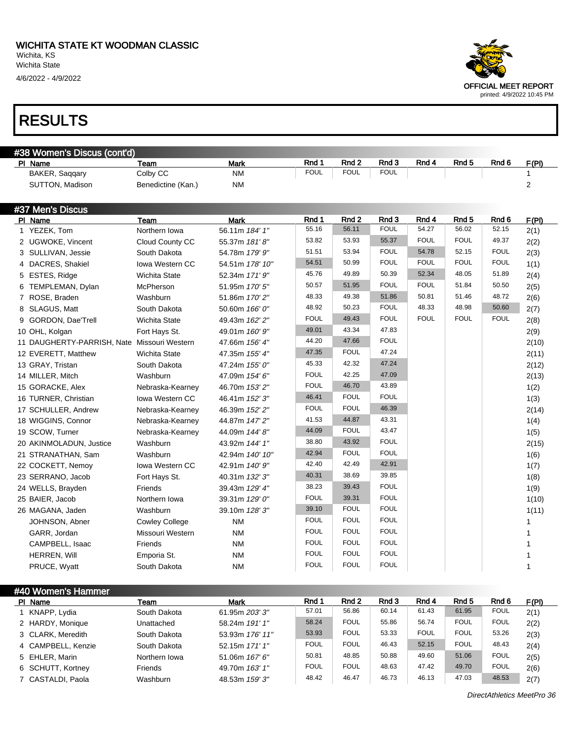| #38 Women's Discus (cont'd)                 |                        |                 |             |                  |             |             |                  |                  |                |
|---------------------------------------------|------------------------|-----------------|-------------|------------------|-------------|-------------|------------------|------------------|----------------|
| PI Name                                     | Team                   | <b>Mark</b>     | Rnd 1       | Rnd <sub>2</sub> | Rnd 3       | Rnd 4       | Rnd 5            | Rnd <sub>6</sub> | F(PI)          |
| BAKER, Saqqary                              | Colby CC               | <b>NM</b>       | <b>FOUL</b> | <b>FOUL</b>      | <b>FOUL</b> |             |                  |                  | 1              |
| SUTTON, Madison                             | Benedictine (Kan.)     | <b>NM</b>       |             |                  |             |             |                  |                  | $\overline{2}$ |
| #37 Men's Discus                            |                        |                 |             |                  |             |             |                  |                  |                |
| PI Name                                     | Team                   | <b>Mark</b>     | Rnd 1       | Rnd 2            | Rnd 3       | Rnd 4       | Rnd <sub>5</sub> | Rnd 6            | F(PI)          |
| 1 YEZEK, Tom                                | Northern Iowa          | 56.11m 184' 1"  | 55.16       | 56.11            | <b>FOUL</b> | 54.27       | 56.02            | 52.15            | 2(1)           |
| 2 UGWOKE, Vincent                           | Cloud County CC        | 55.37m 181'8"   | 53.82       | 53.93            | 55.37       | <b>FOUL</b> | <b>FOUL</b>      | 49.37            | 2(2)           |
| 3 SULLIVAN, Jessie                          | South Dakota           | 54.78m 179' 9"  | 51.51       | 53.94            | <b>FOUL</b> | 54.78       | 52.15            | <b>FOUL</b>      | 2(3)           |
| 4 DACRES, Shakiel                           | <b>Iowa Western CC</b> | 54.51m 178' 10" | 54.51       | 50.99            | <b>FOUL</b> | <b>FOUL</b> | <b>FOUL</b>      | <b>FOUL</b>      | 1(1)           |
| 5 ESTES, Ridge                              | Wichita State          | 52.34m 171' 9"  | 45.76       | 49.89            | 50.39       | 52.34       | 48.05            | 51.89            | 2(4)           |
| 6 TEMPLEMAN, Dylan                          | McPherson              | 51.95m 170' 5"  | 50.57       | 51.95            | <b>FOUL</b> | <b>FOUL</b> | 51.84            | 50.50            | 2(5)           |
| 7 ROSE, Braden                              | Washburn               | 51.86m 170' 2"  | 48.33       | 49.38            | 51.86       | 50.81       | 51.46            | 48.72            | 2(6)           |
| 8 SLAGUS, Matt                              | South Dakota           | 50.60m 166' 0"  | 48.92       | 50.23            | <b>FOUL</b> | 48.33       | 48.98            | 50.60            | 2(7)           |
| 9 GORDON, Dae'Trell                         | Wichita State          | 49.43m 162' 2"  | <b>FOUL</b> | 49.43            | <b>FOUL</b> | <b>FOUL</b> | <b>FOUL</b>      | <b>FOUL</b>      | 2(8)           |
| 10 OHL, Kolgan                              | Fort Hays St.          | 49.01m 160' 9"  | 49.01       | 43.34            | 47.83       |             |                  |                  | 2(9)           |
| 11 DAUGHERTY-PARRISH, Nate Missouri Western |                        | 47.66m 156' 4"  | 44.20       | 47.66            | <b>FOUL</b> |             |                  |                  | 2(10)          |
| 12 EVERETT, Matthew                         | Wichita State          | 47.35m 155' 4"  | 47.35       | <b>FOUL</b>      | 47.24       |             |                  |                  | 2(11)          |
| 13 GRAY, Tristan                            | South Dakota           | 47.24m 155' 0"  | 45.33       | 42.32            | 47.24       |             |                  |                  | 2(12)          |
| 14 MILLER, Mitch                            | Washburn               | 47.09m 154' 6"  | <b>FOUL</b> | 42.25            | 47.09       |             |                  |                  | 2(13)          |
| 15 GORACKE, Alex                            | Nebraska-Kearney       | 46.70m 153' 2"  | <b>FOUL</b> | 46.70            | 43.89       |             |                  |                  | 1(2)           |
| 16 TURNER, Christian                        | <b>Iowa Western CC</b> | 46.41m 152' 3"  | 46.41       | <b>FOUL</b>      | <b>FOUL</b> |             |                  |                  | 1(3)           |
| 17 SCHULLER, Andrew                         | Nebraska-Kearney       | 46.39m 152' 2"  | <b>FOUL</b> | <b>FOUL</b>      | 46.39       |             |                  |                  | 2(14)          |
| 18 WIGGINS, Connor                          | Nebraska-Kearney       | 44.87m 147' 2"  | 41.53       | 44.87            | 43.31       |             |                  |                  | 1(4)           |
| 19 SCOW, Turner                             | Nebraska-Kearney       | 44.09m 144' 8"  | 44.09       | <b>FOUL</b>      | 43.47       |             |                  |                  | 1(5)           |
| 20 AKINMOLADUN, Justice                     | Washburn               | 43.92m 144' 1"  | 38.80       | 43.92            | <b>FOUL</b> |             |                  |                  | 2(15)          |
| 21 STRANATHAN, Sam                          | Washburn               | 42.94m 140' 10" | 42.94       | <b>FOUL</b>      | <b>FOUL</b> |             |                  |                  | 1(6)           |
| 22 COCKETT, Nemoy                           | <b>Iowa Western CC</b> | 42.91m 140' 9"  | 42.40       | 42.49            | 42.91       |             |                  |                  | 1(7)           |
| 23 SERRANO, Jacob                           | Fort Hays St.          | 40.31m 132' 3"  | 40.31       | 38.69            | 39.85       |             |                  |                  | 1(8)           |
| 24 WELLS, Brayden                           | Friends                | 39.43m 129' 4"  | 38.23       | 39.43            | <b>FOUL</b> |             |                  |                  | 1(9)           |
| 25 BAIER, Jacob                             | Northern Iowa          | 39.31m 129' 0"  | <b>FOUL</b> | 39.31            | <b>FOUL</b> |             |                  |                  | 1(10)          |
| 26 MAGANA, Jaden                            | Washburn               | 39.10m 128' 3"  | 39.10       | <b>FOUL</b>      | <b>FOUL</b> |             |                  |                  | 1(11)          |
| JOHNSON, Abner                              | <b>Cowley College</b>  | <b>NM</b>       | <b>FOUL</b> | <b>FOUL</b>      | <b>FOUL</b> |             |                  |                  | 1              |
| GARR, Jordan                                | Missouri Western       | <b>NM</b>       | <b>FOUL</b> | <b>FOUL</b>      | <b>FOUL</b> |             |                  |                  | 1              |
| CAMPBELL, Isaac                             | Friends                | <b>NM</b>       | <b>FOUL</b> | <b>FOUL</b>      | <b>FOUL</b> |             |                  |                  | 1              |
| HERREN, Will                                | Emporia St.            | <b>NM</b>       | <b>FOUL</b> | <b>FOUL</b>      | <b>FOUL</b> |             |                  |                  | 1              |
| PRUCE, Wyatt                                | South Dakota           | <b>NM</b>       | <b>FOUL</b> | <b>FOUL</b>      | <b>FOUL</b> |             |                  |                  | 1              |

| #40 Women's Hammer |                |                 |             |             |       |             |                  |             |       |  |
|--------------------|----------------|-----------------|-------------|-------------|-------|-------------|------------------|-------------|-------|--|
| PI Name            | Team           | <b>Mark</b>     | Rnd 1       | Rnd 2       | Rnd 3 | Rnd 4       | Rnd <sub>5</sub> | Rnd 6       | F(PI) |  |
| KNAPP, Lydia       | South Dakota   | 61.95m 203' 3"  | 57.01       | 56.86       | 60.14 | 61.43       | 61.95            | <b>FOUL</b> | 2(1)  |  |
| 2 HARDY, Monique   | Unattached     | 58.24m 191' 1"  | 58.24       | <b>FOUL</b> | 55.86 | 56.74       | <b>FOUL</b>      | <b>FOUL</b> | 2(2)  |  |
| 3 CLARK, Meredith  | South Dakota   | 53.93m 176' 11" | 53.93       | <b>FOUL</b> | 53.33 | <b>FOUL</b> | <b>FOUL</b>      | 53.26       | 2(3)  |  |
| 4 CAMPBELL, Kenzie | South Dakota   | 52.15m 171' 1"  | <b>FOUL</b> | <b>FOUL</b> | 46.43 | 52.15       | <b>FOUL</b>      | 48.43       | 2(4)  |  |
| 5 EHLER, Marin     | Northern Iowa  | 51.06m 167' 6"  | 50.81       | 48.85       | 50.88 | 49.60       | 51.06            | <b>FOUL</b> | 2(5)  |  |
| 6 SCHUTT, Kortney  | <b>Friends</b> | 49.70m 163' 1"  | FOUL        | <b>FOUL</b> | 48.63 | 47.42       | 49.70            | <b>FOUL</b> | 2(6)  |  |
| 7 CASTALDI, Paola  | Washburn       | 48.53m 159'3"   | 48.42       | 46.47       | 46.73 | 46.13       | 47.03            | 48.53       | 2(7)  |  |

DirectAthletics MeetPro 36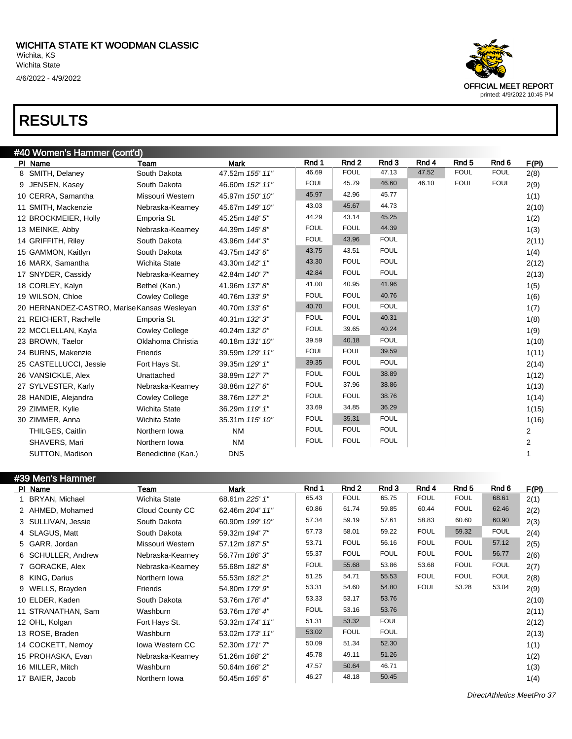| #40 Women's Hammer (cont'd)                 |                       |                 |             |                  |             |       |                  |                  |              |
|---------------------------------------------|-----------------------|-----------------|-------------|------------------|-------------|-------|------------------|------------------|--------------|
| PI Name                                     | Team                  | <b>Mark</b>     | Rnd 1       | Rnd <sub>2</sub> | Rnd 3       | Rnd 4 | Rnd <sub>5</sub> | Rnd <sub>6</sub> | F(PI)        |
| 8 SMITH, Delaney                            | South Dakota          | 47.52m 155' 11" | 46.69       | <b>FOUL</b>      | 47.13       | 47.52 | <b>FOUL</b>      | <b>FOUL</b>      | 2(8)         |
| 9 JENSEN, Kasey                             | South Dakota          | 46.60m 152' 11" | <b>FOUL</b> | 45.79            | 46.60       | 46.10 | <b>FOUL</b>      | <b>FOUL</b>      | 2(9)         |
| 10 CERRA, Samantha                          | Missouri Western      | 45.97m 150' 10" | 45.97       | 42.96            | 45.77       |       |                  |                  | 1(1)         |
| 11 SMITH, Mackenzie                         | Nebraska-Kearney      | 45.67m 149' 10" | 43.03       | 45.67            | 44.73       |       |                  |                  | 2(10)        |
| 12 BROCKMEIER, Holly                        | Emporia St.           | 45.25m 148' 5"  | 44.29       | 43.14            | 45.25       |       |                  |                  | 1(2)         |
| 13 MEINKE, Abby                             | Nebraska-Kearney      | 44.39m 145'8"   | <b>FOUL</b> | <b>FOUL</b>      | 44.39       |       |                  |                  | 1(3)         |
| 14 GRIFFITH, Riley                          | South Dakota          | 43.96m 144' 3"  | <b>FOUL</b> | 43.96            | <b>FOUL</b> |       |                  |                  | 2(11)        |
| 15 GAMMON, Kaitlyn                          | South Dakota          | 43.75m 143' 6"  | 43.75       | 43.51            | <b>FOUL</b> |       |                  |                  | 1(4)         |
| 16 MARX, Samantha                           | <b>Wichita State</b>  | 43.30m 142' 1"  | 43.30       | <b>FOUL</b>      | <b>FOUL</b> |       |                  |                  | 2(12)        |
| 17 SNYDER, Cassidy                          | Nebraska-Kearney      | 42.84m 140' 7"  | 42.84       | <b>FOUL</b>      | <b>FOUL</b> |       |                  |                  | 2(13)        |
| 18 CORLEY, Kalyn                            | Bethel (Kan.)         | 41.96m 137' 8"  | 41.00       | 40.95            | 41.96       |       |                  |                  | 1(5)         |
| 19 WILSON, Chloe                            | <b>Cowley College</b> | 40.76m 133' 9"  | <b>FOUL</b> | <b>FOUL</b>      | 40.76       |       |                  |                  | 1(6)         |
| 20 HERNANDEZ-CASTRO, Marise Kansas Wesleyan |                       | 40.70m 133' 6"  | 40.70       | <b>FOUL</b>      | <b>FOUL</b> |       |                  |                  | 1(7)         |
| 21 REICHERT, Rachelle                       | Emporia St.           | 40.31m 132' 3"  | <b>FOUL</b> | <b>FOUL</b>      | 40.31       |       |                  |                  | 1(8)         |
| 22 MCCLELLAN, Kayla                         | <b>Cowley College</b> | 40.24m 132' 0"  | <b>FOUL</b> | 39.65            | 40.24       |       |                  |                  | 1(9)         |
| 23 BROWN, Taelor                            | Oklahoma Christia     | 40.18m 131' 10" | 39.59       | 40.18            | <b>FOUL</b> |       |                  |                  | 1(10)        |
| 24 BURNS, Makenzie                          | Friends               | 39.59m 129' 11" | <b>FOUL</b> | <b>FOUL</b>      | 39.59       |       |                  |                  | 1(11)        |
| 25 CASTELLUCCI, Jessie                      | Fort Hays St.         | 39.35m 129' 1"  | 39.35       | <b>FOUL</b>      | <b>FOUL</b> |       |                  |                  | 2(14)        |
| 26 VANSICKLE, Alex                          | Unattached            | 38.89m 127' 7"  | <b>FOUL</b> | <b>FOUL</b>      | 38.89       |       |                  |                  | 1(12)        |
| 27 SYLVESTER, Karly                         | Nebraska-Kearney      | 38.86m 127' 6"  | <b>FOUL</b> | 37.96            | 38.86       |       |                  |                  | 1(13)        |
| 28 HANDIE, Alejandra                        | <b>Cowley College</b> | 38.76m 127' 2"  | <b>FOUL</b> | <b>FOUL</b>      | 38.76       |       |                  |                  | 1(14)        |
| 29 ZIMMER, Kylie                            | <b>Wichita State</b>  | 36.29m 119' 1"  | 33.69       | 34.85            | 36.29       |       |                  |                  | 1(15)        |
| 30 ZIMMER, Anna                             | <b>Wichita State</b>  | 35.31m 115' 10" | <b>FOUL</b> | 35.31            | <b>FOUL</b> |       |                  |                  | 1(16)        |
| THILGES, Caitlin                            | Northern Iowa         | <b>NM</b>       | <b>FOUL</b> | <b>FOUL</b>      | <b>FOUL</b> |       |                  |                  | 2            |
| SHAVERS, Mari                               | Northern Iowa         | <b>NM</b>       | <b>FOUL</b> | <b>FOUL</b>      | <b>FOUL</b> |       |                  |                  | $\mathbf{2}$ |
| SUTTON, Madison                             | Benedictine (Kan.)    | <b>DNS</b>      |             |                  |             |       |                  |                  |              |

| #39 Men's Hammer |                    |                        |                 |             |             |             |             |             |             |       |
|------------------|--------------------|------------------------|-----------------|-------------|-------------|-------------|-------------|-------------|-------------|-------|
|                  | PI Name            | Team                   | <b>Mark</b>     | Rnd 1       | Rnd 2       | Rnd 3       | Rnd 4       | Rnd 5       | Rnd 6       | F(PI) |
|                  | BRYAN, Michael     | <b>Wichita State</b>   | 68.61m 225' 1"  | 65.43       | <b>FOUL</b> | 65.75       | <b>FOUL</b> | <b>FOUL</b> | 68.61       | 2(1)  |
|                  | 2 AHMED, Mohamed   | Cloud County CC        | 62.46m 204' 11" | 60.86       | 61.74       | 59.85       | 60.44       | <b>FOUL</b> | 62.46       | 2(2)  |
|                  | 3 SULLIVAN, Jessie | South Dakota           | 60.90m 199' 10" | 57.34       | 59.19       | 57.61       | 58.83       | 60.60       | 60.90       | 2(3)  |
|                  | 4 SLAGUS, Matt     | South Dakota           | 59.32m 194' 7"  | 57.73       | 58.01       | 59.22       | <b>FOUL</b> | 59.32       | <b>FOUL</b> | 2(4)  |
|                  | 5 GARR, Jordan     | Missouri Western       | 57.12m 187' 5"  | 53.71       | <b>FOUL</b> | 56.16       | <b>FOUL</b> | <b>FOUL</b> | 57.12       | 2(5)  |
|                  | 6 SCHULLER, Andrew | Nebraska-Kearney       | 56.77m 186' 3"  | 55.37       | <b>FOUL</b> | <b>FOUL</b> | <b>FOUL</b> | <b>FOUL</b> | 56.77       | 2(6)  |
|                  | 7 GORACKE, Alex    | Nebraska-Kearney       | 55.68m 182'8"   | <b>FOUL</b> | 55.68       | 53.86       | 53.68       | <b>FOUL</b> | <b>FOUL</b> | 2(7)  |
|                  | 8 KING, Darius     | Northern Iowa          | 55.53m 182' 2"  | 51.25       | 54.71       | 55.53       | <b>FOUL</b> | <b>FOUL</b> | <b>FOUL</b> | 2(8)  |
|                  | 9 WELLS, Brayden   | Friends                | 54.80m 179' 9"  | 53.31       | 54.60       | 54.80       | <b>FOUL</b> | 53.28       | 53.04       | 2(9)  |
|                  | 10 ELDER, Kaden    | South Dakota           | 53.76m 176' 4"  | 53.33       | 53.17       | 53.76       |             |             |             | 2(10) |
|                  | 11 STRANATHAN, Sam | Washburn               | 53.76m 176' 4"  | <b>FOUL</b> | 53.16       | 53.76       |             |             |             | 2(11) |
|                  | 12 OHL, Kolgan     | Fort Hays St.          | 53.32m 174' 11" | 51.31       | 53.32       | <b>FOUL</b> |             |             |             | 2(12) |
|                  | 13 ROSE, Braden    | Washburn               | 53.02m 173' 11" | 53.02       | <b>FOUL</b> | <b>FOUL</b> |             |             |             | 2(13) |
|                  | 14 COCKETT, Nemoy  | <b>Iowa Western CC</b> | 52.30m 171'7"   | 50.09       | 51.34       | 52.30       |             |             |             | 1(1)  |
|                  | 15 PROHASKA, Evan  | Nebraska-Kearney       | 51.26m 168'2"   | 45.78       | 49.11       | 51.26       |             |             |             | 1(2)  |
|                  | 16 MILLER, Mitch   | Washburn               | 50.64m 166' 2"  | 47.57       | 50.64       | 46.71       |             |             |             | 1(3)  |
|                  | 17 BAIER, Jacob    | Northern Iowa          | 50.45m 165' 6"  | 46.27       | 48.18       | 50.45       |             |             |             | 1(4)  |



DirectAthletics MeetPro 37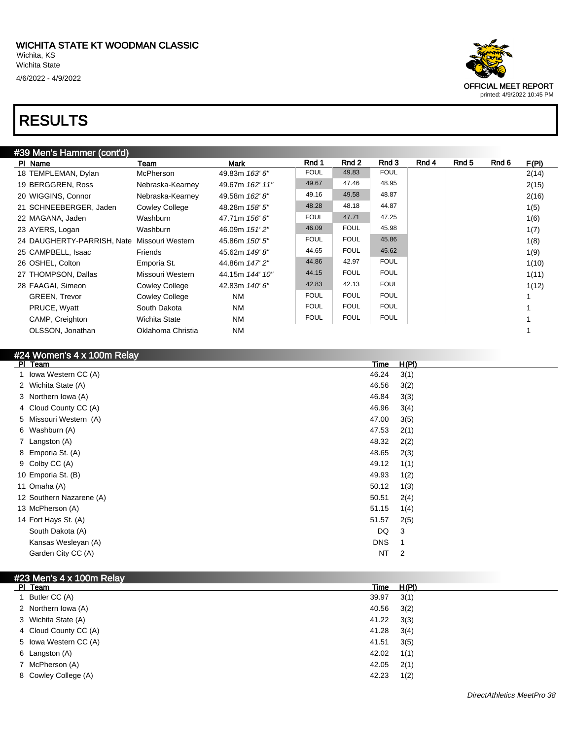| #39 Men's Hammer (cont'd) |  |
|---------------------------|--|
|                           |  |

| PI Name                                     | Team                  | <b>Mark</b>     | Rnd 1       | Rnd 2       | Rnd 3       | Rnd 4 | Rnd 5 | Rnd 6 | F(PI) |
|---------------------------------------------|-----------------------|-----------------|-------------|-------------|-------------|-------|-------|-------|-------|
| 18 TEMPLEMAN, Dylan                         | McPherson             | 49.83m 163' 6"  | <b>FOUL</b> | 49.83       | <b>FOUL</b> |       |       |       | 2(14) |
| 19 BERGGREN, Ross                           | Nebraska-Kearney      | 49.67m 162' 11" | 49.67       | 47.46       | 48.95       |       |       |       | 2(15) |
| 20 WIGGINS, Connor                          | Nebraska-Kearney      | 49.58m 162' 8"  | 49.16       | 49.58       | 48.87       |       |       |       | 2(16) |
| 21 SCHNEEBERGER, Jaden                      | <b>Cowley College</b> | 48.28m 158' 5"  | 48.28       | 48.18       | 44.87       |       |       |       | 1(5)  |
| 22 MAGANA, Jaden                            | Washburn              | 47.71m 156' 6"  | <b>FOUL</b> | 47.71       | 47.25       |       |       |       | 1(6)  |
| 23 AYERS, Logan                             | Washburn              | 46.09m 151'2"   | 46.09       | <b>FOUL</b> | 45.98       |       |       |       | 1(7)  |
| 24 DAUGHERTY-PARRISH, Nate Missouri Western |                       | 45.86m 150' 5"  | <b>FOUL</b> | <b>FOUL</b> | 45.86       |       |       |       | 1(8)  |
| 25 CAMPBELL, Isaac                          | Friends               | 45.62m 149'8"   | 44.65       | <b>FOUL</b> | 45.62       |       |       |       | 1(9)  |
| 26 OSHEL, Colton                            | Emporia St.           | 44.86m 147' 2"  | 44.86       | 42.97       | <b>FOUL</b> |       |       |       | 1(10) |
| 27 THOMPSON, Dallas                         | Missouri Western      | 44.15m 144' 10" | 44.15       | <b>FOUL</b> | <b>FOUL</b> |       |       |       | 1(11) |
| 28 FAAGAI, Simeon                           | <b>Cowley College</b> | 42.83m 140' 6"  | 42.83       | 42.13       | <b>FOUL</b> |       |       |       | 1(12) |
| <b>GREEN, Trevor</b>                        | <b>Cowley College</b> | <b>NM</b>       | <b>FOUL</b> | <b>FOUL</b> | <b>FOUL</b> |       |       |       |       |
| PRUCE, Wyatt                                | South Dakota          | <b>NM</b>       | <b>FOUL</b> | <b>FOUL</b> | <b>FOUL</b> |       |       |       |       |
| CAMP, Creighton                             | <b>Wichita State</b>  | <b>NM</b>       | <b>FOUL</b> | <b>FOUL</b> | <b>FOUL</b> |       |       |       |       |
| OLSSON, Jonathan                            | Oklahoma Christia     | <b>NM</b>       |             |             |             |       |       |       |       |

| #24 Women's 4 x 100m Relay |            |              |
|----------------------------|------------|--------------|
| PI Team                    | Time       | <u>H(PI)</u> |
| Iowa Western CC (A)        | 46.24      | 3(1)         |
| 2 Wichita State (A)        | 46.56      | 3(2)         |
| 3 Northern Iowa (A)        | 46.84      | 3(3)         |
| 4 Cloud County CC (A)      | 46.96      | 3(4)         |
| 5 Missouri Western (A)     | 47.00      | 3(5)         |
| 6 Washburn (A)             | 47.53      | 2(1)         |
| 7 Langston (A)             | 48.32      | 2(2)         |
| 8 Emporia St. (A)          | 48.65      | 2(3)         |
| 9 Colby CC (A)             | 49.12      | 1(1)         |
| 10 Emporia St. (B)         | 49.93      | 1(2)         |
| 11 Omaha (A)               | 50.12      | 1(3)         |
| 12 Southern Nazarene (A)   | 50.51      | 2(4)         |
| 13 McPherson (A)           | 51.15      | 1(4)         |
| 14 Fort Hays St. (A)       | 51.57      | 2(5)         |
| South Dakota (A)           | DQ         | 3            |
| Kansas Wesleyan (A)        | <b>DNS</b> | 1            |
| Garden City CC (A)         | <b>NT</b>  | 2            |
|                            |            |              |

#### #23 Men's 4 x 100m Relay

| PI Team               | Time  | H(PI) |
|-----------------------|-------|-------|
| Butler CC (A)         | 39.97 | 3(1)  |
| 2 Northern Iowa (A)   | 40.56 | 3(2)  |
| 3 Wichita State (A)   | 41.22 | 3(3)  |
| 4 Cloud County CC (A) | 41.28 | 3(4)  |
| 5 Iowa Western CC (A) | 41.51 | 3(5)  |
| 6 Langston (A)        | 42.02 | 1(1)  |
| 7 McPherson (A)       | 42.05 | 2(1)  |
| 8 Cowley College (A)  | 42.23 | 1(2)  |

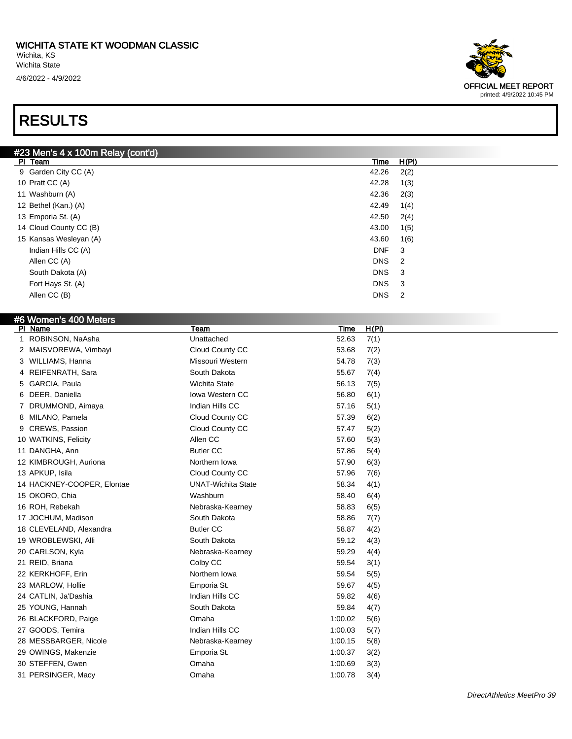

| #6 Women's 400 Meters      |                           |         |       |
|----------------------------|---------------------------|---------|-------|
| PI Name                    | Team                      | Time    | H(PI) |
| 1 ROBINSON, NaAsha         | Unattached                | 52.63   | 7(1)  |
| 2 MAISVOREWA, Vimbayi      | Cloud County CC           | 53.68   | 7(2)  |
| 3 WILLIAMS, Hanna          | Missouri Western          | 54.78   | 7(3)  |
| 4 REIFENRATH, Sara         | South Dakota              | 55.67   | 7(4)  |
| GARCIA, Paula<br>5         | <b>Wichita State</b>      | 56.13   | 7(5)  |
| DEER, Daniella<br>6        | <b>Iowa Western CC</b>    | 56.80   | 6(1)  |
| 7 DRUMMOND, Aimaya         | Indian Hills CC           | 57.16   | 5(1)  |
| MILANO, Pamela<br>8        | Cloud County CC           | 57.39   | 6(2)  |
| CREWS, Passion<br>9        | Cloud County CC           | 57.47   | 5(2)  |
| 10 WATKINS, Felicity       | Allen CC                  | 57.60   | 5(3)  |
| 11 DANGHA, Ann             | <b>Butler CC</b>          | 57.86   | 5(4)  |
| 12 KIMBROUGH, Auriona      | Northern Iowa             | 57.90   | 6(3)  |
| 13 APKUP, Isila            | Cloud County CC           | 57.96   | 7(6)  |
| 14 HACKNEY-COOPER, Elontae | <b>UNAT-Wichita State</b> | 58.34   | 4(1)  |
| 15 OKORO, Chia             | Washburn                  | 58.40   | 6(4)  |
| 16 ROH, Rebekah            | Nebraska-Kearney          | 58.83   | 6(5)  |
| 17 JOCHUM, Madison         | South Dakota              | 58.86   | 7(7)  |
| 18 CLEVELAND, Alexandra    | <b>Butler CC</b>          | 58.87   | 4(2)  |
| 19 WROBLEWSKI, Alli        | South Dakota              | 59.12   | 4(3)  |
| 20 CARLSON, Kyla           | Nebraska-Kearney          | 59.29   | 4(4)  |
| 21 REID, Briana            | Colby CC                  | 59.54   | 3(1)  |
| 22 KERKHOFF, Erin          | Northern Iowa             | 59.54   | 5(5)  |
| 23 MARLOW, Hollie          | Emporia St.               | 59.67   | 4(5)  |
| 24 CATLIN, Ja'Dashia       | Indian Hills CC           | 59.82   | 4(6)  |
| 25 YOUNG, Hannah           | South Dakota              | 59.84   | 4(7)  |
| 26 BLACKFORD, Paige        | Omaha                     | 1:00.02 | 5(6)  |
| 27 GOODS, Temira           | Indian Hills CC           | 1:00.03 | 5(7)  |
| 28 MESSBARGER, Nicole      | Nebraska-Kearney          | 1:00.15 | 5(8)  |
| 29 OWINGS, Makenzie        | Emporia St.               | 1:00.37 | 3(2)  |
| 30 STEFFEN, Gwen           | Omaha                     | 1:00.69 | 3(3)  |
| 31 PERSINGER, Macy         | Omaha                     | 1:00.78 | 3(4)  |
|                            |                           |         |       |

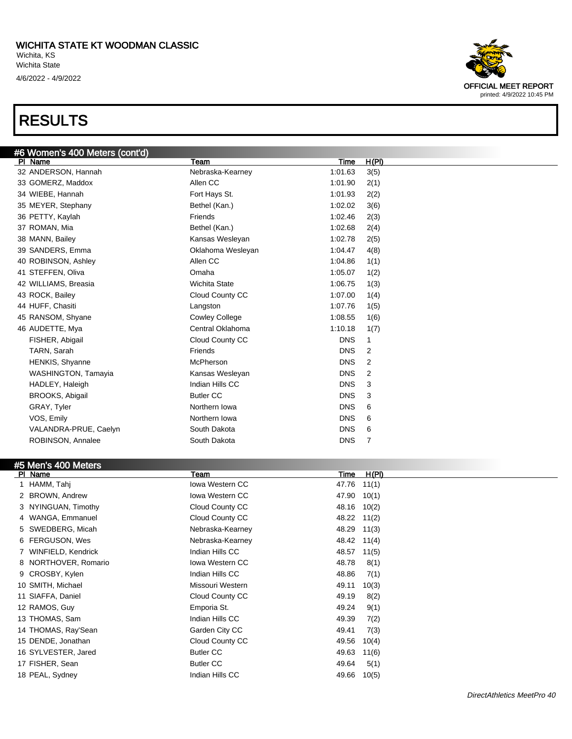

18 PEAL, Sydney **Indian Hills CC** 49.66 10(5)

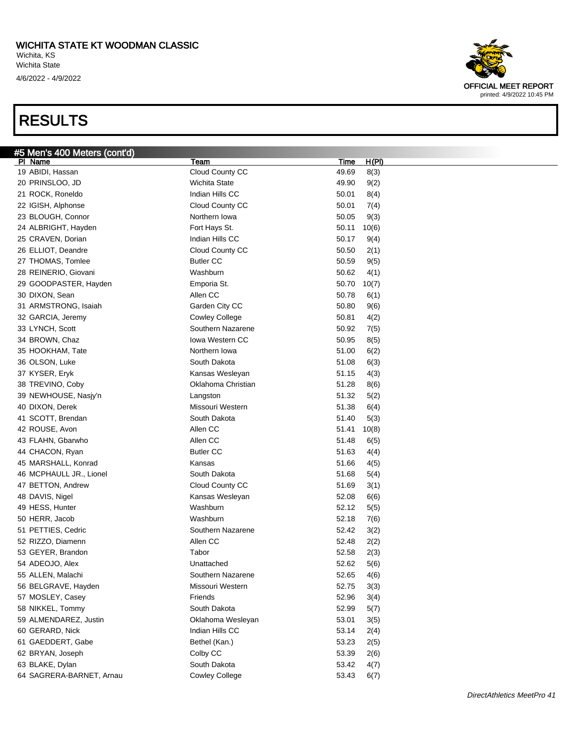

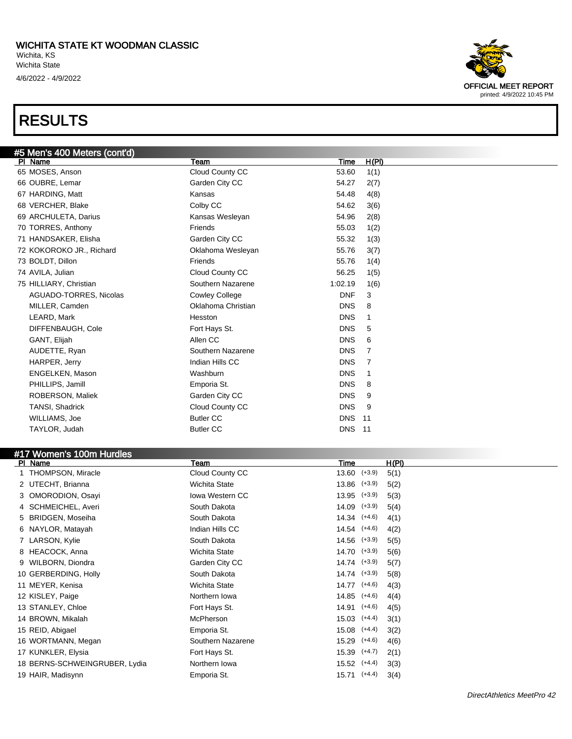

| #5 Men's 400 Meters (cont'd)<br>PI Name | Team                  | <b>Time</b>   | H(PI)          |
|-----------------------------------------|-----------------------|---------------|----------------|
| 65 MOSES, Anson                         | Cloud County CC       | 53.60         | 1(1)           |
| 66 OUBRE, Lemar                         | Garden City CC        | 54.27         | 2(7)           |
| 67 HARDING, Matt                        | Kansas                | 54.48         | 4(8)           |
| 68 VERCHER, Blake                       | Colby CC              | 54.62         | 3(6)           |
| 69 ARCHULETA, Darius                    | Kansas Wesleyan       | 54.96         | 2(8)           |
| 70 TORRES, Anthony                      | Friends               | 55.03         | 1(2)           |
| 71 HANDSAKER, Elisha                    | Garden City CC        | 55.32         | 1(3)           |
| 72 KOKOROKO JR., Richard                | Oklahoma Wesleyan     | 55.76         | 3(7)           |
| 73 BOLDT, Dillon                        | Friends               | 55.76         | 1(4)           |
| 74 AVILA, Julian                        | Cloud County CC       | 56.25         | 1(5)           |
| 75 HILLIARY, Christian                  | Southern Nazarene     | 1:02.19       | 1(6)           |
| AGUADO-TORRES, Nicolas                  | <b>Cowley College</b> | <b>DNF</b>    | 3              |
| MILLER, Camden                          | Oklahoma Christian    | <b>DNS</b>    | 8              |
| LEARD, Mark                             | Hesston               | <b>DNS</b>    | -1             |
| DIFFENBAUGH, Cole                       | Fort Hays St.         | <b>DNS</b>    | 5              |
| GANT, Elijah                            | Allen CC              | <b>DNS</b>    | 6              |
| AUDETTE, Ryan                           | Southern Nazarene     | <b>DNS</b>    | $\overline{7}$ |
| HARPER, Jerry                           | Indian Hills CC       | <b>DNS</b>    | 7              |
| <b>ENGELKEN, Mason</b>                  | Washburn              | <b>DNS</b>    | -1             |
| PHILLIPS, Jamill                        | Emporia St.           | <b>DNS</b>    | 8              |
| ROBERSON, Maliek                        | Garden City CC        | <b>DNS</b>    | 9              |
| TANSI, Shadrick                         | Cloud County CC       | <b>DNS</b>    | 9              |
| WILLIAMS, Joe                           | <b>Butler CC</b>      | <b>DNS</b>    | 11             |
| TAYLOR, Judah                           | <b>Butler CC</b>      | <b>DNS 11</b> |                |
|                                         |                       |               |                |
| #17 Women's 100m Hurdles                |                       |               |                |
| PI Name                                 | Team                  | <b>Time</b>   | H(PI)          |

| <b>PI</b> | Name                          | Team                 | Time             |          | H(PI) |
|-----------|-------------------------------|----------------------|------------------|----------|-------|
|           | <b>THOMPSON, Miracle</b>      | Cloud County CC      | $13.60$ $(+3.9)$ |          | 5(1)  |
|           | 2 UTECHT, Brianna             | <b>Wichita State</b> | $13.86$ $(+3.9)$ |          | 5(2)  |
|           | 3 OMORODION, Osayi            | lowa Western CC      | $13.95$ $(+3.9)$ |          | 5(3)  |
|           | 4 SCHMEICHEL, Averi           | South Dakota         | $14.09$ $(+3.9)$ |          | 5(4)  |
|           | 5 BRIDGEN, Moseiha            | South Dakota         | $14.34$ $(+4.6)$ |          | 4(1)  |
|           | 6 NAYLOR, Matayah             | Indian Hills CC      | $14.54$ $(+4.6)$ |          | 4(2)  |
|           | 7 LARSON, Kylie               | South Dakota         | $14.56$ $(+3.9)$ |          | 5(5)  |
|           | 8 HEACOCK, Anna               | <b>Wichita State</b> | $14.70$ $(+3.9)$ |          | 5(6)  |
|           | 9 WILBORN, Diondra            | Garden City CC       | $14.74$ $(+3.9)$ |          | 5(7)  |
|           | 10 GERBERDING, Holly          | South Dakota         | $14.74$ $(+3.9)$ |          | 5(8)  |
|           | 11 MEYER, Kenisa              | Wichita State        | 14.77            | $(+4.6)$ | 4(3)  |
|           | 12 KISLEY, Paige              | Northern Iowa        | $14.85$ $(+4.6)$ |          | 4(4)  |
|           | 13 STANLEY, Chloe             | Fort Hays St.        | 14.91            | $(+4.6)$ | 4(5)  |
|           | 14 BROWN, Mikalah             | <b>McPherson</b>     | $15.03$ $(+4.4)$ |          | 3(1)  |
|           | 15 REID, Abigael              | Emporia St.          | $15.08$ $(+4.4)$ |          | 3(2)  |
|           | 16 WORTMANN, Megan            | Southern Nazarene    | $15.29$ $(+4.6)$ |          | 4(6)  |
|           | 17 KUNKLER, Elysia            | Fort Hays St.        | $15.39$ $(+4.7)$ |          | 2(1)  |
|           | 18 BERNS-SCHWEINGRUBER, Lydia | Northern Iowa        | $15.52$ $(+4.4)$ |          | 3(3)  |
|           | 19 HAIR, Madisynn             | Emporia St.          | $15.71$ $(+4.4)$ |          | 3(4)  |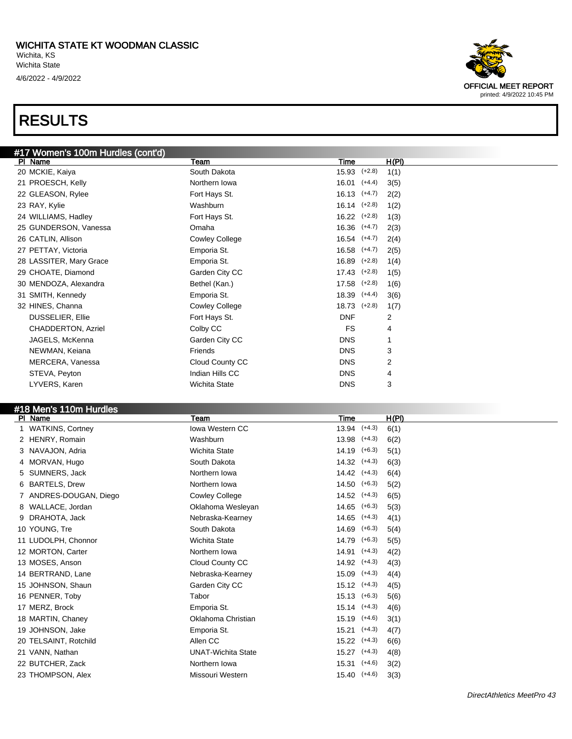

| PI Name                 | Team                      | H(PI)<br>Time             |
|-------------------------|---------------------------|---------------------------|
| <b>WATKINS, Cortney</b> | <b>Iowa Western CC</b>    | $13.94$ $(+4.3)$<br>6(1)  |
| 2 HENRY, Romain         | Washburn                  | $(+4.3)$<br>13.98<br>6(2) |
| 3 NAVAJON, Adria        | <b>Wichita State</b>      | $(+6.3)$<br>14.19<br>5(1) |
| 4 MORVAN, Hugo          | South Dakota              | 14.32<br>$(+4.3)$<br>6(3) |
| 5 SUMNERS, Jack         | Northern Iowa             | 14.42<br>$(+4.3)$<br>6(4) |
| 6 BARTELS, Drew         | Northern Iowa             | $(+6.3)$<br>14.50<br>5(2) |
| ANDRES-DOUGAN, Diego    | Cowley College            | 14.52<br>$(+4.3)$<br>6(5) |
| 8 WALLACE, Jordan       | Oklahoma Wesleyan         | 14.65<br>$(+6.3)$<br>5(3) |
| 9 DRAHOTA, Jack         | Nebraska-Kearney          | 14.65<br>$(+4.3)$<br>4(1) |
| 10 YOUNG, Tre           | South Dakota              | $(+6.3)$<br>14.69<br>5(4) |
| 11 LUDOLPH, Chonnor     | <b>Wichita State</b>      | 14.79<br>$(+6.3)$<br>5(5) |
| 12 MORTON, Carter       | Northern Iowa             | $(+4.3)$<br>14.91<br>4(2) |
| 13 MOSES, Anson         | Cloud County CC           | 14.92<br>$(+4.3)$<br>4(3) |
| 14 BERTRAND, Lane       | Nebraska-Kearney          | 15.09<br>$(+4.3)$<br>4(4) |
| 15 JOHNSON, Shaun       | Garden City CC            | $(+4.3)$<br>15.12<br>4(5) |
| 16 PENNER, Toby         | Tabor                     | 15.13<br>$(+6.3)$<br>5(6) |
| 17 MERZ, Brock          | Emporia St.               | 15.14<br>$(+4.3)$<br>4(6) |
| 18 MARTIN, Chaney       | Oklahoma Christian        | 15.19<br>$(+4.6)$<br>3(1) |
| 19 JOHNSON, Jake        | Emporia St.               | $(+4.3)$<br>15.21<br>4(7) |
| 20 TELSAINT, Rotchild   | Allen CC                  | 15.22<br>$(+4.3)$<br>6(6) |
| 21 VANN, Nathan         | <b>UNAT-Wichita State</b> | $15.27$ $(+4.3)$<br>4(8)  |
| 22 BUTCHER, Zack        | Northern Iowa             | $15.31$ $(+4.6)$<br>3(2)  |
| 23 THOMPSON, Alex       | Missouri Western          | $(+4.6)$<br>15.40<br>3(3) |
|                         |                           |                           |

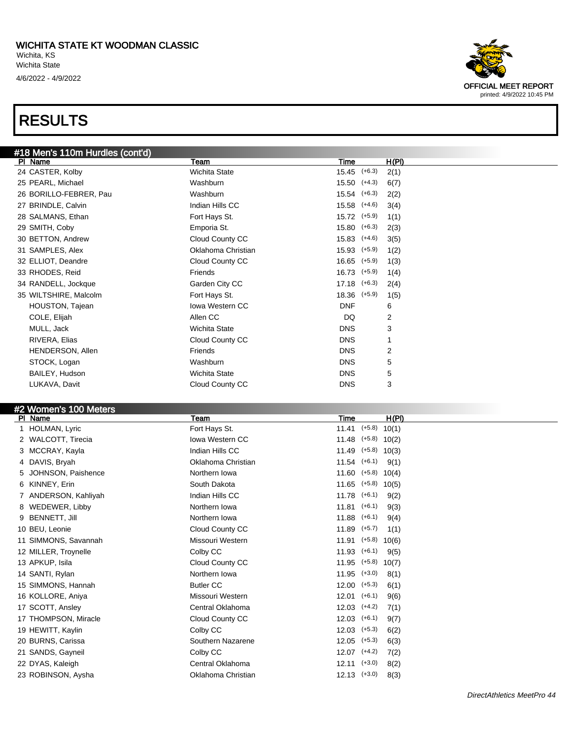

| <b>PI Natile</b>     | ream                   | <u>i ine</u>     |          | <b>HIFIL</b> |
|----------------------|------------------------|------------------|----------|--------------|
| 1 HOLMAN, Lyric      | Fort Hays St.          | 11.41            | $(+5.8)$ | 10(1)        |
| 2 WALCOTT, Tirecia   | <b>Iowa Western CC</b> | $11.48$ (+5.8)   |          | 10(2)        |
| 3 MCCRAY, Kayla      | Indian Hills CC        | 11.49            | $(+5.8)$ | 10(3)        |
| 4 DAVIS, Bryah       | Oklahoma Christian     | $11.54$ (+6.1)   |          | 9(1)         |
| 5 JOHNSON, Paishence | Northern Iowa          | $11.60$ (+5.8)   |          | 10(4)        |
| 6 KINNEY, Erin       | South Dakota           | 11.65            | $(+5.8)$ | 10(5)        |
| 7 ANDERSON, Kahliyah | Indian Hills CC        | $11.78$ (+6.1)   |          | 9(2)         |
| 8 WEDEWER, Libby     | Northern Iowa          | 11.81            | $(+6.1)$ | 9(3)         |
| 9 BENNETT, Jill      | Northern Iowa          | 11.88            | $(+6.1)$ | 9(4)         |
| 10 BEU, Leonie       | Cloud County CC        | 11.89            | $(+5.7)$ | 1(1)         |
| 11 SIMMONS, Savannah | Missouri Western       | 11.91            | $(+5.8)$ | 10(6)        |
| 12 MILLER, Troynelle | Colby CC               | 11.93            | $(+6.1)$ | 9(5)         |
| 13 APKUP, Isila      | Cloud County CC        | 11.95            | $(+5.8)$ | 10(7)        |
| 14 SANTI, Rylan      | Northern Iowa          | 11.95            | $(+3.0)$ | 8(1)         |
| 15 SIMMONS, Hannah   | <b>Butler CC</b>       | 12.00            | $(+5.3)$ | 6(1)         |
| 16 KOLLORE, Aniya    | Missouri Western       | 12.01            | $(+6.1)$ | 9(6)         |
| 17 SCOTT, Ansley     | Central Oklahoma       | $12.03$ $(+4.2)$ |          | 7(1)         |
| 17 THOMPSON, Miracle | Cloud County CC        | 12.03            | $(+6.1)$ | 9(7)         |
| 19 HEWITT, Kaylin    | Colby CC               | 12.03            | $(+5.3)$ | 6(2)         |
| 20 BURNS, Carissa    | Southern Nazarene      | 12.05            | $(+5.3)$ | 6(3)         |
| 21 SANDS, Gayneil    | Colby CC               | 12.07            | $(+4.2)$ | 7(2)         |
| 22 DYAS, Kaleigh     | Central Oklahoma       | $12.11$ $(+3.0)$ |          | 8(2)         |
| 23 ROBINSON, Aysha   | Oklahoma Christian     | $12.13$ $(+3.0)$ |          | 8(3)         |
|                      |                        |                  |          |              |

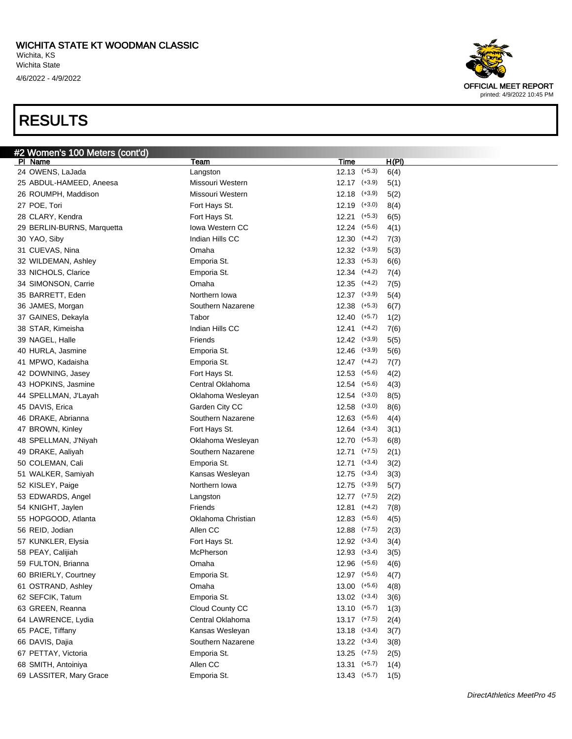

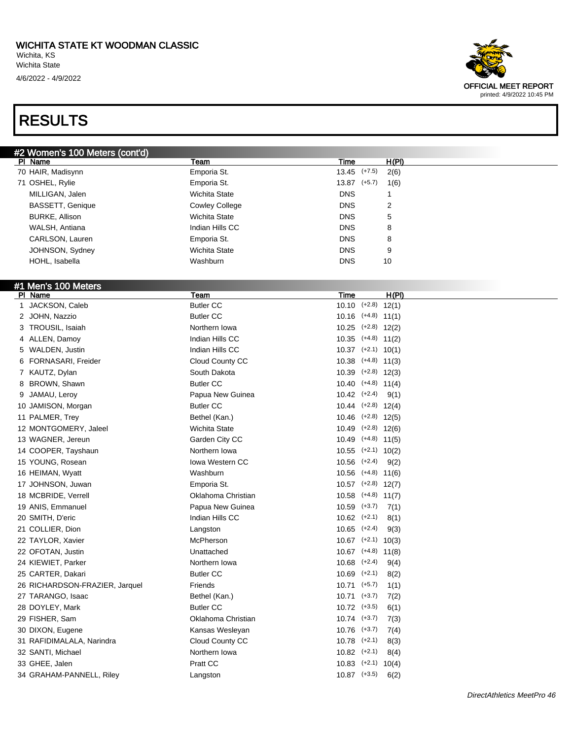

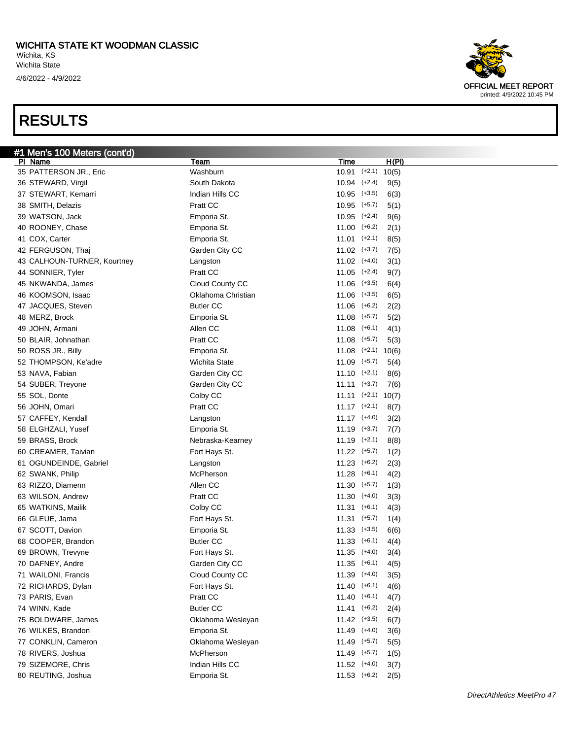

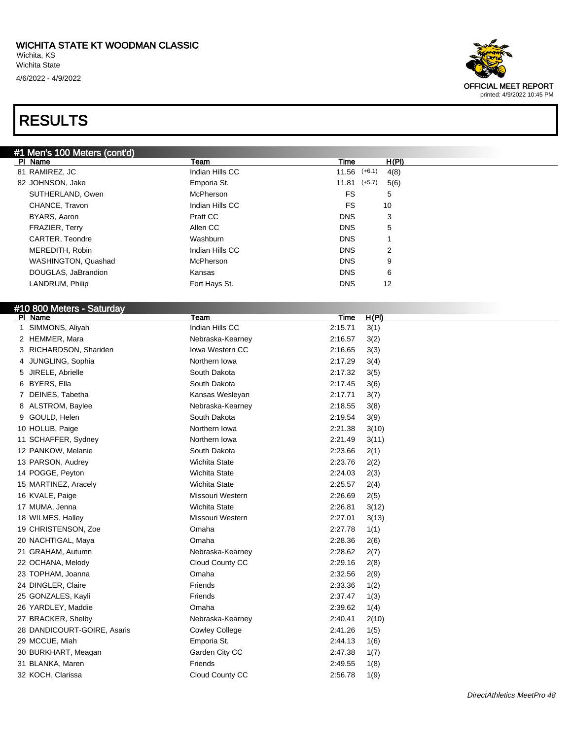

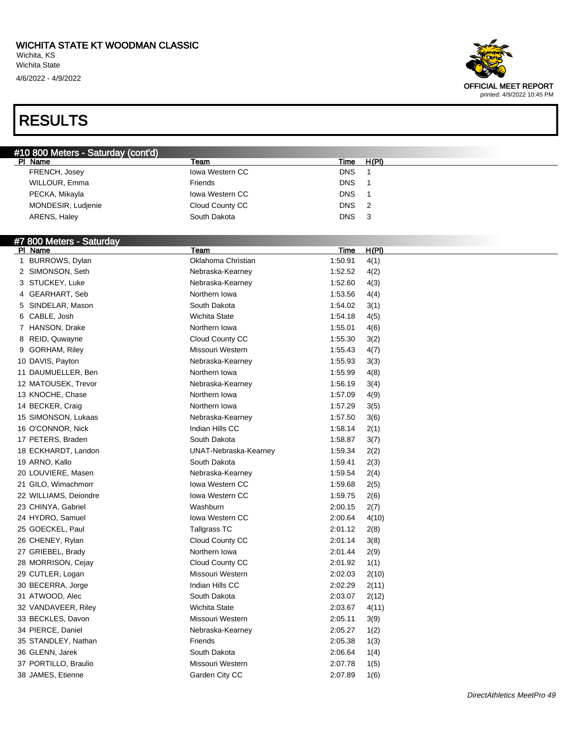4/6/2022 - 4/9/2022



| #10 800 Meters - Saturday (cont'd) |                        |                    |              |
|------------------------------------|------------------------|--------------------|--------------|
| PI Name                            | Team                   | <b>Time</b>        | H(PI)        |
| FRENCH, Josey                      | Iowa Western CC        | <b>DNS</b>         | $\mathbf 1$  |
| WILLOUR, Emma                      | Friends                | <b>DNS</b>         | -1           |
| PECKA, Mikayla                     | Iowa Western CC        | <b>DNS</b>         | $\mathbf{1}$ |
| MONDESIR, Ludjenie                 | Cloud County CC        | <b>DNS</b>         | 2            |
| ARENS, Haley                       | South Dakota           | <b>DNS</b>         | 3            |
|                                    |                        |                    |              |
| #7 800 Meters - Saturday           |                        |                    |              |
| PI Name                            | <b>Team</b>            | Time               | H(PI)        |
| 1 BURROWS, Dylan                   | Oklahoma Christian     | 1:50.91            | 4(1)         |
| 2 SIMONSON, Seth                   | Nebraska-Kearney       | 1:52.52            | 4(2)         |
| 3 STUCKEY, Luke                    | Nebraska-Kearney       | 1:52.60            | 4(3)         |
| 4 GEARHART, Seb                    | Northern Iowa          | 1:53.56            | 4(4)         |
| SINDELAR, Mason<br>5               | South Dakota           | 1:54.02            | 3(1)         |
| 6 CABLE, Josh                      | <b>Wichita State</b>   | 1:54.18            | 4(5)         |
| 7 HANSON, Drake                    | Northern Iowa          | 1:55.01            | 4(6)         |
| 8 REID, Quwayne                    | Cloud County CC        | 1:55.30            | 3(2)         |
| 9 GORHAM, Riley                    | Missouri Western       | 1:55.43            | 4(7)         |
| 10 DAVIS, Payton                   | Nebraska-Kearney       | 1:55.93            | 3(3)         |
| 11 DAUMUELLER, Ben                 | Northern Iowa          | 1:55.99            | 4(8)         |
| 12 MATOUSEK, Trevor                | Nebraska-Kearney       | 1:56.19            | 3(4)         |
| 13 KNOCHE, Chase                   | Northern Iowa          | 1:57.09            | 4(9)         |
| 14 BECKER, Craig                   | Northern Iowa          | 1:57.29            | 3(5)         |
| 15 SIMONSON, Lukaas                | Nebraska-Kearney       | 1:57.50            | 3(6)         |
| 16 O'CONNOR, Nick                  | Indian Hills CC        | 1:58.14            | 2(1)         |
| 17 PETERS, Braden                  | South Dakota           | 1:58.87            | 3(7)         |
| 18 ECKHARDT, Landon                | UNAT-Nebraska-Kearney  | 1:59.34            | 2(2)         |
| 19 ARNO, Kallo                     | South Dakota           | 1:59.41            | 2(3)         |
| 20 LOUVIERE, Masen                 | Nebraska-Kearney       | 1:59.54            | 2(4)         |
| 21 GILO, Wimachmorr                | <b>Iowa Western CC</b> | 1:59.68            | 2(5)         |
| 22 WILLIAMS, Deiondre              | Iowa Western CC        | 1:59.75            | 2(6)         |
| 23 CHINYA, Gabriel                 | Washburn               | 2:00.15            | 2(7)         |
| 24 HYDRO, Samuel                   | <b>Iowa Western CC</b> | 2:00.64            | 4(10)        |
| 25 GOECKEL, Paul                   | Tallgrass TC           | 2:01.12            | 2(8)         |
| 26 CHENEY, Rylan                   | Cloud County CC        | 2:01.14            | 3(8)         |
| 27 GRIEBEL, Brady                  | Northern Iowa          | 2:01.44            | 2(9)         |
| 28 MORRISON, Cejay                 | Cloud County CC        | 2:01.92            | 1(1)         |
| 29 CUTLER, Logan                   | Missouri Western       | 2:02.03            | 2(10)        |
| 30 BECERRA, Jorge                  | Indian Hills CC        | 2:02.29            | 2(11)        |
| 31 ATWOOD, Alec                    | South Dakota           | 2:03.07            | 2(12)        |
| 32 VANDAVEER, Riley                | Wichita State          | 2:03.67            | 4(11)        |
| 33 BECKLES, Davon                  | Missouri Western       | 2:05.11            | 3(9)         |
| 34 PIERCE, Daniel                  | Nebraska-Kearney       | 2:05.27            | 1(2)         |
| 35 STANDLEY, Nathan                | Friends                | 2:05.38            | 1(3)         |
| 36 GLENN, Jarek                    | South Dakota           | 2:06.64            | 1(4)         |
| 37 PORTILLO, Braulio               | Missouri Western       |                    |              |
| 38 JAMES, Etienne                  | Garden City CC         | 2:07.78<br>2:07.89 | 1(5)<br>1(6) |
|                                    |                        |                    |              |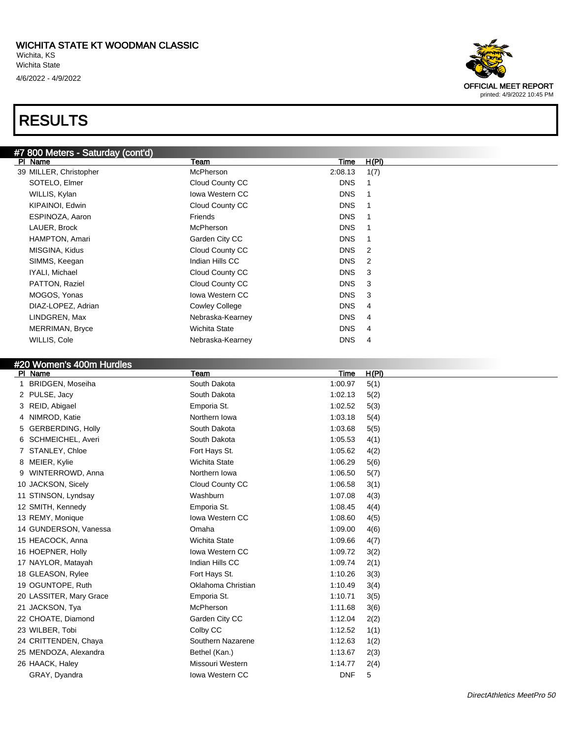

| #7 800 Meters - Saturday (cont'd) |                        |             |       |
|-----------------------------------|------------------------|-------------|-------|
| PI Name                           | Team                   | <b>Time</b> | H(PI) |
| 39 MILLER, Christopher            | McPherson              | 2:08.13     | 1(7)  |
| SOTELO, Elmer                     | Cloud County CC        | <b>DNS</b>  | 1     |
| WILLIS, Kylan                     | Iowa Western CC        | <b>DNS</b>  | 1     |
| KIPAINOI, Edwin                   | Cloud County CC        | <b>DNS</b>  | 1     |
| ESPINOZA, Aaron                   | Friends                | <b>DNS</b>  | 1     |
| LAUER, Brock                      | McPherson              | <b>DNS</b>  | 1     |
| HAMPTON, Amari                    | Garden City CC         | <b>DNS</b>  | 1     |
| MISGINA, Kidus                    | Cloud County CC        | <b>DNS</b>  | 2     |
| SIMMS, Keegan                     | Indian Hills CC        | <b>DNS</b>  | 2     |
| IYALI, Michael                    | Cloud County CC        | <b>DNS</b>  | 3     |
| PATTON, Raziel                    | Cloud County CC        | <b>DNS</b>  | 3     |
| MOGOS, Yonas                      | <b>Iowa Western CC</b> | <b>DNS</b>  | 3     |
| DIAZ-LOPEZ, Adrian                | <b>Cowley College</b>  | <b>DNS</b>  | 4     |
| LINDGREN, Max                     | Nebraska-Kearney       | <b>DNS</b>  | 4     |
| MERRIMAN, Bryce                   | Wichita State          | <b>DNS</b>  | 4     |
| WILLIS, Cole                      | Nebraska-Kearney       | <b>DNS</b>  | 4     |
|                                   |                        |             |       |
| #20 Women's 400m Hurdles          |                        |             |       |
| PI Name                           | Team                   | <b>Time</b> | H(PI) |
| 1 BRIDGEN, Moseiha                | South Dakota           | 1:00.97     | 5(1)  |
| 2 PULSE, Jacy                     | South Dakota           | 1:02.13     | 5(2)  |
| 3 REID, Abigael                   | Emporia St.            | 1:02.52     | 5(3)  |
| 4 NIMROD, Katie                   | Northern Iowa          | 1:03.18     | 5(4)  |
| 5 GERBERDING, Holly               | South Dakota           | 1:03.68     | 5(5)  |
| 6 SCHMEICHEL, Averi               | South Dakota           | 1:05.53     | 4(1)  |
| 7 STANLEY, Chloe                  | Fort Hays St.          | 1:05.62     | 4(2)  |
| 8 MEIER, Kylie                    | <b>Wichita State</b>   | 1:06.29     | 5(6)  |
| WINTERROWD, Anna<br>9             | Northern Iowa          | 1:06.50     | 5(7)  |
| 10 JACKSON, Sicely                | Cloud County CC        | 1:06.58     | 3(1)  |
| 11 STINSON, Lyndsay               | Washburn               | 1:07.08     | 4(3)  |
| 12 SMITH, Kennedy                 | Emporia St.            | 1:08.45     | 4(4)  |
| 13 REMY, Monique                  | Iowa Western CC        | 1:08.60     | 4(5)  |
| 14 GUNDERSON, Vanessa             | Omaha                  | 1:09.00     | 4(6)  |
| 15 HEACOCK, Anna                  | <b>Wichita State</b>   |             |       |
|                                   |                        | 1:09.66     | 4(7)  |
| 16 HOEPNER, Holly                 | lowa Western CC        | 1:09.72     | 3(2)  |
| 17 NAYLOR, Matayah                | Indian Hills CC        | 1:09.74     | 2(1)  |
| 18 GLEASON, Rylee                 | Fort Hays St.          | 1:10.26     | 3(3)  |
| 19 OGUNTOPE, Ruth                 | Oklahoma Christian     | 1:10.49     | 3(4)  |
| 20 LASSITER, Mary Grace           | Emporia St.            | 1:10.71     | 3(5)  |
| 21 JACKSON, Tya                   | McPherson              | 1:11.68     | 3(6)  |
| 22 CHOATE, Diamond                | Garden City CC         | 1:12.04     | 2(2)  |
| 23 WILBER, Tobi                   | Colby CC               | 1:12.52     | 1(1)  |
| 24 CRITTENDEN, Chaya              | Southern Nazarene      | 1:12.63     | 1(2)  |
| 25 MENDOZA, Alexandra             | Bethel (Kan.)          | 1:13.67     | 2(3)  |
| 26 HAACK, Haley                   | Missouri Western       | 1:14.77     | 2(4)  |
| GRAY, Dyandra                     | Iowa Western CC        | <b>DNF</b>  | 5     |
|                                   |                        |             |       |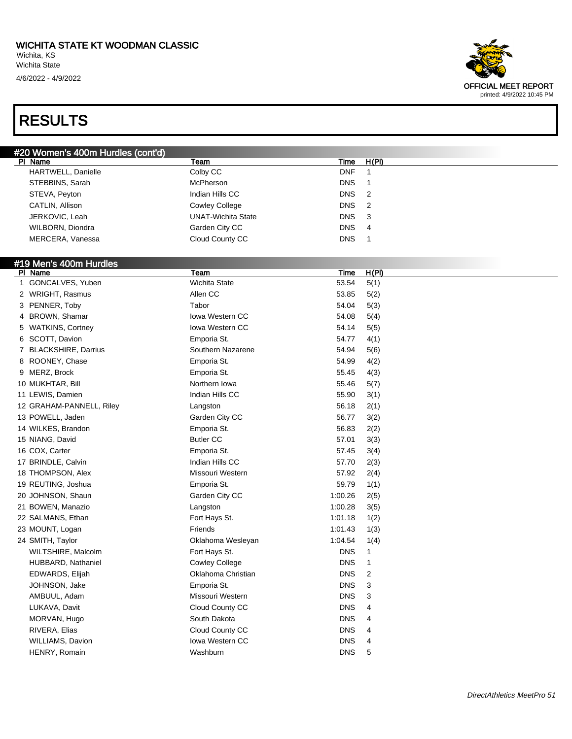4/6/2022 - 4/9/2022

### RESULTS



| #20 Women's 400m Hurdles (cont'd) |                           |                  |
|-----------------------------------|---------------------------|------------------|
| PI Name                           | Team                      | H(PI)<br>Time    |
| HARTWELL, Danielle                | Colby CC                  | <b>DNF</b>       |
| STEBBINS, Sarah                   | McPherson                 | <b>DNS</b>       |
| STEVA, Peyton                     | Indian Hills CC           | DNS <sub>2</sub> |
| CATLIN, Allison                   | <b>Cowley College</b>     | DNS <sub>2</sub> |
| JERKOVIC, Leah                    | <b>UNAT-Wichita State</b> | DNS <sub>3</sub> |
| WILBORN, Diondra                  | Garden City CC            | <b>DNS</b><br>-4 |
| MERCERA, Vanessa                  | Cloud County CC           | <b>DNS</b>       |
|                                   |                           |                  |

#### #19 Men's 400m Hurdles

| PI Name                  | Team                   | Time       | <u>H(PI)</u> |
|--------------------------|------------------------|------------|--------------|
| 1 GONCALVES, Yuben       | <b>Wichita State</b>   | 53.54      | 5(1)         |
| 2 WRIGHT, Rasmus         | Allen CC               | 53.85      | 5(2)         |
| 3 PENNER, Toby           | Tabor                  | 54.04      | 5(3)         |
| 4 BROWN, Shamar          | <b>Iowa Western CC</b> | 54.08      | 5(4)         |
| 5 WATKINS, Cortney       | <b>Iowa Western CC</b> | 54.14      | 5(5)         |
| 6 SCOTT, Davion          | Emporia St.            | 54.77      | 4(1)         |
| 7 BLACKSHIRE, Darrius    | Southern Nazarene      | 54.94      | 5(6)         |
| 8 ROONEY, Chase          | Emporia St.            | 54.99      | 4(2)         |
| 9 MERZ, Brock            | Emporia St.            | 55.45      | 4(3)         |
| 10 MUKHTAR, Bill         | Northern Iowa          | 55.46      | 5(7)         |
| 11 LEWIS, Damien         | Indian Hills CC        | 55.90      | 3(1)         |
| 12 GRAHAM-PANNELL, Riley | Langston               | 56.18      | 2(1)         |
| 13 POWELL, Jaden         | Garden City CC         | 56.77      | 3(2)         |
| 14 WILKES, Brandon       | Emporia St.            | 56.83      | 2(2)         |
| 15 NIANG, David          | <b>Butler CC</b>       | 57.01      | 3(3)         |
| 16 COX, Carter           | Emporia St.            | 57.45      | 3(4)         |
| 17 BRINDLE, Calvin       | Indian Hills CC        | 57.70      | 2(3)         |
| 18 THOMPSON, Alex        | Missouri Western       | 57.92      | 2(4)         |
| 19 REUTING, Joshua       | Emporia St.            | 59.79      | 1(1)         |
| 20 JOHNSON, Shaun        | Garden City CC         | 1:00.26    | 2(5)         |
| 21 BOWEN, Manazio        | Langston               | 1:00.28    | 3(5)         |
| 22 SALMANS, Ethan        | Fort Hays St.          | 1:01.18    | 1(2)         |
| 23 MOUNT, Logan          | Friends                | 1:01.43    | 1(3)         |
| 24 SMITH, Taylor         | Oklahoma Wesleyan      | 1:04.54    | 1(4)         |
| WILTSHIRE, Malcolm       | Fort Hays St.          | <b>DNS</b> | $\mathbf{1}$ |
| HUBBARD, Nathaniel       | <b>Cowley College</b>  | <b>DNS</b> | 1            |
| EDWARDS, Elijah          | Oklahoma Christian     | <b>DNS</b> | 2            |
| JOHNSON, Jake            | Emporia St.            | <b>DNS</b> | 3            |
| AMBUUL, Adam             | Missouri Western       | <b>DNS</b> | 3            |
| LUKAVA, Davit            | Cloud County CC        | <b>DNS</b> | 4            |
| MORVAN, Hugo             | South Dakota           | <b>DNS</b> | 4            |
| RIVERA, Elias            | Cloud County CC        | <b>DNS</b> | 4            |
| <b>WILLIAMS, Davion</b>  | Iowa Western CC        | <b>DNS</b> | 4            |
| HENRY, Romain            | Washburn               | <b>DNS</b> | 5            |
|                          |                        |            |              |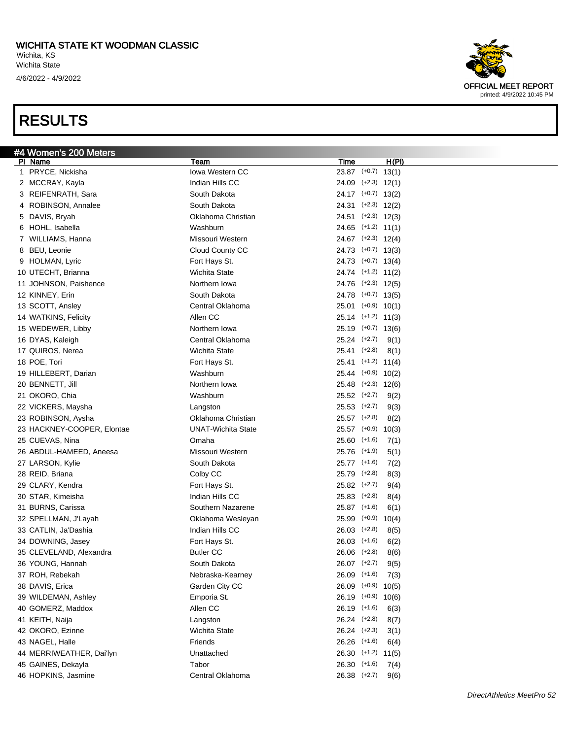

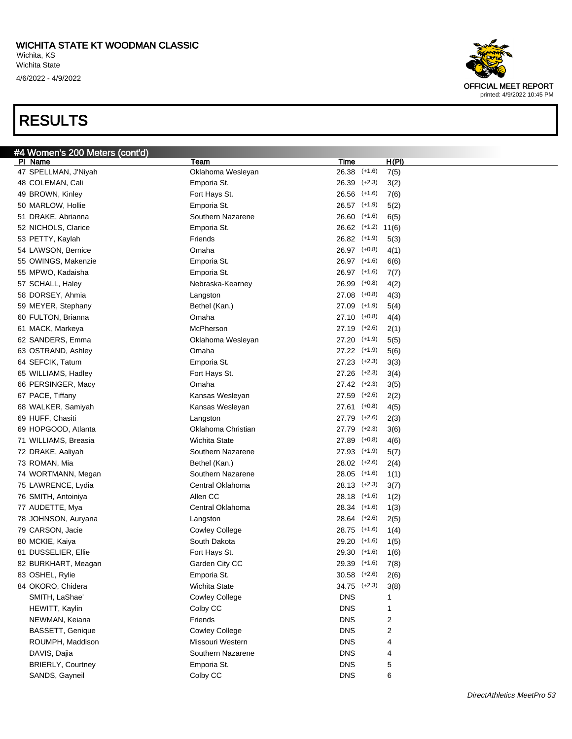

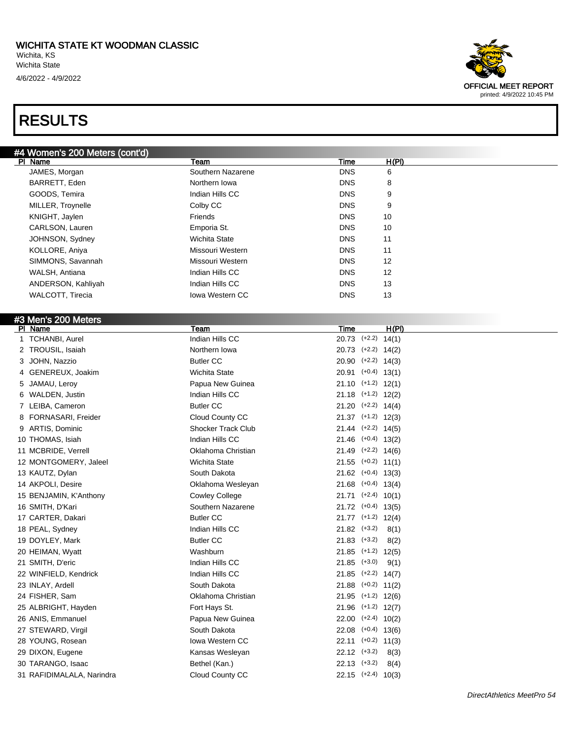

| #4 Women's 200 Meters (cont'd) |                           |                          |
|--------------------------------|---------------------------|--------------------------|
| PI Name                        | Team                      | H(PI)<br>Time            |
| JAMES, Morgan                  | Southern Nazarene         | <b>DNS</b><br>6          |
| BARRETT, Eden                  | Northern Iowa             | <b>DNS</b><br>8          |
| GOODS, Temira                  | Indian Hills CC           | <b>DNS</b><br>9          |
| MILLER, Troynelle              | Colby CC                  | <b>DNS</b><br>9          |
| KNIGHT, Jaylen                 | Friends                   | <b>DNS</b><br>10         |
| CARLSON, Lauren                | Emporia St.               | <b>DNS</b><br>10         |
| JOHNSON, Sydney                | <b>Wichita State</b>      | <b>DNS</b><br>11         |
| KOLLORE, Aniya                 | Missouri Western          | <b>DNS</b><br>11         |
| SIMMONS, Savannah              | Missouri Western          | <b>DNS</b><br>12         |
| WALSH, Antiana                 | Indian Hills CC           | 12<br><b>DNS</b>         |
| ANDERSON, Kahliyah             | Indian Hills CC           | <b>DNS</b><br>13         |
| WALCOTT, Tirecia               | Iowa Western CC           | 13<br><b>DNS</b>         |
| #3 Men's 200 Meters            |                           |                          |
| PI Name                        | Team                      | H(PI)<br>Time            |
| 1 TCHANBI, Aurel               | Indian Hills CC           | $20.73$ (+2.2) 14(1)     |
| 2 TROUSIL, Isaiah              | Northern Iowa             | 20.73 (+2.2) 14(2)       |
| 3 JOHN, Nazzio                 | <b>Butler CC</b>          | 20.90 (+2.2) 14(3)       |
| GENEREUX, Joakim               | <b>Wichita State</b>      | $20.91$ (+0.4) 13(1)     |
| 5 JAMAU, Leroy                 | Papua New Guinea          | $21.10$ $(+1.2)$ $12(1)$ |
| 6 WALDEN, Justin               | Indian Hills CC           | $21.18$ $(+1.2)$ $12(2)$ |
| 7 LEIBA, Cameron               | <b>Butler CC</b>          | $21.20$ $(+2.2)$ $14(4)$ |
| 8 FORNASARI, Freider           | Cloud County CC           | $21.37$ (+1.2) $12(3)$   |
| 9 ARTIS, Dominic               | <b>Shocker Track Club</b> | $21.44$ $(+2.2)$ $14(5)$ |
| 10 THOMAS, Isiah               | Indian Hills CC           | $21.46$ (+0.4) 13(2)     |
| 11 MCBRIDE, Verrell            | Oklahoma Christian        | $21.49$ (+2.2) $14(6)$   |
| 12 MONTGOMERY, Jaleel          | <b>Wichita State</b>      | $21.55$ $(+0.2)$ 11(1)   |
| 13 KAUTZ, Dylan                | South Dakota              | $21.62$ (+0.4) 13(3)     |
| 14 AKPOLI, Desire              | Oklahoma Wesleyan         | $21.68$ (+0.4) 13(4)     |
| 15 BENJAMIN, K'Anthony         | Cowley College            | $21.71$ (+2.4) 10(1)     |
| 16 SMITH, D'Kari               | Southern Nazarene         | $21.72$ (+0.4) 13(5)     |
| 17 CARTER, Dakari              | <b>Butler CC</b>          | $21.77$ (+1.2) 12(4)     |
| 18 PEAL, Sydney                | Indian Hills CC           | $21.82$ (+3.2)<br>8(1)   |
| 19 DOYLEY, Mark                | <b>Butler CC</b>          | $21.83$ $(+3.2)$<br>8(2) |
| 20 HEIMAN, Wyatt               | Washburn                  | $21.85$ (+1.2) $12(5)$   |
| 21 SMITH, D'eric               | Indian Hills CC           | $21.85$ (+3.0)<br>9(1)   |
| 22 WINFIELD, Kendrick          | Indian Hills CC           | $21.85$ (+2.2) $14(7)$   |
| 23 INLAY, Ardell               | South Dakota              | $21.88$ (+0.2) $11(2)$   |
| 24 FISHER, Sam                 | Oklahoma Christian        | $21.95$ (+1.2) $12(6)$   |
| 25 ALBRIGHT, Hayden            | Fort Hays St.             | $21.96$ (+1.2) $12(7)$   |
| 26 ANIS, Emmanuel              | Papua New Guinea          | $22.00$ (+2.4) $10(2)$   |
| 27 STEWARD, Virgil             | South Dakota              | $22.08$ (+0.4) 13(6)     |
| 28 YOUNG, Rosean               | Iowa Western CC           | $22.11$ (+0.2) 11(3)     |
| 29 DIXON, Eugene               | Kansas Wesleyan           | $22.12$ $(+3.2)$<br>8(3) |
| 30 TARANGO, Isaac              | Bethel (Kan.)             | $22.13$ $(+3.2)$<br>8(4) |
| 31 RAFIDIMALALA, Narindra      | Cloud County CC           | $22.15$ (+2.4) $10(3)$   |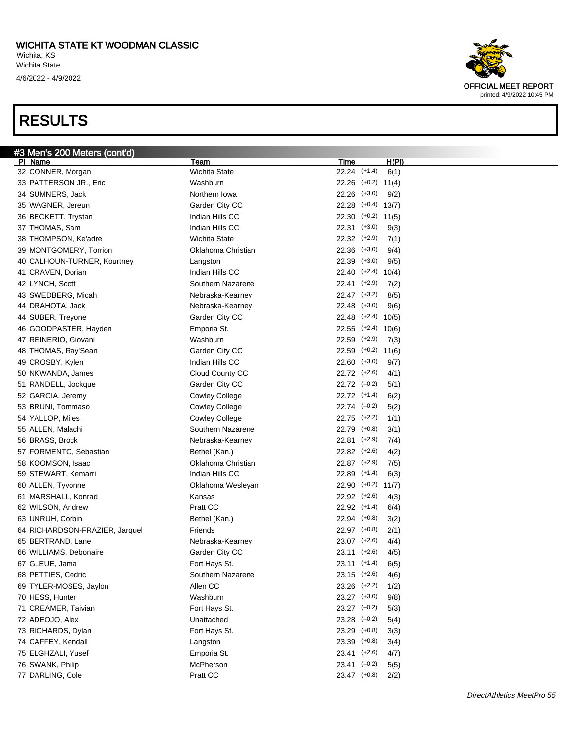

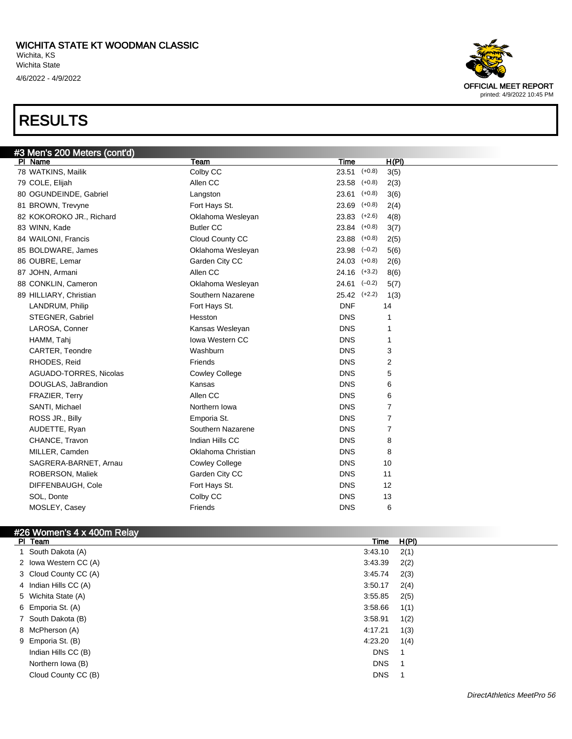

| #3 Men's 200 Meters (cont'd) |                       |                              |  |
|------------------------------|-----------------------|------------------------------|--|
| PI Name                      | Team                  | H(PI)<br>Time                |  |
| 78 WATKINS, Mailik           | Colby CC              | $23.51$ (+0.8)<br>3(5)       |  |
| 79 COLE, Elijah              | Allen CC              | 23.58<br>$(+0.8)$<br>2(3)    |  |
| 80 OGUNDEINDE, Gabriel       | Langston              | 23.61<br>$(+0.8)$<br>3(6)    |  |
| 81 BROWN, Trevyne            | Fort Hays St.         | 23.69<br>$(+0.8)$<br>2(4)    |  |
| 82 KOKOROKO JR., Richard     | Oklahoma Wesleyan     | 23.83<br>$(+2.6)$<br>4(8)    |  |
| 83 WINN, Kade                | <b>Butler CC</b>      | 23.84<br>$(+0.8)$<br>3(7)    |  |
| 84 WAILONI, Francis          | Cloud County CC       | 23.88<br>$(+0.8)$<br>2(5)    |  |
| 85 BOLDWARE, James           | Oklahoma Wesleyan     | 23.98<br>$(-0.2)$<br>5(6)    |  |
| 86 OUBRE, Lemar              | Garden City CC        | 24.03<br>$(+0.8)$<br>2(6)    |  |
| 87 JOHN, Armani              | Allen CC              | $24.16$ $(+3.2)$<br>8(6)     |  |
| 88 CONKLIN, Cameron          | Oklahoma Wesleyan     | $24.61$ $(-0.2)$<br>5(7)     |  |
| 89 HILLIARY, Christian       | Southern Nazarene     | $25.42$ $(+2.2)$<br>1(3)     |  |
| LANDRUM, Philip              | Fort Hays St.         | <b>DNF</b><br>14             |  |
| STEGNER, Gabriel             | Hesston               | <b>DNS</b><br>1              |  |
| LAROSA, Conner               | Kansas Wesleyan       | <b>DNS</b><br>1              |  |
| HAMM, Tahj                   | Iowa Western CC       | <b>DNS</b><br>1              |  |
| CARTER, Teondre              | Washburn              | <b>DNS</b><br>3              |  |
| RHODES, Reid                 | Friends               | $\overline{2}$<br><b>DNS</b> |  |
| AGUADO-TORRES, Nicolas       | <b>Cowley College</b> | <b>DNS</b><br>5              |  |
| DOUGLAS, JaBrandion          | Kansas                | <b>DNS</b><br>6              |  |
| FRAZIER, Terry               | Allen CC              | <b>DNS</b><br>6              |  |
| SANTI, Michael               | Northern Iowa         | <b>DNS</b><br>7              |  |
| ROSS JR., Billy              | Emporia St.           | 7<br><b>DNS</b>              |  |
| AUDETTE, Ryan                | Southern Nazarene     | $\overline{7}$<br><b>DNS</b> |  |
| CHANCE, Travon               | Indian Hills CC       | <b>DNS</b><br>8              |  |
| MILLER, Camden               | Oklahoma Christian    | <b>DNS</b><br>8              |  |
| SAGRERA-BARNET, Arnau        | <b>Cowley College</b> | <b>DNS</b><br>10             |  |
| ROBERSON, Maliek             | Garden City CC        | <b>DNS</b><br>11             |  |
| DIFFENBAUGH, Cole            | Fort Hays St.         | <b>DNS</b><br>12             |  |
| SOL, Donte                   | Colby CC              | <b>DNS</b><br>13             |  |
| MOSLEY, Casey                | Friends               | <b>DNS</b><br>6              |  |

#### #26 Women's 4 x 400m Relay

| PI Team               | Time       | H(PI) |
|-----------------------|------------|-------|
| 1 South Dakota (A)    | 3:43.10    | 2(1)  |
| 2 Iowa Western CC (A) | 3:43.39    | 2(2)  |
| 3 Cloud County CC (A) | 3:45.74    | 2(3)  |
| 4 Indian Hills CC (A) | 3:50.17    | 2(4)  |
| 5 Wichita State (A)   | 3:55.85    | 2(5)  |
| 6 Emporia St. (A)     | 3:58.66    | 1(1)  |
| 7 South Dakota (B)    | 3:58.91    | 1(2)  |
| 8 McPherson (A)       | 4:17.21    | 1(3)  |
| 9 Emporia St. (B)     | 4:23.20    | 1(4)  |
| Indian Hills CC (B)   | <b>DNS</b> |       |
| Northern Iowa (B)     | <b>DNS</b> |       |
| Cloud County CC (B)   | <b>DNS</b> |       |
|                       |            |       |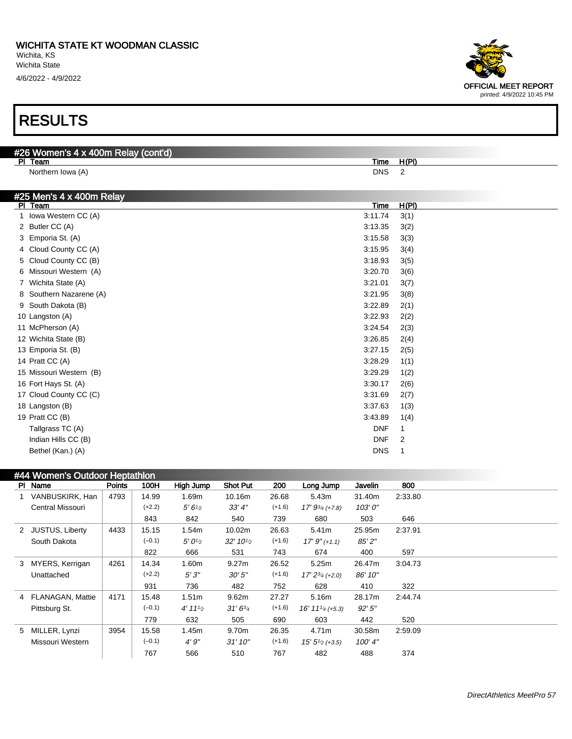4/6/2022 - 4/9/2022

### RESULTS

| #26 Women's 4 x 400m Relay (cont'd) |      |  |
|-------------------------------------|------|--|
| PI Team                             | Time |  |
| Northern Iowa (A)                   | DNS  |  |

| #25 Men's 4 x 400m Relay |                 |
|--------------------------|-----------------|
| PI Team                  | H(PI)<br>Time   |
| Iowa Western CC (A)<br>1 | 3:11.74<br>3(1) |
| 2 Butler CC (A)          | 3:13.35<br>3(2) |
| 3 Emporia St. (A)        | 3:15.58<br>3(3) |
| 4 Cloud County CC (A)    | 3:15.95<br>3(4) |
| 5 Cloud County CC (B)    | 3:18.93<br>3(5) |
| 6 Missouri Western (A)   | 3:20.70<br>3(6) |
| 7 Wichita State (A)      | 3:21.01<br>3(7) |
| 8 Southern Nazarene (A)  | 3:21.95<br>3(8) |
| South Dakota (B)<br>9    | 3:22.89<br>2(1) |
| 10 Langston (A)          | 3:22.93<br>2(2) |
| 11 McPherson (A)         | 3:24.54<br>2(3) |
| 12 Wichita State (B)     | 3:26.85<br>2(4) |
| 13 Emporia St. (B)       | 3:27.15<br>2(5) |
| 14 Pratt CC (A)          | 3:28.29<br>1(1) |
| 15 Missouri Western (B)  | 3:29.29<br>1(2) |
| 16 Fort Hays St. (A)     | 3:30.17<br>2(6) |
| 17 Cloud County CC (C)   | 3:31.69<br>2(7) |
| 18 Langston (B)          | 3:37.63<br>1(3) |
| 19 Pratt CC (B)          | 3:43.89<br>1(4) |
| Tallgrass TC (A)         | <b>DNF</b><br>1 |
| Indian Hills CC (B)      | <b>DNF</b><br>2 |
| Bethel (Kan.) (A)        | <b>DNS</b><br>1 |

| #44 Women's Outdoor Heptathlon |                    |               |          |                    |                     |          |                                            |         |         |  |
|--------------------------------|--------------------|---------------|----------|--------------------|---------------------|----------|--------------------------------------------|---------|---------|--|
|                                | PI Name            | <b>Points</b> | 100H     | High Jump          | <b>Shot Put</b>     | 200      | Long Jump                                  | Javelin | 800     |  |
|                                | VANBUSKIRK, Han    | 4793          | 14.99    | 1.69m              | 10.16m              | 26.68    | 5.43m                                      | 31.40m  | 2:33.80 |  |
|                                | Central Missouri   |               | $(+2.2)$ | 5'6'' <sub>2</sub> | 33'4''              | $(+1.6)$ | $17' 9^{3/4} (+7.8)$                       | 103'0'' |         |  |
|                                |                    |               | 843      | 842                | 540                 | 739      | 680                                        | 503     | 646     |  |
|                                | 2 JUSTUS, Liberty  | 4433          | 15.15    | 1.54m              | 10.02m              | 26.63    | 5.41m                                      | 25.95m  | 2:37.91 |  |
|                                | South Dakota       |               | $(-0.1)$ | $5'0\frac{1}{2}$   | $32' 10\frac{1}{2}$ | $(+1.6)$ | $17'9''(+1.1)$                             | 85'2"   |         |  |
|                                |                    |               | 822      | 666                | 531                 | 743      | 674                                        | 400     | 597     |  |
| 3                              | MYERS, Kerrigan    | 4261          | 14.34    | 1.60m              | 9.27m               | 26.52    | 5.25m                                      | 26.47m  | 3:04.73 |  |
|                                | Unattached         |               | $(+2.2)$ | 5'3''              | 30'5''              | $(+1.6)$ | $17' 2^{3/4}$ (+2.0)                       | 86' 10" |         |  |
|                                |                    |               | 931      | 736                | 482                 | 752      | 628                                        | 410     | 322     |  |
|                                | 4 FLANAGAN, Mattie | 4171          | 15.48    | 1.51 <sub>m</sub>  | 9.62m               | 27.27    | 5.16m                                      | 28.17m  | 2:44.74 |  |
|                                | Pittsburg St.      |               | $(-0.1)$ | 4' 11'2            | $31'6^{3/4}$        | $(+1.6)$ | $16' 11'$ <sup><math>4</math></sup> (+5.3) | 92'5''  |         |  |
|                                |                    |               | 779      | 632                | 505                 | 690      | 603                                        | 442     | 520     |  |
| 5                              | MILLER, Lynzi      | 3954          | 15.58    | 1.45m              | 9.70m               | 26.35    | 4.71m                                      | 30.58m  | 2:59.09 |  |
|                                | Missouri Western   |               | $(-0.1)$ | 4'9''              | 31'10''             | $(+1.6)$ | $15'5'_{2}$ (+3.5)                         | 100'4"  |         |  |
|                                |                    |               | 767      | 566                | 510                 | 767      | 482                                        | 488     | 374     |  |

OFFICIAL MEET REPORT

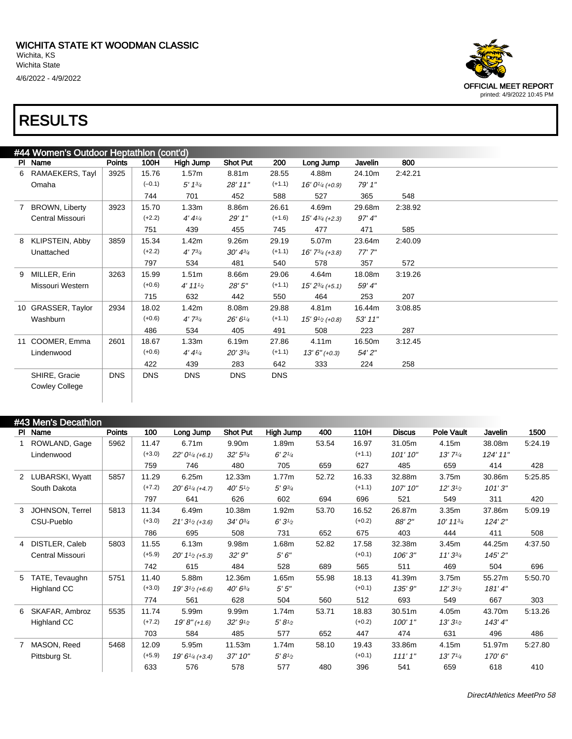

| #44 Women's Outdoor Heptathlon (cont'd) |                         |            |            |             |                 |            |                        |         |         |  |
|-----------------------------------------|-------------------------|------------|------------|-------------|-----------------|------------|------------------------|---------|---------|--|
|                                         | PI Name                 | Points     | 100H       | High Jump   | <b>Shot Put</b> | 200        | Long Jump              | Javelin | 800     |  |
| 6                                       | RAMAEKERS, Tayl         | 3925       | 15.76      | 1.57m       | 8.81m           | 28.55      | 4.88m                  | 24.10m  | 2:42.21 |  |
|                                         | Omaha                   |            | $(-0.1)$   | 5' 13/4     | 28' 11"         | $(+1.1)$   | $16' 01/4$ (+0.9)      | 79' 1"  |         |  |
|                                         |                         |            | 744        | 701         | 452             | 588        | 527                    | 365     | 548     |  |
| 7                                       | <b>BROWN, Liberty</b>   | 3923       | 15.70      | 1.33m       | 8.86m           | 26.61      | 4.69m                  | 29.68m  | 2:38.92 |  |
|                                         | <b>Central Missouri</b> |            | $(+2.2)$   | 4'4''       | 29' 1"          | $(+1.6)$   | $15' 4^{3/4}$ (+2.3)   | 97' 4'' |         |  |
|                                         |                         |            | 751        | 439         | 455             | 745        | 477                    | 471     | 585     |  |
| 8                                       | KLIPSTEIN, Abby         | 3859       | 15.34      | 1.42m       | 9.26m           | 29.19      | 5.07m                  | 23.64m  | 2:40.09 |  |
|                                         | Unattached              |            | $(+2.2)$   | $4'7^{3/4}$ | $30' 4^{3/4}$   | $(+1.1)$   | $16'$ $7^{3/4}$ (+3.8) | 77'7''  |         |  |
|                                         |                         |            | 797        | 534         | 481             | 540        | 578                    | 357     | 572     |  |
| 9                                       | MILLER, Erin            | 3263       | 15.99      | 1.51m       | 8.66m           | 29.06      | 4.64m                  | 18.08m  | 3:19.26 |  |
|                                         | Missouri Western        |            | $(+0.6)$   | 4' 11'      | 28'5"           | $(+1.1)$   | $15' 2^{3/4}$ (+5.1)   | 59'4"   |         |  |
|                                         |                         |            | 715        | 632         | 442             | 550        | 464                    | 253     | 207     |  |
|                                         | 10 GRASSER, Taylor      | 2934       | 18.02      | 1.42m       | 8.08m           | 29.88      | 4.81m                  | 16.44m  | 3:08.85 |  |
|                                         | Washburn                |            | $(+0.6)$   | $4'7^{3/4}$ | 26'6''/4        | $(+1.1)$   | $15' 91/2$ (+0.8)      | 53' 11" |         |  |
|                                         |                         |            | 486        | 534         | 405             | 491        | 508                    | 223     | 287     |  |
|                                         | 11 COOMER, Emma         | 2601       | 18.67      | 1.33m       | 6.19m           | 27.86      | 4.11m                  | 16.50m  | 3:12.45 |  |
|                                         | Lindenwood              |            | $(+0.6)$   | 4'4''       | $20'3^{3/4}$    | $(+1.1)$   | $13'6''$ (+0.3)        | 54' 2"  |         |  |
|                                         |                         |            | 422        | 439         | 283             | 642        | 333                    | 224     | 258     |  |
|                                         | SHIRE, Gracie           | <b>DNS</b> | <b>DNS</b> | <b>DNS</b>  | <b>DNS</b>      | <b>DNS</b> |                        |         |         |  |
|                                         | <b>Cowley College</b>   |            |            |             |                 |            |                        |         |         |  |
|                                         |                         |            |            |             |                 |            |                        |         |         |  |

#### #43 Men's Decathlon Pl Name Points 100 Long Jump Shot Put High Jump 400 110H Discus Pole Vault Javelin 1500 1 ROWLAND, Gage Lindenwood 5962 11.47  $(+3.0)$ 759 6.71m 22' 0<sup>1</sup>/4 (+6.1) 746 9.90m 32' 5<sup>3</sup>/<sup>4</sup> 480 1.89m  $6' 2'<sub>4</sub>$ 705 53.54 659 16.97  $(+1.1)$ 627 31.05m 101' 10" 485 4.15m 13' 7<sup>1</sup>/<sup>4</sup> 659 38.08m 124' 11" 414 5:24.19 428 2 LUBARSKI, Wyatt South Dakota 5857 11.29  $(+7.2)$ 797 6.25m 20' 6<sup>1</sup>/4 (+4.7) 641 12.33m 40' 5<sup>1</sup>/<sup>2</sup> 626 1.77m 5' 9<sup>3</sup>/<sup>4</sup> 602 52.72 694 16.33 (+1.1) 696 32.88m 107' 10" 521 3.75m 12' 3<sup>1</sup>/<sup>2</sup> 549 30.86m 101' 3" 311 5:25.85 420 3 JOHNSON, Terrel CSU-Pueblo 5813 11.34 (+3.0) 786 6.49m  $21'3^{1/2}$  (+3.6) 695 10.38m 34' 0<sup>3</sup>/<sup>4</sup> 508 1.92m  $6'3'$ <sup>1</sup>/<sub>2</sub> 731 53.70 652 16.52  $(+0.2)$ 675 26.87m 88' 2" 403 3.35m 10' 11<sup>3</sup>/<sup>4</sup> 444 37.86m 124' 2" 411 5:09.19 508 4 DISTLER, Caleb Central Missouri 5803 11.55 (+5.9) 742 6.13m  $20'$  1<sup>1</sup>/<sub>2</sub> (+5.3) 615 9.98m 32' 9" 484 1.68m 5' 6" 528 52.82 689 17.58  $(+0.1)$ 565 32.38m 106' 3" 511 3.45m 11' 3<sup>3</sup>/<sup>4</sup> 469 44.25m 145' 2" 504 4:37.50 696 5 TATE, Tevaughn Highland CC 5751 11.40 (+3.0) 774 5.88m 19' 3<sup>1</sup>/2 (+6.6) 561 12.36m 40' 6<sup>3</sup>/<sup>4</sup> 628 1.65m 5' 5" 504 55.98 560 18.13  $(+0.1)$ 512 41.39m 135' 9" 693 3.75m 12' 3<sup>1</sup>/<sup>2</sup> 549 55.27m 181' 4" 667 5:50.70 303 6 SKAFAR, Ambroz Highland CC 5535 11.74  $(+7.2)$ 703 5.99m 19' 8" (+1.6) 584 9.99m 32' 9<sup>1</sup>/<sup>2</sup> 485 1.74m  $5' 8'_{2}$ 577 53.71 652 18.83  $(+0.2)$ 447 30.51m 100' 1" 474 4.05m 13' 3<sup>1</sup>/<sup>2</sup> 631 43.70m 143' 4" 496 5:13.26 486 7 MASON, Reed Pittsburg St. 5468 12.09 (+5.9) 633 5.95m 19' 6<sup>1</sup>/4 (+3.4) 576 11.53m 37' 10" 578 1.74m  $5' 8'$ 577 58.10 480 19.43  $(+0.1)$ 396 33.86m 111' 1" 541 4.15m 13' 7<sup>1</sup>/<sup>4</sup> 659 51.97m 170' 6" 618 5:27.80 410